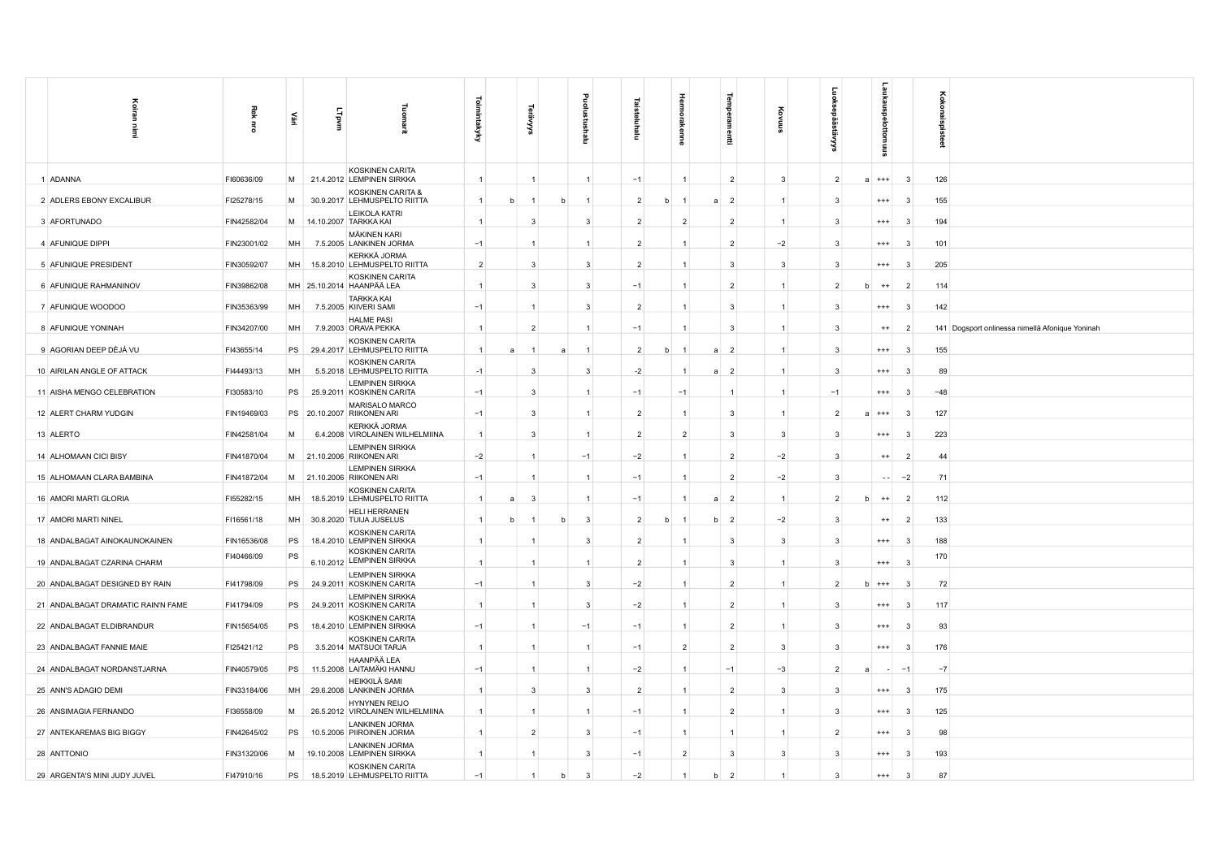| Koiran<br>Ì                        | 죟<br>$\vec{a}$ | 훈  | LTpvm | 흛<br>틮                                                 | Toimintakyky   |   | Š              |   | ᆱ<br>Ξ | ゠              |   | 큹              | edwe<br>昌           |                |                         | ᇑ             |    | Koko<br>å                                                         |
|------------------------------------|----------------|----|-------|--------------------------------------------------------|----------------|---|----------------|---|--------|----------------|---|----------------|---------------------|----------------|-------------------------|---------------|----|-------------------------------------------------------------------|
| 1 ADANNA                           | FI60636/09     | M  |       | KOSKINEN CARITA<br>21.4.2012 LEMPINEN SIRKKA           | $\overline{1}$ |   | $\mathbf{1}$   |   |        | $-1$           |   | $\overline{1}$ | $\overline{2}$      | 3              | $\overline{2}$          | $***$         |    | 126<br>$\mathbf{3}$                                               |
| 2 ADLERS EBONY EXCALIBUR           | FI25278/15     | M  |       | KOSKINEN CARITA &<br>30.9.2017 LEHMUSPELTO RIITTA      | $\mathbf{1}$   | h |                | h |        | $\overline{2}$ | b |                | $\overline{2}$<br>a | $\overline{1}$ | 3                       | $^{+++}$      |    | 155<br>3                                                          |
| 3 AFORTUNADO                       | FIN42582/04    | M  |       | LEIKOLA KATRI<br>14.10.2007 TARKKA KAI                 |                |   | 3              |   | 3      | $\overline{2}$ |   | $\overline{2}$ | $\overline{2}$      |                | $\overline{\mathbf{3}}$ | $^{+++}$      |    | 194<br>$\mathbf{3}$                                               |
| 4 AFUNIQUE DIPPI                   | FIN23001/02    | MH |       | <b>MÄKINEN KARI</b><br>7.5.2005 LANKINEN JORMA         | $-1$           |   |                |   |        | $\overline{2}$ |   |                | $\overline{2}$      | $-2$           | 3                       | $^{+++}$      |    | 101<br>3                                                          |
| 5 AFUNIQUE PRESIDENT               | FIN30592/07    | MH |       | KERKKÄ JORMA<br>15.8.2010 LEHMUSPELTO RIITTA           | $\overline{2}$ |   | 3              |   | 3      | $\overline{2}$ |   | $\mathbf{1}$   | 3                   | 3              | 3                       | $^{+++}$      |    | 205<br>-3                                                         |
| 6 AFUNIQUE RAHMANINOV              | FIN39862/08    |    |       | KOSKINEN CARITA<br>MH 25.10.2014 HAANPÄÄ LEA           |                |   | 3              |   | 3      | $-1$           |   | $\mathbf{1}$   | $\overline{2}$      |                | $\overline{2}$          | $^{++}$       |    | $\overline{2}$<br>114                                             |
| 7 AFUNIQUE WOODOO                  | FIN35363/99    | MH |       | <b>TARKKA KAI</b><br>7.5.2005 KIIVERI SAMI             | $-1$           |   |                |   | 3      | $\overline{2}$ |   | $\overline{1}$ | 3                   |                | 3                       | $^{+++}$      |    | $\mathbf{3}$<br>142                                               |
| 8 AFUNIQUE YONINAH                 | FIN34207/00    | MH |       | <b>HALME PASI</b><br>7.9.2003 ORAVA PEKKA              | $\overline{1}$ |   | $\overline{2}$ |   |        | $-1$           |   |                | 3                   |                | 3                       | $^{++}$       |    | 141 Dogsport onlinessa nimellä Afonique Yoninah<br>$\overline{2}$ |
| 9 AGORIAN DEEP DÈJÁ VU             | FI43655/14     | PS |       | KOSKINEN CARITA<br>29.4.2017 LEHMUSPELTO RIITTA        | $\mathbf{1}$   |   |                |   |        | $\overline{2}$ | b |                | $\overline{2}$<br>a | 1              | 3                       | $^{++}$       |    | $\mathbf{3}$<br>155                                               |
| 10 AIRILAN ANGLE OF ATTACK         | FI44493/13     | MH |       | KOSKINEN CARITA<br>5.5.2018 LEHMUSPELTO RIITTA         | $-1$           |   | 3              |   | 3      | $-2$           |   |                | $\overline{2}$<br>a | $\mathbf{1}$   | 3                       | $^{+++}$      |    | 89<br>3                                                           |
| 11 AISHA MENGO CELEBRATION         | FI30583/10     | PS |       | <b>LEMPINEN SIRKKA</b><br>25.9.2011 KOSKINEN CARITA    | $-1$           |   | 3              |   |        | $-1$           |   | $-1$           | $\mathbf{1}$        |                | $-1$                    | $^{+++}$      |    | 3<br>$-48$                                                        |
| 12 ALERT CHARM YUDGIN              | FIN19469/03    |    |       | MARISALO MARCO<br>PS 20.10.2007 RIIKONEN ARI           | $-1$           |   | 3              |   |        | $\overline{2}$ |   | $\overline{1}$ | 3                   | $\overline{1}$ | $\overline{2}$          | $^{+++}$      |    | 127<br>3                                                          |
| 13 ALERTO                          | FIN42581/04    | М  |       | KERKKÄ JORMA<br>6.4.2008 VIROLAINEN WILHELMIINA        |                |   | 3              |   |        | $\overline{2}$ |   | $\overline{2}$ | 3                   | 3              | 3                       | $^{***}$      |    | 223<br>3                                                          |
| 14 ALHOMAAN CICI BISY              | FIN41870/04    | M  |       | <b>LEMPINEN SIRKKA</b><br>21.10.2006 RIIKONEN ARI      | $-2$           |   |                |   | $-1$   | $-2$           |   | 1              | $\overline{2}$      | $-2$           | 3                       | $^{++}$       |    | 44<br>2                                                           |
| 15 ALHOMAAN CLARA BAMBINA          | FIN41872/04    |    |       | <b>LEMPINEN SIRKKA</b><br>M 21.10.2006 RIIKONEN ARI    | $-1$           |   |                |   |        | $-1$           |   | $\overline{1}$ | $\overline{2}$      | $-2$           | 3                       |               | 44 | $-2$<br>71                                                        |
| 16 AMORI MARTI GLORIA              | FI55282/15     | MH |       | <b>KOSKINEN CARITA</b><br>18.5.2019 LEHMUSPELTO RIITTA | $\mathbf{1}$   | a | $\overline{3}$ |   |        | $-1$           |   |                | $\overline{2}$<br>a | $\mathbf{1}$   | $\overline{2}$          | $^{++}$       |    | 112<br>$\overline{2}$                                             |
| 17 AMORI MARTI NINEL               | FI16561/18     | MH |       | <b>HELI HERRANEN</b><br>30.8.2020 TUIJA JUSELUS        |                |   |                |   | 3      | $\overline{2}$ |   |                | 2<br>h              | $-2$           | 3                       | $^{++}$       |    | 133<br>$\overline{2}$                                             |
| 18 ANDALBAGAT AINOKAUNOKAINEN      | FIN16536/08    | PS |       | KOSKINEN CARITA<br>18.4.2010 LEMPINEN SIRKKA           |                |   |                |   | 3      | $\overline{2}$ |   |                | 3                   | 3              | 3                       | $^{***}$      |    | 188<br>3                                                          |
| 19 ANDALBAGAT CZARINA CHARM        | FI40466/09     | PS |       | KOSKINEN CARITA<br>6.10.2012 LEMPINEN SIRKKA           | $\overline{1}$ |   |                |   |        | $\overline{2}$ |   | $\overline{1}$ | 3                   |                | 3                       | $^{+++}$      |    | 170<br>$\mathbf{3}$                                               |
| 20 ANDALBAGAT DESIGNED BY RAIN     | FI41798/09     | PS |       | <b>LEMPINEN SIRKKA</b><br>24.9.2011 KOSKINEN CARITA    | $-1$           |   | $\mathbf{1}$   |   | 3      | $-2$           |   | $\overline{1}$ | $\overline{2}$      | 1              | $\overline{2}$          | $^{+++}$<br>h |    | 72<br>3                                                           |
| 21 ANDALBAGAT DRAMATIC RAIN'N FAME | FI41794/09     | PS |       | <b>LEMPINEN SIRKKA</b><br>24.9.2011 KOSKINEN CARITA    | $\mathbf{1}$   |   |                |   | 3      | $-2$           |   | $\mathbf{1}$   | $\overline{2}$      |                |                         | $^{***}$      |    | 117<br>3                                                          |
| 22 ANDALBAGAT ELDIBRANDUR          | FIN15654/05    | PS |       | <b>KOSKINEN CARITA</b><br>18.4.2010 LEMPINEN SIRKKA    | $-1$           |   |                |   | $-1$   | $-1$           |   | $\mathbf{1}$   | $\overline{2}$      |                | 3                       | $^{+++}$      |    | 93<br>3                                                           |
| 23 ANDALBAGAT FANNIE MAIE          | FI25421/12     | PS |       | KOSKINEN CARITA<br>3.5.2014 MATSUOI TARJA              | $\mathbf{1}$   |   |                |   |        | $-1$           |   | $\overline{2}$ | $\overline{2}$      | 3              | $\overline{\mathbf{3}}$ | $^{+++}$      |    | 176<br>-3                                                         |
| 24 ANDALBAGAT NORDANSTJARNA        | FIN40579/05    | PS |       | HAANPÄÄ LEA<br>11.5.2008 LAITAMÄKI HANNU               | $-1$           |   | $\mathbf{1}$   |   |        | $-2$           |   | $\overline{1}$ | $-1$                | $-3$           | $\overline{2}$          |               |    | $-7$<br>$-1$                                                      |
| 25 ANN'S ADAGIO DEMI               | FIN33184/06    | MH |       | HEIKKILÄ SAMI<br>29.6.2008 LANKINEN JORMA              |                |   | 3              |   | 3      | $\overline{2}$ |   | $\mathbf{1}$   | $\overline{2}$      | 3              | 3                       | $^{+++}$      |    | 175<br>3                                                          |
| 26 ANSIMAGIA FERNANDO              | FI36558/09     | M  |       | HYNYNEN REIJO<br>26.5.2012 VIROLAINEN WILHELMIINA      |                |   |                |   |        | $-1$           |   | $\mathbf{1}$   | $\overline{2}$      |                | 3                       | $^{***}$      |    | 125<br>3                                                          |
| 27 ANTEKAREMAS BIG BIGGY           | FIN42645/02    | PS |       | <b>LANKINEN JORMA</b><br>10.5.2006 PIIROINEN JORMA     |                |   | $\overline{2}$ |   | 3      | $-1$           |   | $\overline{1}$ | 1                   |                | $\overline{2}$          | $^{***}$      |    | 98<br>-3                                                          |
| 28 ANTTONIO                        | FIN31320/06    | M  |       | <b>LANKINEN JORMA</b><br>19.10.2008 LEMPINEN SIRKKA    | $\overline{1}$ |   | $\mathbf{1}$   |   | 3      | $-1$           |   | $\overline{2}$ | 3                   | 3              | 3                       | $^{+++}$      |    | 193<br>3                                                          |
| 29 ARGENTA'S MINI JUDY JUVEL       | FI47910/16     | PS |       | KOSKINEN CARITA<br>18.5.2019 LEHMUSPELTO RIITTA        | $-1$           |   |                |   | 3      | $-2$           |   | $\mathbf{1}$   | $\overline{2}$<br>b |                | 3                       | $^{***}$      |    | 87<br>3                                                           |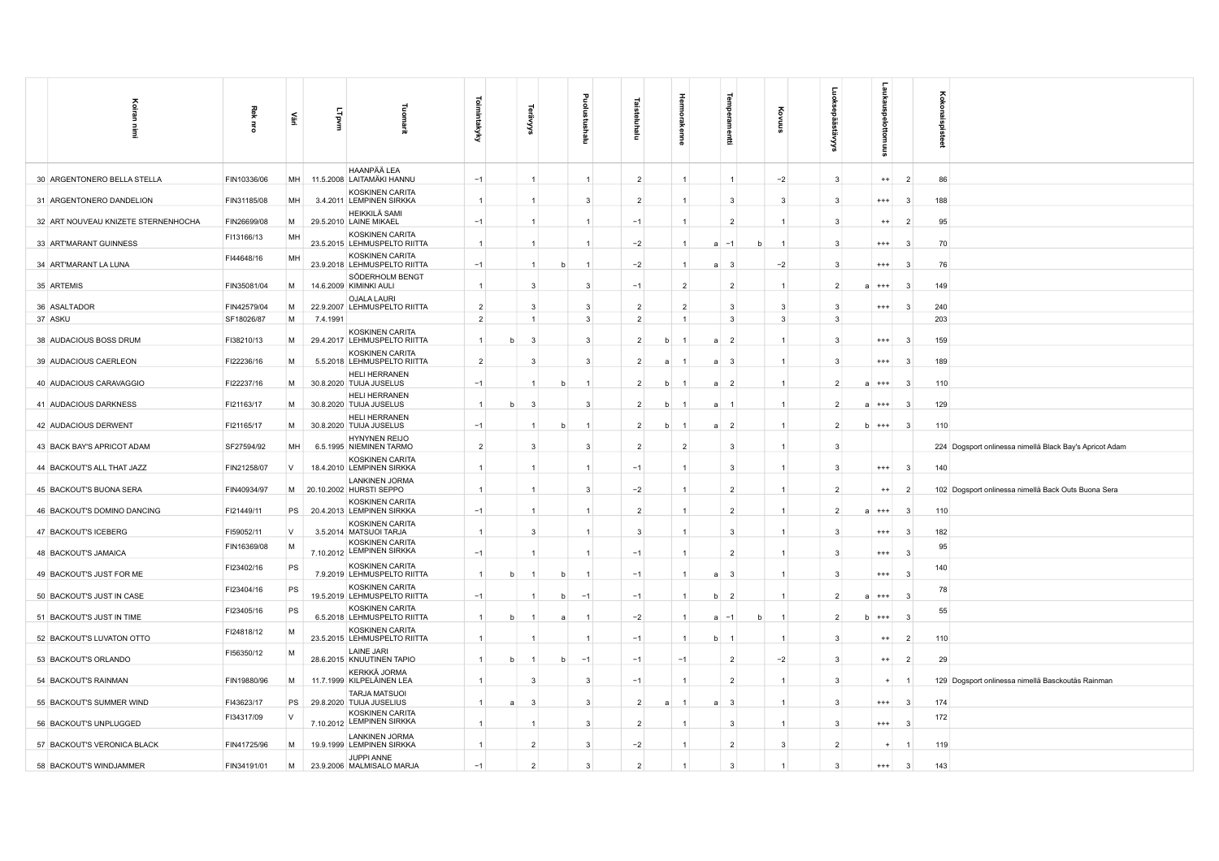| Koiran<br>Ì                         | 죟<br>릉      | 횰      | LTpvm    | g<br>2                                                              | <b>Toimintakyky</b> |                | š              |   | ₫<br>ᇒ<br>Ξ | ಷ<br>eluhalu   |              | Ē                    | 릴<br>å                       |   |                | 들                       | akaus<br>ttomuus |                         | ह<br>Ë<br>å                                             |
|-------------------------------------|-------------|--------|----------|---------------------------------------------------------------------|---------------------|----------------|----------------|---|-------------|----------------|--------------|----------------------|------------------------------|---|----------------|-------------------------|------------------|-------------------------|---------------------------------------------------------|
| 30 ARGENTONERO BELLA STELLA         | FIN10336/06 | MH     |          | HAANPÄÄ LEA<br>11.5.2008 LAITAMÄKI HANNU                            | $-1$                |                | $\overline{1}$ |   |             | $\overline{2}$ |              | $\overline{1}$       | $\mathbf{1}$                 |   | $-2$           | $\overline{\mathbf{3}}$ | $^{++}$          | $\overline{2}$          | 86                                                      |
| 31 ARGENTONERO DANDELION            | FIN31185/08 | MH     |          | KOSKINEN CARITA<br>3.4.2011 LEMPINEN SIRKKA                         | $\overline{1}$      |                | $\overline{1}$ |   | 3           | $\overline{2}$ |              | $\overline{1}$       | $\mathbf{3}$                 |   | 3              | $\mathbf{3}$            | $^{+++}$         | $\mathbf{3}$            | 188                                                     |
| 32 ART NOUVEAU KNIZETE STERNENHOCHA | FIN26699/08 | M      |          | HEIKKILÄ SAMI<br>29.5.2010 LAINE MIKAEL                             | $-1$                |                | -1             |   |             | $-1$           |              | $-1$                 | $\overline{2}$               |   | 1              | $\mathbf{3}$            | $^{++}$          | $\overline{2}$          | 95                                                      |
| 33 ART'MARANT GUINNESS              | FI13166/13  | MH     |          | KOSKINEN CARITA<br>23.5.2015 LEHMUSPELTO RIITTA                     |                     |                | $\mathbf{1}$   |   |             | $-2$           |              | $\mathbf{1}$         | $-1$<br>a                    |   |                | -3                      | $^{+++}$         | - 3                     | 70                                                      |
| 34 ART'MARANT LA LUNA               | FI44648/16  | MH     |          | KOSKINEN CARITA<br>23.9.2018 LEHMUSPELTO RIITTA                     | $-1$                |                | $\mathbf{1}$   | h |             | $-2$           |              | $\mathbf{1}$         | $\overline{3}$<br>a          |   | $-2$           | $\mathbf{3}$            | $^{+++}$         | 3                       | 76                                                      |
| 35 ARTEMIS                          | FIN35081/04 | M      |          | SÖDERHOLM BENGT<br>14.6.2009 KIMINKI AULI                           | $\vert$ 1           |                | 3              |   | 3           | $-1$           |              | $\overline{2}$       | $\overline{2}$               |   | $\mathbf{1}$   | $\overline{2}$          | $^{+++}$         | $\mathbf{3}$            | 149                                                     |
| 36 ASALTADOR                        | FIN42579/04 | M      |          | OJALA LAURI<br>22.9.2007 LEHMUSPELTO RIITTA                         | $\overline{2}$      |                | 3              |   | 3           | $\overline{2}$ |              | $\overline{2}$       | $\mathbf{3}$                 |   | 3              | $\mathbf{3}$            | $^{+++}$         | $\mathbf{3}$            | 240                                                     |
| 37 ASKU                             | SF18026/87  | M      | 7.4.1991 | KOSKINEN CARITA                                                     | $\overline{2}$      |                | $\overline{1}$ |   | 3           | $\overline{2}$ |              | $\overline{1}$       | $\overline{\mathbf{3}}$      |   | 3              | 3                       |                  |                         | 203                                                     |
| 38 AUDACIOUS BOSS DRUM              | FI38210/13  | M      |          | 29.4.2017 LEHMUSPELTO RIITTA<br>KOSKINEN CARITA                     | $\mathbf{1}$        |                | $\mathbf{3}$   |   | 3           | $\overline{2}$ | h            |                      | $\overline{2}$<br>a          |   | $\mathbf{1}$   | $\mathbf{3}$            | $^{+++}$         | -3                      | 159                                                     |
| 39 AUDACIOUS CAERLEON               | FI22236/16  | M      |          | 5.5.2018 LEHMUSPELTO RIITTA<br>HELI HERRANEN                        | $\overline{2}$      |                | 3              |   | 3           | $\overline{2}$ | $\mathbf{a}$ |                      | $\overline{\mathbf{3}}$<br>a |   | $\mathbf{1}$   | $\mathbf{3}$            | $^{+++}$         | -3                      | 189                                                     |
| 40 AUDACIOUS CARAVAGGIO             | FI22237/16  | M      |          | 30.8.2020 TUIJA JUSELUS<br><b>HELI HERRANEN</b>                     | $-1$                |                |                |   |             | $\overline{2}$ | h            |                      | $\overline{2}$<br>a          |   | $\overline{1}$ | $\overline{2}$          | $^{+++}$         | $\mathbf{3}$            | 110                                                     |
| 41 AUDACIOUS DARKNESS               | FI21163/17  | M      |          | 30.8.2020 TUIJA JUSELUS<br>HELI HERRANEN                            | $\overline{1}$      |                | 3              |   | 3           | $\overline{2}$ | b            |                      | a<br>$\overline{1}$          |   | $\mathbf{1}$   |                         | $^{+++}$         | -3                      | 129                                                     |
| 42 AUDACIOUS DERWENT                | FI21165/17  | M      |          | 30.8.2020 TUIJA JUSELUS<br><b>HYNYNEN REIJO</b>                     | $-1$                |                |                |   |             | $\overline{2}$ | b            |                      | $\overline{2}$<br>a          |   | 1              | $\overline{2}$          | $b + + +$        | - 3                     | 110                                                     |
| 43 BACK BAY'S APRICOT ADAM          | SF27594/92  | MH     |          | 6.5.1995 NIEMINEN TARMO<br>KOSKINEN CARITA                          | $\overline{2}$      |                | 3              |   | 3           | $\overline{2}$ |              | $\overline{2}$       | 3                            |   | 1              | 3                       |                  |                         | 224 Dogsport onlinessa nimellä Black Bay's Apricot Adam |
| 44 BACKOUT'S ALL THAT JAZZ          | FIN21258/07 | V      |          | 18.4.2010 LEMPINEN SIRKKA<br>LANKINEN JORMA                         | $\mathbf{1}$        |                |                |   |             | $-1$           |              |                      | 3                            |   | 1              | 3                       | $^{+++}$         | $\mathbf{3}$            | 140                                                     |
| 45 BACKOUT'S BUONA SERA             | FIN40934/97 | M      |          | 20.10.2002 HURSTI SEPPO<br>KOSKINEN CARITA                          |                     |                |                |   | 3           | $-2$           |              | $\overline{1}$       | $\overline{2}$               |   | 1              | $\overline{2}$          | $^{++}$          | $\overline{2}$          | 102 Dogsport onlinessa nimellä Back Outs Buona Sera     |
| 46 BACKOUT'S DOMINO DANCING         | FI21449/11  | PS     |          | 20.4.2013 LEMPINEN SIRKKA<br>KOSKINEN CARITA                        | $-1$                |                | -1             |   |             | $\overline{2}$ |              | $\overline{1}$       | $\overline{2}$               |   | $\mathbf{1}$   | $\mathcal{P}$           | $2 + + +$        | -3                      | 110                                                     |
| 47 BACKOUT'S ICEBERG                | FI59052/11  | V      |          | 3.5.2014 MATSUOI TARJA<br>KOSKINEN CARITA                           | $\overline{1}$      |                | 3              |   |             | 3              |              | $\overline{1}$       | 3                            |   | 1              | $\mathbf{3}$            | $^{+++}$         | $\mathbf{3}$            | 182                                                     |
| 48 BACKOUT'S JAMAICA                | FIN16369/08 | M      |          | 7.10.2012 LEMPINEN SIRKKA                                           | $-1$                |                |                |   |             | $-1$           |              | $\overline{1}$       | $\overline{2}$               |   | 1              | -3                      | $^{+++}$         | - 3                     | 95                                                      |
| 49 BACKOUT'S JUST FOR ME            | FI23402/16  | PS     |          | KOSKINEN CARITA<br>7.9.2019 LEHMUSPELTO RIITTA<br>KOSKINEN CARITA   | $\overline{1}$      | b              |                |   |             | $-1$           |              | $\overline{1}$       | $\overline{\mathbf{3}}$<br>a |   | $\mathbf{1}$   | $\mathbf{3}$            | $+++$            | $\overline{\mathbf{3}}$ | 140                                                     |
| 50 BACKOUT'S JUST IN CASE           | FI23404/16  | PS     |          | 19.5.2019 LEHMUSPELTO RIITTA<br>KOSKINEN CARITA                     | $-1$                |                |                | h | $-1$        | $-1$           |              |                      | $\overline{2}$<br>b          |   |                | $\overline{2}$          | $^{++}$          | - 3                     | 78                                                      |
| 51 BACKOUT'S JUST IN TIME           | FI23405/16  | PS     |          | 6.5.2018 LEHMUSPELTO RIITTA                                         | $\mathbf{1}$        |                |                |   |             | $-2$           |              |                      | $-1$<br>a                    | b |                |                         |                  | -3                      | 55                                                      |
| 52 BACKOUT'S LUVATON OTTO           | FI24818/12  | M      |          | KOSKINEN CARITA<br>23.5.2015 LEHMUSPELTO RIITTA                     |                     |                |                |   |             | $-1$           |              | $\mathbf{1}$         | b                            |   | $\mathbf{1}$   | $\mathbf{3}$            | $^{++}$          | $\overline{2}$          | 110                                                     |
| 53 BACKOUT'S ORLANDO                | FI56350/12  | M      |          | LAINE JARI<br>28.6.2015 KNUUTINEN TAPIO                             | $\overline{1}$      | h              | -1             | h | $-1$        | $-1$           |              | $-1$                 | $\overline{2}$               |   | $-2$           | $\mathbf{3}$            | $^{++}$          | $\overline{2}$          | 29                                                      |
| 54 BACKOUT'S RAINMAN                | FIN19880/96 | M      |          | KERKKÄ JORMA<br>11.7.1999 KILPELÄINEN LEA                           |                     |                | 3              |   | 3           | $-1$           |              |                      | $\overline{2}$               |   | $\overline{1}$ | $\mathbf{3}$            | $\ddot{}$        |                         | 129 Dogsport onlinessa nimellä Basckoutäs Rainman       |
| 55 BACKOUT'S SUMMER WIND            | FI43623/17  | PS     |          | <b>TARJA MATSUOI</b><br>29.8.2020 TUIJA JUSELIUS<br>KOSKINEN CARITA | $\mathbf{1}$        | $\overline{a}$ | 3              |   | 3           | $\overline{2}$ | a            |                      | $\mathbf{3}$<br>a            |   | $\mathbf{1}$   | -3                      | $^{+++}$         | - 3                     | 174                                                     |
| 56 BACKOUT'S UNPLUGGED              | FI34317/09  | $\lor$ |          | 7.10.2012 LEMPINEN SIRKKA                                           |                     |                |                |   | 3           | $\overline{2}$ |              |                      | 3                            |   | -1             | $\mathbf{3}$            | $+++$            | $\mathbf{3}$            | 172                                                     |
| 57 BACKOUT'S VERONICA BLACK         | FIN41725/96 | M      |          | <b>LANKINEN JORMA</b><br>19.9.1999 LEMPINEN SIRKKA                  | $\mathbf{1}$        |                | $\overline{2}$ |   | 3           | $-2$           |              | $\mathbf{1}$         | $\overline{2}$               |   | 3              | $\overline{2}$          |                  |                         | 119                                                     |
| 58 BACKOUT'S WINDJAMMER             | FIN34191/01 | M      |          | JUPPI ANNE<br>23.9.2006 MALMISALO MARJA                             | $-1$                |                | $\overline{2}$ |   | 3           | $\overline{2}$ |              | $\blacktriangleleft$ | 3                            |   |                | 3                       | $^{+++}$         | 3                       | 143                                                     |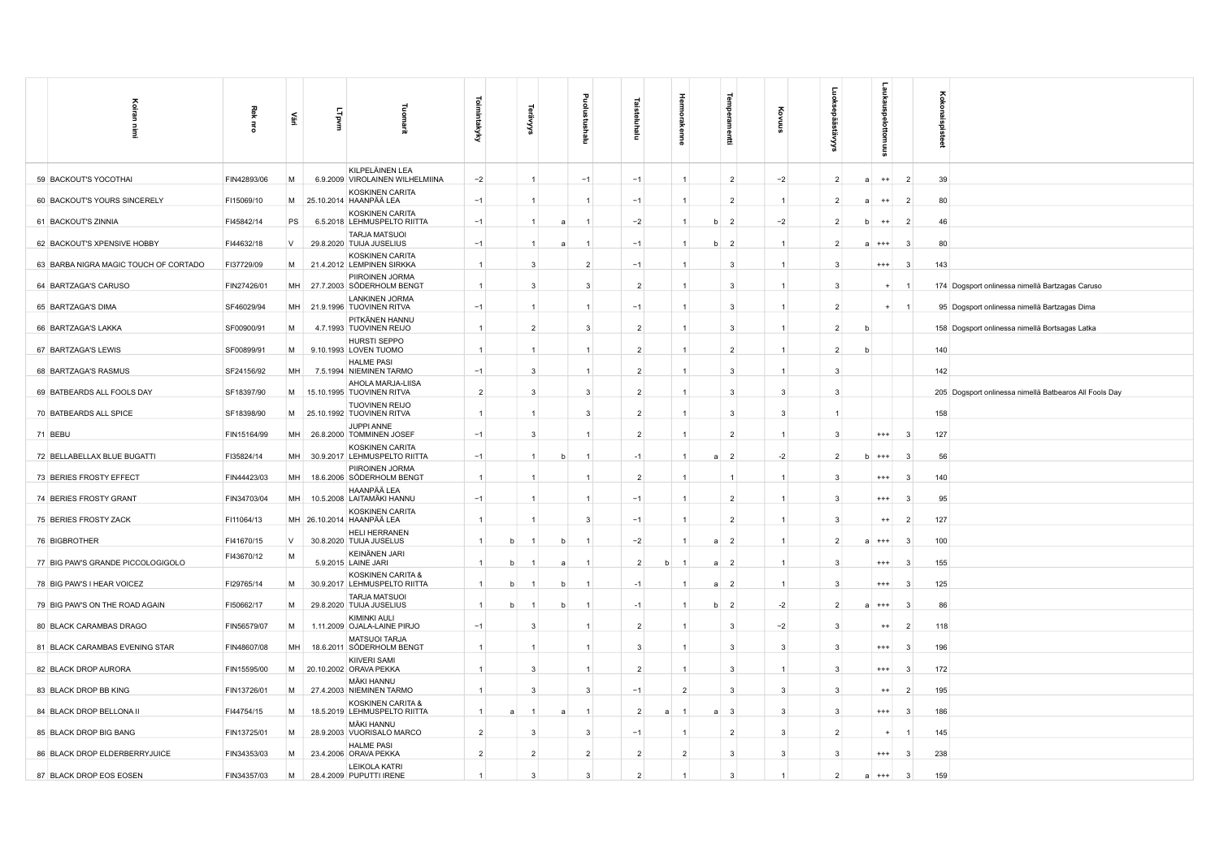| Koiran                                | Rek         |        |           |                                                       |                |   |                |   |                |                | Hermora                 | edwei                   |              |                |                     | 5         |                            | Koko                                                   |
|---------------------------------------|-------------|--------|-----------|-------------------------------------------------------|----------------|---|----------------|---|----------------|----------------|-------------------------|-------------------------|--------------|----------------|---------------------|-----------|----------------------------|--------------------------------------------------------|
| Ē.                                    | 蛋           | Ψă     | LTpvm     | Tuomarit                                              | Toimintakyky   |   | Š              |   | ng             | Ξ              | kenne                   | m                       | ट्टे<br>ទ្ធ  | ë,             |                     | SINIULO   |                            | naispisteet                                            |
| 59 BACKOUT'S YOCOTHAI                 | FIN42893/06 | M      |           | KILPELÄINEN LEA<br>6.9.2009 VIROLAINEN WILHELMIINA    | $-2$           |   | $\mathbf{1}$   |   | $-1$           | $-1$           | $\mathbf{1}$            | $\overline{2}$          | $-2$         | $\overline{2}$ |                     | $^{++}$   | $\overline{2}$             | 39                                                     |
| 60 BACKOUT'S YOURS SINCERELY          | FI15069/10  | M      |           | KOSKINEN CARITA<br>25.10.2014 HAANPÄÄ LEA             | $-1$           |   | $\mathbf{1}$   |   |                | $-1$           | 1                       | $\overline{2}$          | $\mathbf{1}$ | $\overline{2}$ |                     | $^{++}$   | $\overline{2}$             | 80                                                     |
| 61 BACKOUT'S ZINNIA                   | FI45842/14  | PS     |           | <b>KOSKINEN CARITA</b><br>6.5.2018 LEHMUSPELTO RIITTA | $-1$           |   | $\mathbf{1}$   |   | -1             | $-2$           | $\mathbf{1}$            | $\overline{2}$<br>b     | $-2$         | $\overline{2}$ |                     | $^{++}$   | $\overline{2}$             | 46                                                     |
| 62 BACKOUT'S XPENSIVE HOBBY           | FI44632/18  | V      |           | <b>TARJA MATSUOI</b><br>29.8.2020 TUIJA JUSELIUS      | $-1$           |   | $\mathbf{1}$   |   |                | $-1$           |                         | $\overline{2}$<br>b     | $\mathbf{1}$ | 2              |                     | $^{+++}$  | -3                         | 80                                                     |
| 63 BARBA NIGRA MAGIC TOUCH OF CORTADO | FI37729/09  | M      |           | <b>KOSKINEN CARITA</b><br>21.4.2012 LEMPINEN SIRKKA   | $\overline{1}$ |   | 3              |   | $\overline{2}$ | $-1$           | 1                       | 3                       | $\mathbf{1}$ | 3              |                     | $^{++}$   | -3                         | 143                                                    |
| 64 BARTZAGA'S CARUSO                  | FIN27426/01 | MH     |           | PIIROINEN JORMA<br>27.7.2003 SÖDERHOLM BENGT          | $\overline{1}$ |   | 3              |   | 3              | $\overline{2}$ | 1                       | 3                       | 1            | 3              |                     | $\ddot{}$ |                            | 174 Dogsport onlinessa nimellä Bartzagas Caruso        |
| 65 BARTZAGA'S DIMA                    | SF46029/94  |        |           | <b>LANKINEN JORMA</b><br>MH 21.9.1996 TUOVINEN RITVA  | $-1$           |   | $\mathbf{1}$   |   | $\mathbf{1}$   | $-1$           | $\mathbf{1}$            | $\mathbf{3}$            | $\mathbf{1}$ |                | $\overline{2}$      | $+$       | $\overline{\phantom{0}}$ 1 | 95 Dogsport onlinessa nimellä Bartzagas Dima           |
| 66 BARTZAGA'S LAKKA                   | SF00900/91  | M      |           | PITKÄNEN HANNU<br>4.7.1993 TUOVINEN REIJO             | $\overline{1}$ |   | $\overline{2}$ |   | 3              | $\overline{2}$ | $\mathbf{1}$            | 3                       | $\mathbf{1}$ |                | $\overline{2}$<br>h |           |                            | 158 Dogsport onlinessa nimellä Bortsagas Latka         |
| 67 BARTZAGA'S LEWIS                   | SF00899/91  | M      |           | HURSTI SEPPO<br>9.10.1993 LOVEN TUOMO                 | $\overline{1}$ |   | $\mathbf{1}$   |   |                | $\overline{2}$ | 1                       | $\overline{2}$          | $\mathbf{1}$ | $\overline{2}$ |                     |           |                            | 140                                                    |
| 68 BARTZAGA'S RASMUS                  | SF24156/92  | MH     |           | <b>HALME PASI</b><br>7.5.1994 NIEMINEN TARMO          | $-1$           |   | 3              |   | $\mathbf{1}$   | $\overline{2}$ | 1                       | 3                       | $\mathbf{1}$ | 3              |                     |           |                            | 142                                                    |
| 69 BATBEARDS ALL FOOLS DAY            | SF18397/90  | M      |           | AHOLA MARJA-LIISA<br>15.10.1995 TUOVINEN RITVA        | $\overline{2}$ |   | 3              |   | 3              | $\overline{2}$ | $\mathbf{1}$            | $\overline{3}$          | 3            | 3              |                     |           |                            | 205 Dogsport onlinessa nimellä Batbearos All Fools Day |
| 70 BATBEARDS ALL SPICE                | SF18398/90  | M      |           | <b>TUOVINEN REIJO</b><br>25.10.1992 TUOVINEN RITVA    | $\overline{1}$ |   | $\mathbf{1}$   |   | 3              | $\overline{2}$ | 1                       | 3                       | 3            |                |                     |           |                            | 158                                                    |
| 71 BEBU                               | FIN15164/99 | MH     |           | JUPPI ANNE<br>26.8.2000 TOMMINEN JOSEF                | $-1$           |   | 3              |   |                | $\overline{2}$ | 1                       | $\overline{2}$          |              | 3              |                     | $^{+++}$  | -3                         | 127                                                    |
| 72 BELLABELLAX BLUE BUGATTI           | FI35824/14  | MH     |           | KOSKINEN CARITA<br>30.9.2017 LEHMUSPELTO RIITTA       | $-1$           |   | $\mathbf{1}$   | b |                | $-1$           | 1                       | $\overline{2}$<br>a     | $-2$         | 2              | b                   | $^{+++}$  | 3                          | 56                                                     |
| 73 BERIES FROSTY EFFECT               | FIN44423/03 | MH     |           | PIIROINEN JORMA<br>18.6.2006 SÖDERHOLM BENGT          | $\overline{1}$ |   | $\mathbf{1}$   |   | $\mathbf{1}$   | $\overline{2}$ | $\mathbf{1}$            | $\mathbf{1}$            | $\mathbf{1}$ | 3              |                     | $^{+++}$  | 3                          | 140                                                    |
| 74 BERIES FROSTY GRANT                | FIN34703/04 | MH     |           | HAANPÄÄ LEA<br>10.5.2008 LAITAMÄKI HANNU              | $-1$           |   | $\mathbf{1}$   |   | $\overline{1}$ | $-1$           | $\mathbf{1}$            | $\overline{2}$          | $\mathbf{1}$ | 3              |                     | $^{+++}$  | 3                          | 95                                                     |
| 75 BERIES FROSTY ZACK                 | FI11064/13  |        |           | <b>KOSKINEN CARITA</b><br>MH 26.10.2014 HAANPÄÄ LEA   | $\overline{1}$ |   |                |   | 3              | $-1$           | 1                       | $\overline{2}$          |              | 3              |                     | $^{++}$   | $\overline{2}$             | 127                                                    |
| 76 BIGBROTHER                         | FI41670/15  | $\vee$ |           | <b>HELI HERRANEN</b><br>30.8.2020 TUIJA JUSELUS       | $\overline{1}$ | h |                | h |                | $-2$           |                         | $\overline{2}$<br>a     | $\mathbf{1}$ | $\overline{2}$ |                     | $^{++}$   | 3                          | 100                                                    |
| 77 BIG PAW'S GRANDE PICCOLOGIGOLO     | FI43670/12  | M      |           | KEINÄNEN JARI<br>5.9.2015 LAINE JARI                  | $\overline{1}$ | b |                | a |                | $\overline{2}$ | b                       | $\overline{2}$<br>a     | $\mathbf{1}$ | 3              |                     | $^{+++}$  | 3                          | 155                                                    |
| 78 BIG PAW'S I HEAR VOICEZ            | FI29765/14  | M      | 30.9.2017 | KOSKINEN CARITA &<br>LEHMUSPELTO RIITTA               | $\vert$ 1      | b |                | b | $\mathbf{1}$   | $-1$           |                         | $\overline{2}$<br>a     | $\mathbf{1}$ | 3              |                     | $^{++}$   | 3                          | 125                                                    |
| 79 BIG PAW'S ON THE ROAD AGAIN        | FI50662/17  | M      |           | <b>TARJA MATSUOI</b><br>29.8.2020 TUIJA JUSELIUS      | $\overline{1}$ |   |                |   |                | $-1$           |                         | $\overline{2}$<br>h     | $-2$         | $\overline{2}$ |                     |           | 3                          | 86                                                     |
| 80 BLACK CARAMBAS DRAGO               | FIN56579/07 | M      |           | KIMINKI AULI<br>1.11.2009 OJALA-LAINE PIRJO           | $-1$           |   | 3              |   |                | $\overline{2}$ |                         | 3                       | $-2$         | 3              |                     | $^{++}$   | $\overline{2}$             | 118                                                    |
| 81 BLACK CARAMBAS EVENING STAR        | FIN48607/08 | MH     |           | <b>MATSUOI TARJA</b><br>18.6.2011 SÖDERHOLM BENGT     | $\overline{1}$ |   | $\mathbf{1}$   |   |                | 3              | $\mathbf{1}$            | $\overline{\mathbf{3}}$ | 3            | 3              |                     | $^{+++}$  | -3                         | 196                                                    |
| 82 BLACK DROP AURORA                  | FIN15595/00 | M      |           | KIIVERI SAMI<br>20.10.2002 ORAVA PEKKA                | $\overline{1}$ |   | 3              |   | $\mathbf{1}$   | $\overline{2}$ | $\mathbf{1}$            | $\overline{3}$          | $\mathbf{1}$ | 3              |                     | $^{++}$   | 3                          | 172                                                    |
| 83 BLACK DROP BB KING                 | FIN13726/01 | M      |           | MÄKI HANNU<br>27.4.2003 NIEMINEN TARMO                | $\overline{1}$ |   | 3              |   | 3              | $-1$           | $\overline{2}$          | 3                       | 3            | 3              |                     | $^{++}$   | $\overline{2}$             | 195                                                    |
| 84 BLACK DROP BELLONA II              | FI44754/15  | M      |           | KOSKINEN CARITA &<br>18.5.2019 LEHMUSPELTO RIITTA     | $\overline{1}$ | a |                |   |                | $\overline{2}$ | $\mathbf{1}$<br>a       | $\overline{3}$          | 3            | 3              |                     | $^{++}$   | 3                          | 186                                                    |
| 85 BLACK DROP BIG BANG                | FIN13725/01 | M      |           | <b>MÄKI HANNU</b><br>28.9.2003 VUORISALO MARCO        | $\overline{2}$ |   | 3              |   | 3              | $-1$           | $\mathbf{1}$            | $\overline{2}$          | 3            |                | $\overline{2}$      |           |                            | 145                                                    |
| 86 BLACK DROP ELDERBERRYJUICE         | FIN34353/03 | M      |           | <b>HALME PASI</b><br>23.4.2006 ORAVA PEKKA            | $\overline{2}$ |   | $\overline{2}$ |   | 2              | $\overline{2}$ | $\overline{\mathbf{c}}$ | 3                       | 3            | 3              |                     | $^{+++}$  | 3                          | 238                                                    |
| 87 BLACK DROP EOS EOSEN               | FIN34357/03 | М      |           | <b>LEIKOLA KATRI</b><br>28.4.2009 PUPUTTI IRENE       | $\overline{1}$ |   | 3              |   | 3              | $\overline{2}$ | 1                       | 3                       | $\mathbf{1}$ | $\overline{2}$ |                     | $^{***}$  | 3                          | 159                                                    |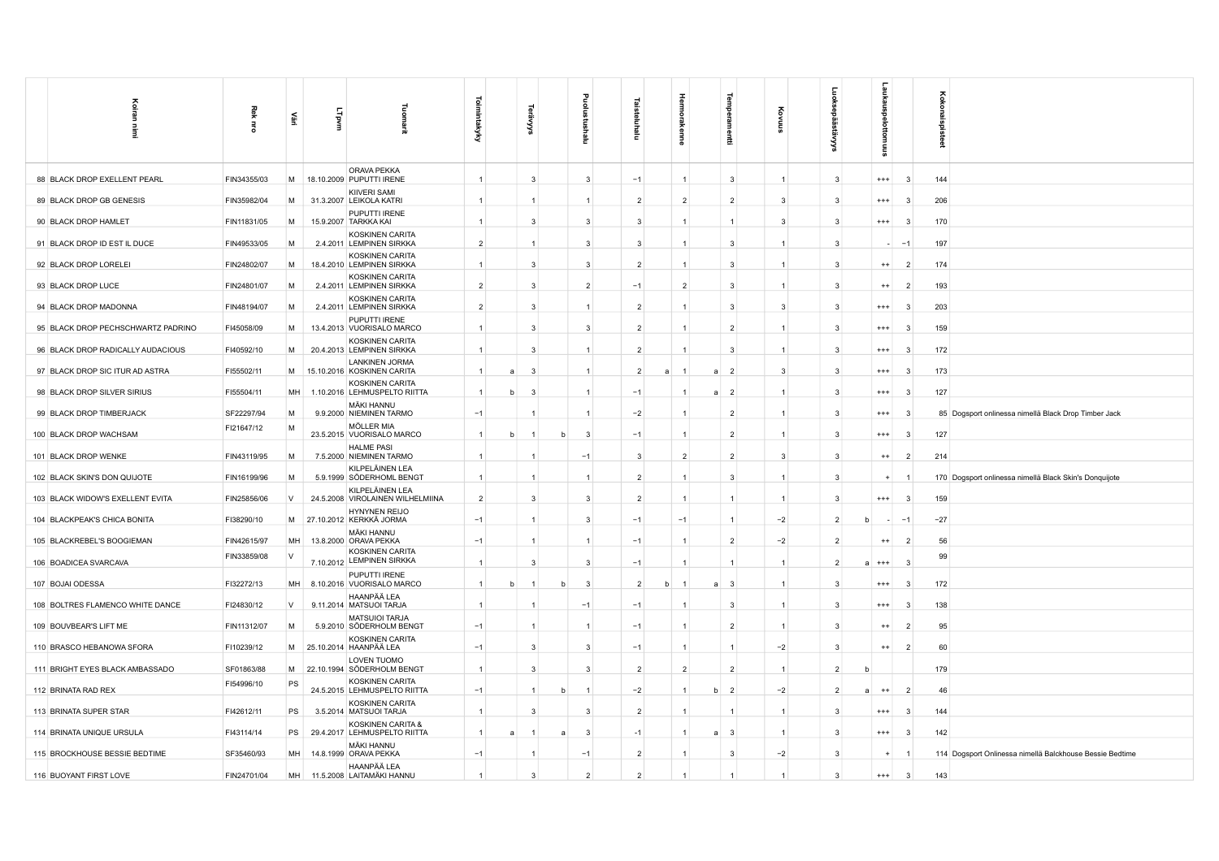| Koiran<br>İ                        | Rek<br>Ē    | 蔓      | LTpvm    | Tuon<br>ărit                                           | Toimintakyky   |   | ર્જે           |   | Ξ              | Ξ              |   | Hermol<br>kenne |   | Ē                       | ĝ<br>高         | نو             | snexne <sup>.</sup><br>$\overline{\bullet}$<br>ttomuus |                | oxox<br>g |                                                          |
|------------------------------------|-------------|--------|----------|--------------------------------------------------------|----------------|---|----------------|---|----------------|----------------|---|-----------------|---|-------------------------|----------------|----------------|--------------------------------------------------------|----------------|-----------|----------------------------------------------------------|
| 88 BLACK DROP EXELLENT PEARL       | FIN34355/03 | M      |          | ORAVA PEKKA<br>18.10.2009 PUPUTTI IRENE                | $\overline{1}$ |   | $\mathbf{3}$   |   | 3              | $-1$           |   | $\mathbf{1}$    |   | 3                       | $\mathbf{1}$   | 3              | $^{+++}$                                               | -3             | 144       |                                                          |
| 89 BLACK DROP GB GENESIS           | FIN35982/04 | M      |          | <b>KIIVERI SAMI</b><br>31.3.2007 LEIKOLA KATRI         | $\mathbf{1}$   |   | $\overline{1}$ |   | $\overline{1}$ | $\overline{2}$ |   | $\overline{2}$  |   | $\overline{2}$          | 3              | 3              | $^{+++}$                                               | 3              | 206       |                                                          |
| 90 BLACK DROP HAMLET               | FIN11831/05 | M      |          | PUPUTTI IRENE<br>15.9.2007 TARKKA KAI                  | $\overline{1}$ |   | 3              |   | $\mathbf{3}$   | 3              |   | $\mathbf{1}$    |   | $\mathbf{1}$            | 3              | 3              | $^{+++}$                                               | - 3            | 170       |                                                          |
| 91 BLACK DROP ID EST IL DUCE       | FIN49533/05 | M      | 2.4.2011 | KOSKINEN CARITA<br><b>LEMPINEN SIRKKA</b>              | $\overline{2}$ |   | $\overline{1}$ |   | $\mathbf{3}$   | 3              |   | $\mathbf{1}$    |   | 3                       | $\overline{1}$ | 3              |                                                        | $-1$           | 197       |                                                          |
| 92 BLACK DROP LORELEI              | FIN24802/07 | M      |          | KOSKINEN CARITA<br>18.4.2010 LEMPINEN SIRKKA           | $\mathbf{1}$   |   | $\mathbf{3}$   |   | 3              | $\overline{2}$ |   | $\mathbf{1}$    |   | 3                       | $\overline{1}$ | 3              | $^{++}$                                                | $\overline{2}$ | 174       |                                                          |
| 93 BLACK DROP LUCE                 | FIN24801/07 | M      |          | KOSKINEN CARITA<br>2.4.2011 LEMPINEN SIRKKA            | $\overline{2}$ |   | $\mathbf{3}$   |   | $\overline{2}$ | $-1$           |   | $\overline{2}$  |   | 3                       | $\overline{1}$ | 3              | $^{++}$                                                | $\overline{2}$ | 193       |                                                          |
| 94 BLACK DROP MADONNA              | FIN48194/07 | M      |          | <b>KOSKINEN CARITA</b><br>2.4.2011 LEMPINEN SIRKKA     | $\overline{2}$ |   | 3              |   | $\mathbf{1}$   | $\overline{2}$ |   | $\mathbf{1}$    |   | 3                       | 3              | 3              | $^{+++}$                                               | -3             | 203       |                                                          |
| 95 BLACK DROP PECHSCHWARTZ PADRINO | FI45058/09  | M      |          | PUPUTTI IRENE<br>13.4.2013 VUORISALO MARCO             | $\mathbf{1}$   |   | $\mathbf{3}$   |   | $\mathbf{3}$   | $\overline{2}$ |   | $\mathbf{1}$    |   | $\overline{2}$          | $\mathbf{1}$   | 3              | $^{+++}$                                               | 3              | 159       |                                                          |
| 96 BLACK DROP RADICALLY AUDACIOUS  | FI40592/10  | M      |          | KOSKINEN CARITA<br>20.4.2013 LEMPINEN SIRKKA           | $\mathbf{1}$   |   | $\overline{3}$ |   | $\overline{1}$ | $\overline{2}$ |   |                 |   | 3                       | $\overline{1}$ | 3              | $^{+++}$                                               | -3             | 172       |                                                          |
| 97 BLACK DROP SIC ITUR AD ASTRA    | FI55502/11  | M      |          | <b>LANKINEN JORMA</b><br>15.10.2016 KOSKINEN CARITA    | $\mathbf{1}$   | a | -3             |   | $\overline{1}$ | $\overline{2}$ | a |                 | a | $\overline{2}$          | 3              | 3              | $^{+++}$                                               | 3              | 173       |                                                          |
| 98 BLACK DROP SILVER SIRIUS        | FI55504/11  | MH     |          | <b>KOSKINEN CARITA</b><br>1.10.2016 LEHMUSPELTO RIITTA | $\overline{1}$ | b | -3             |   | -1             | $-1$           |   | -1              | a | $\overline{2}$          | $\overline{1}$ | 3              | $^{+++}$                                               | - 3            | 127       |                                                          |
| 99 BLACK DROP TIMBERJACK           | SF22297/94  | M      |          | MÄKI HANNU<br>9.9.2000 NIEMINEN TARMO                  | $-1$           |   |                |   | $\overline{1}$ | $-2$           |   | 1               |   | $\overline{2}$          | $\mathbf{1}$   | 3              | $^{+++}$                                               | -3             |           | 85 Dogsport onlinessa nimellä Black Drop Timber Jack     |
| 100 BLACK DROP WACHSAM             | FI21647/12  | M      |          | MÖLLER MIA<br>23.5.2015 VUORISALO MARCO                | $\overline{1}$ | b |                |   | 3              | $-1$           |   | $\mathbf{1}$    |   | $\overline{2}$          | $\overline{1}$ | 3              | $^{++}$                                                | -3             | 127       |                                                          |
| 101 BLACK DROP WENKE               | FIN43119/95 | M      |          | <b>HALME PASI</b><br>7.5.2000 NIEMINEN TARMO           | $\mathbf{1}$   |   | $\overline{1}$ |   | $-1$           | 3              |   | $\overline{2}$  |   | $\overline{2}$          | 3              | 3              | $^{++}$                                                | $\overline{2}$ | 214       |                                                          |
| 102 BLACK SKIN'S DON QUIJOTE       | FIN16199/96 | M      |          | KILPELÄINEN LEA<br>5.9.1999 SÖDERHOML BENGT            | -1             |   | $\overline{1}$ |   | -1             | $\overline{2}$ |   | $\mathbf{1}$    |   | 3                       | -1             | 3              | $+$                                                    |                |           | 170 Dogsport onlinessa nimellä Black Skin's Donquijote   |
| 103 BLACK WIDOW'S EXELLENT EVITA   | FIN25856/06 | V      |          | KILPELÄINEN LEA<br>24.5.2008 VIROLAINEN WILHELMIINA    | $\overline{2}$ |   | $\mathbf{3}$   |   | $\mathbf{3}$   | $\overline{2}$ |   | $\mathbf{1}$    |   | $\mathbf{1}$            | $\mathbf{1}$   | 3              | $^{+++}$                                               | - 3            | 159       |                                                          |
| 104 BLACKPEAK'S CHICA BONITA       | FI38290/10  |        |          | <b>HYNYNEN REIJO</b><br>M 27.10.2012 KERKKÄ JORMA      | $-1$           |   | $\overline{1}$ |   | 3              | $-1$           |   | $-1$            |   | $\mathbf{1}$            | $-2$           | $\overline{2}$ |                                                        | $-1$           | $-27$     |                                                          |
| 105 BLACKREBEL'S BOOGIEMAN         | FIN42615/97 | MH     |          | MÄKI HANNU<br>13.8.2000 ORAVA PEKKA                    | $-1$           |   | $\overline{1}$ |   | $\mathbf{1}$   | $-1$           |   | 1               |   | $\overline{2}$          | $-2$           | $\overline{2}$ | $^{++}$                                                | $\overline{2}$ | 56        |                                                          |
| 106 BOADICEA SVARCAVA              | FIN33859/08 | $\vee$ |          | <b>KOSKINEN CARITA</b><br>7.10.2012 LEMPINEN SIRKKA    | $\overline{1}$ |   | 3              |   | 3              | $-1$           |   | $\overline{1}$  |   | $\mathbf{1}$            | $\mathbf{1}$   | $\overline{2}$ | $^{+++}$                                               | - 3            | 99        |                                                          |
| 107 BOJAI ODESSA                   | FI32272/13  | MH     |          | PUPUTTI IRENE<br>8.10.2016 VUORISALO MARCO             | $\overline{1}$ | b | -1             | b | 3              | $\overline{2}$ | b | $\overline{1}$  | a | $\overline{\mathbf{3}}$ | $\mathbf{1}$   | 3              | $^{+++}$                                               | -3             | 172       |                                                          |
| 108 BOLTRES FLAMENCO WHITE DANCE   | FI24830/12  | V      |          | HAANPÄÄ LEA<br>9.11.2014 MATSUOI TARJA                 | $\overline{1}$ |   |                |   | $-1$           | $-1$           |   |                 |   | 3                       | $\overline{1}$ | 3              | $^{***}$                                               | 3              | 138       |                                                          |
| 109 BOUVBEAR'S LIFT ME             | FIN11312/07 | M      |          | <b>MATSUIOI TARJA</b><br>5.9.2010 SÖDERHOLM BENGT      | $-1$           |   | $\overline{1}$ |   |                | $-1$           |   | 1               |   | $\overline{2}$          | $\overline{1}$ | 3              | $^{++}$                                                | $\overline{2}$ | 95        |                                                          |
| 110 BRASCO HEBANOWA SFORA          | FI10239/12  |        |          | KOSKINEN CARITA<br>M 25.10.2014 HAANPÄÄ LEA            | $-1$           |   | $\mathbf{3}$   |   | 3              | $-1$           |   | $\mathbf{1}$    |   | $\mathbf{1}$            | $-2$           | 3              | $^{++}$                                                | $\overline{2}$ | 60        |                                                          |
| 111 BRIGHT EYES BLACK AMBASSADO    | SF01863/88  | M      |          | <b>LOVEN TUOMO</b><br>22.10.1994 SÖDERHOLM BENGT       | $\overline{1}$ |   | $\mathbf{3}$   |   | $\mathbf{3}$   | $\overline{2}$ |   | $\overline{2}$  |   | $\overline{2}$          | $\overline{1}$ | $\overline{2}$ |                                                        |                | 179       |                                                          |
| 112 BRINATA RAD REX                | FI54996/10  | PS     |          | KOSKINEN CARITA<br>24.5.2015 LEHMUSPELTO RIITTA        | $-1$           |   | $\overline{1}$ |   |                | $-2$           |   | 1               | h | $\overline{2}$          | $-2$           | $\overline{2}$ | $^{++}$                                                | $\overline{2}$ | 46        |                                                          |
| 113 BRINATA SUPER STAR             | FI42612/11  | PS     |          | KOSKINEN CARITA<br>3.5.2014 MATSUOI TARJA              | $\mathbf{1}$   |   | 3              |   | 3              | $\overline{2}$ |   | 1               |   | $\mathbf{1}$            | $\overline{1}$ | 3              | $^{+++}$                                               | 3              | 144       |                                                          |
| 114 BRINATA UNIQUE URSULA          | FI43114/14  | PS     |          | KOSKINEN CARITA &<br>29.4.2017 LEHMUSPELTO RIITTA      | $\overline{1}$ |   | $\overline{1}$ |   | 3              | $-1$           |   | 1               |   | $\overline{\mathbf{3}}$ | $\mathbf{1}$   | 3              | $^{+++}$                                               | - 3            | 142       |                                                          |
| 115 BROCKHOUSE BESSIE BEDTIME      | SF35460/93  | MH     |          | MÄKI HANNU<br>14.8.1999 ORAVA PEKKA                    | $-1$           |   | $\overline{1}$ |   | $-1$           | $\overline{2}$ |   | 1               |   | $\overline{\mathbf{3}}$ | $-2$           | 3              | $\ddot{}$                                              |                |           | 114 Dogsport Onlinessa nimellä Balckhouse Bessie Bedtime |
| 116 BUOYANT FIRST LOVE             | FIN24701/04 | MH     |          | HAANPÄÄ LEA<br>11.5.2008 LAITAMÄKI HANNU               | $\mathbf{1}$   |   | 3              |   | $\overline{2}$ | $\overline{2}$ |   |                 |   |                         |                | 3              | $^{+++}$                                               | 3              | 143       |                                                          |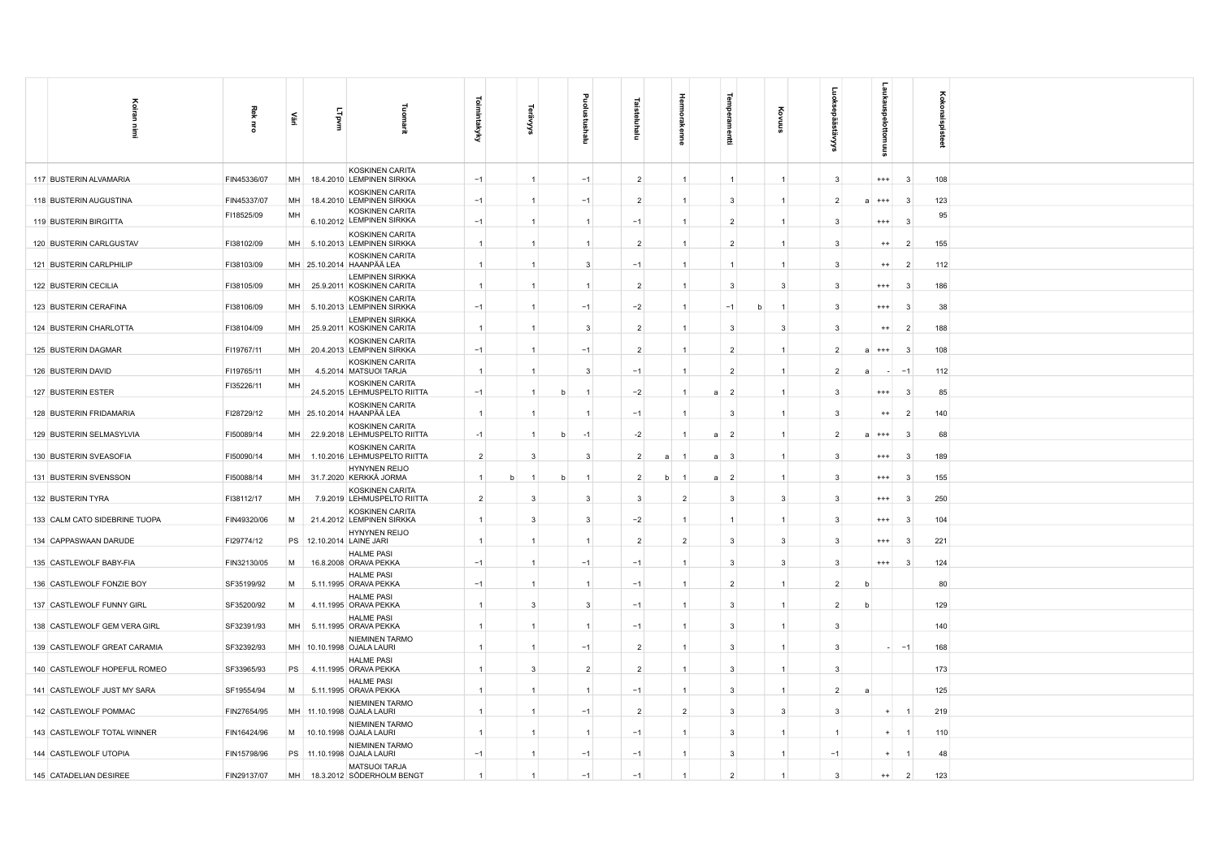| Koiran                        | Rek         |           |       |                                                                    | ō              |                |   |                |                |   |                | 큧                                |                              |                |                            |                          |                |                 |
|-------------------------------|-------------|-----------|-------|--------------------------------------------------------------------|----------------|----------------|---|----------------|----------------|---|----------------|----------------------------------|------------------------------|----------------|----------------------------|--------------------------|----------------|-----------------|
| Ì                             | $\vec{5}$   | £         | LTpvm | 긮                                                                  | mintakyky      | '≍             |   | Ξ              | Ξ              |   |                | 툪                                |                              | تِوَ           |                            |                          |                | Kokonaispisteet |
| 117 BUSTERIN ALVAMARIA        | FIN45336/07 | MH        |       | KOSKINEN CARITA<br>18.4.2010 LEMPINEN SIRKKA                       | $-1$           | $\overline{1}$ |   | $-1$           | $\overline{2}$ |   |                |                                  | $\overline{1}$               | -3             | $+++$                      |                          | -3             | 108             |
| 118 BUSTERIN AUGUSTINA        | FIN45337/07 | MH        |       | KOSKINEN CARITA<br>18.4.2010 LEMPINEN SIRKKA                       | $-1$           | $\mathbf{1}$   |   | $-1$           | $\overline{2}$ |   |                | $\mathbf{3}$                     | $\overline{1}$               | $\overline{2}$ | a<br>$^{+++}$              | -3                       |                | 123             |
| 119 BUSTERIN BIRGITTA         | FI18525/09  | MH        |       | KOSKINEN CARITA<br>6.10.2012 LEMPINEN SIRKKA                       | $-1$           | -1             |   | -1             | $-1$           |   | $\overline{1}$ | $\overline{2}$                   |                              | -3             | $^{+++}$                   |                          | -3             | 95              |
| 120 BUSTERIN CARLGUSTAV       | FI38102/09  |           |       | KOSKINEN CARITA<br>MH 5.10.2013 LEMPINEN SIRKKA                    | $\overline{1}$ | $\mathbf{1}$   |   |                | $\overline{2}$ |   | $\mathbf{1}$   | $\overline{2}$                   | $\overline{1}$               | -3             | $^{++}$                    |                          | $\overline{2}$ | 155             |
| 121 BUSTERIN CARLPHILIP       | FI38103/09  |           |       | KOSKINEN CARITA<br>MH 25.10.2014 HAANPÄÄ LEA                       | $\overline{1}$ | -1             |   | 3              | $-1$           |   |                |                                  |                              | $\mathbf{B}$   | $^{++}$                    |                          | -2             | 112             |
| 122 BUSTERIN CECILIA          | FI38105/09  | MH        |       | <b>LEMPINEN SIRKKA</b><br>25.9.2011 KOSKINEN CARITA                | $\mathbf{1}$   | -1             |   |                | $\mathcal{P}$  |   |                | $\mathbf{3}$                     | ঽ                            | $\mathbf{B}$   | $^{+++}$                   |                          | -9             | 186             |
| 123 BUSTERIN CERAFINA         | FI38106/09  |           |       | KOSKINEN CARITA<br>MH 5.10.2013 LEMPINEN SIRKKA                    | $-1$           | -1             |   | $-1$           | $-2$           |   | $\overline{1}$ | $-1$                             | h<br>$\overline{\mathbf{1}}$ | -3             | $^{++}$                    |                          | -3             | 38              |
| 124 BUSTERIN CHARLOTTA        | FI38104/09  | MH        |       | <b>LEMPINEN SIRKKA</b><br>25.9.2011 KOSKINEN CARITA                | $\overline{1}$ | $\mathbf{1}$   |   | 3              | $\overline{2}$ |   |                | $\mathbf{3}$                     | -3                           | -3             | $^{++}$                    |                          | $\overline{2}$ | 188             |
| 125 BUSTERIN DAGMAR           | FI19767/11  | MH        |       | KOSKINEN CARITA<br>20.4.2013 LEMPINEN SIRKKA<br>KOSKINEN CARITA    | $-1$           | $\mathbf{1}$   |   | $-1$           | $\overline{2}$ |   |                | $\overline{2}$                   |                              | $\overline{2}$ | $^{+++}$<br>$\overline{a}$ |                          | -3             | 108             |
| 126 BUSTERIN DAVID            | FI19765/11  | MH        |       | 4.5.2014 MATSUOI TARJA                                             | $\overline{1}$ | $\overline{1}$ |   | 3              | $-1$           |   |                | $\overline{2}$                   |                              |                | я                          | $\overline{\phantom{a}}$ |                | 112             |
| 127 BUSTERIN ESTER            | FI35226/11  | MH        |       | KOSKINEN CARITA<br>24.5.2015 LEHMUSPELTO RIITTA                    | $-1$           | -1             | h | -1             | $-2$           |   | -1             | $\overline{2}$<br>a              | $\overline{1}$               | $\mathbf{B}$   | $^{+++}$                   |                          | -3             | 85              |
| 128 BUSTERIN FRIDAMARIA       | FI28729/12  |           |       | KOSKINEN CARITA<br>MH 25.10.2014 HAANPÄÄ LEA                       | $\overline{1}$ | $\mathbf{1}$   |   |                | $-1$           |   |                | $\mathbf{3}$                     | $\overline{1}$               | -3             | $^{++}$                    |                          | $\overline{2}$ | 140             |
| 129 BUSTERIN SELMASYLVIA      | FI50089/14  | <b>MH</b> |       | KOSKINEN CARITA<br>22.9.2018 LEHMUSPELTO RIITTA                    | $-1$           | $\mathbf{1}$   | h | $-1$           | $-2$           |   |                | $\overline{2}$                   |                              | $\overline{2}$ | $^{+++}$<br>a              |                          |                | 68              |
| 130 BUSTERIN SVEASOFIA        | FI50090/14  | <b>MH</b> |       | KOSKINEN CARITA<br>1.10.2016 LEHMUSPELTO RIITTA                    | $\overline{2}$ | 3              |   | 3              | $\overline{2}$ | a |                | $\overline{3}$<br>$\overline{a}$ | $\overline{1}$               |                | $^{++}$                    |                          |                | 189             |
| 131 BUSTERIN SVENSSON         | FI50088/14  |           |       | <b>HYNYNEN REIJO</b><br>MH 31.7.2020 KERKKÄ JORMA                  | $\overline{1}$ | $\mathbf{1}$   | h | $\overline{1}$ | $\overline{2}$ | h |                | $\overline{2}$<br>a              | $\overline{1}$               | -3             | $^{+++}$                   |                          | 3              | 155             |
| 132 BUSTERIN TYRA             | FI38112/17  | MH        |       | KOSKINEN CARITA<br>7.9.2019 LEHMUSPELTO RIITTA                     | $\overline{2}$ | 3              |   | 3              | $\overline{3}$ |   | $\overline{2}$ | $\mathbf{3}$                     | $\mathbf{3}$                 | $\mathbf{3}$   | $^{+++}$                   | -3                       |                | 250             |
| 133 CALM CATO SIDEBRINE TUOPA | FIN49320/06 | M         |       | KOSKINEN CARITA<br>21.4.2012 LEMPINEN SIRKKA                       | $\overline{1}$ | $\mathbf{3}$   |   | 3              | $-2$           |   |                |                                  |                              | -3             | $+++$                      |                          | -3             | 104             |
| 134 CAPPASWAAN DARUDE         | FI29774/12  |           |       | HYNYNEN REIJO<br>PS 12.10.2014 LAINE JARI                          | $\overline{1}$ | $\mathbf{1}$   |   |                | $\overline{2}$ |   | $\overline{2}$ | 3                                | 3                            | -3             | $^{+++}$                   |                          | -3             | 221             |
| 135 CASTLEWOLF BABY-FIA       | FIN32130/05 | M         |       | <b>HALME PASI</b><br>16.8.2008 ORAVA PEKKA                         | $-1$           | -1             |   | $-1$           | $-1$           |   |                | $\mathbf{3}$                     | -3                           | 3              | $^{+++}$                   |                          | - 3            | 124             |
| 136 CASTLEWOLF FONZIE BOY     | SF35199/92  | M         |       | <b>HALME PASI</b><br>5.11.1995 ORAVA PEKKA                         | $-1$           | $\mathbf{1}$   |   | $\mathbf{1}$   | $-1$           |   | $\overline{1}$ | $\overline{2}$                   | $\overline{1}$               | $\overline{2}$ | b                          |                          |                | 80              |
| 137 CASTLEWOLF FUNNY GIRL     | SF35200/92  | M         |       | <b>HALME PASI</b><br>4.11.1995 ORAVA PEKKA                         | $\overline{1}$ | $\mathbf{3}$   |   | 3              | $-1$           |   |                | 3                                |                              | $\mathcal{P}$  | b                          |                          |                | 129             |
| 138 CASTLEWOLF GEM VERA GIRL  | SF32391/93  | MH        |       | <b>HALME PASI</b><br>5.11.1995 ORAVA PEKKA                         |                | $\overline{1}$ |   |                | $-1$           |   |                | 3                                |                              |                |                            |                          |                | 140             |
| 139 CASTLEWOLF GREAT CARAMIA  | SF32392/93  |           |       | NIEMINEN TARMO<br>MH 10.10.1998 OJALA LAURI                        | $\overline{1}$ | -1             |   | $-1$           | $\overline{2}$ |   |                | $\mathbf{3}$                     | $\overline{\mathbf{1}}$      | 3              |                            | $-1$                     |                | 168             |
| 140 CASTLEWOLF HOPEFUL ROMEO  | SF33965/93  |           |       | <b>HALME PASI</b><br>PS 4.11.1995 ORAVA PEKKA<br><b>HALME PASI</b> | $\overline{1}$ | 3              |   | $\overline{2}$ | $\overline{2}$ |   | $\overline{1}$ | $\mathbf{3}$                     | $\overline{1}$               | 3              |                            |                          |                | 173             |
| 141 CASTLEWOLF JUST MY SARA   | SF19554/94  | M         |       | 5.11.1995 ORAVA PEKKA<br>NIEMINEN TARMO                            | $\overline{1}$ | $\overline{1}$ |   |                | $-1$           |   |                | 3                                | $\overline{1}$               | $\overline{2}$ | a                          |                          |                | 125             |
| 142 CASTLEWOLF POMMAC         | FIN27654/95 |           |       | MH 11.10.1998 OJALA LAURI<br>NIEMINEN TARMO                        |                | $\overline{1}$ |   | $-1$           | $\overline{2}$ |   | $\overline{2}$ | 3                                | 3                            | -3             |                            | $+$                      |                | 219             |
| 143 CASTLEWOLF TOTAL WINNER   | FIN16424/96 |           |       | M 10.10.1998 OJALA LAURI<br>NIEMINEN TARMO                         | $\overline{1}$ | -1             |   |                | $-1$           |   |                | 3                                |                              |                |                            |                          |                | 110             |
| 144 CASTLEWOLF UTOPIA         | FIN15798/96 |           |       | PS 11.10.1998 OJALA LAURI<br>MATSUOI TARJA                         | $-1$           | $\mathbf{1}$   |   | $-1$           | $-1$           |   |                | $\mathbf{3}$                     | $\mathbf{1}$                 | $-1$           |                            | <b>A</b>                 |                | 48              |
| 145 CATADELIAN DESIREE        | FIN29137/07 | MH        |       | 18.3.2012 SÖDERHOLM BENGT                                          |                |                |   | $-1$           | $-1$           |   |                | $\overline{2}$                   |                              | $\mathbf{3}$   |                            | $++$                     | $\overline{2}$ | 123             |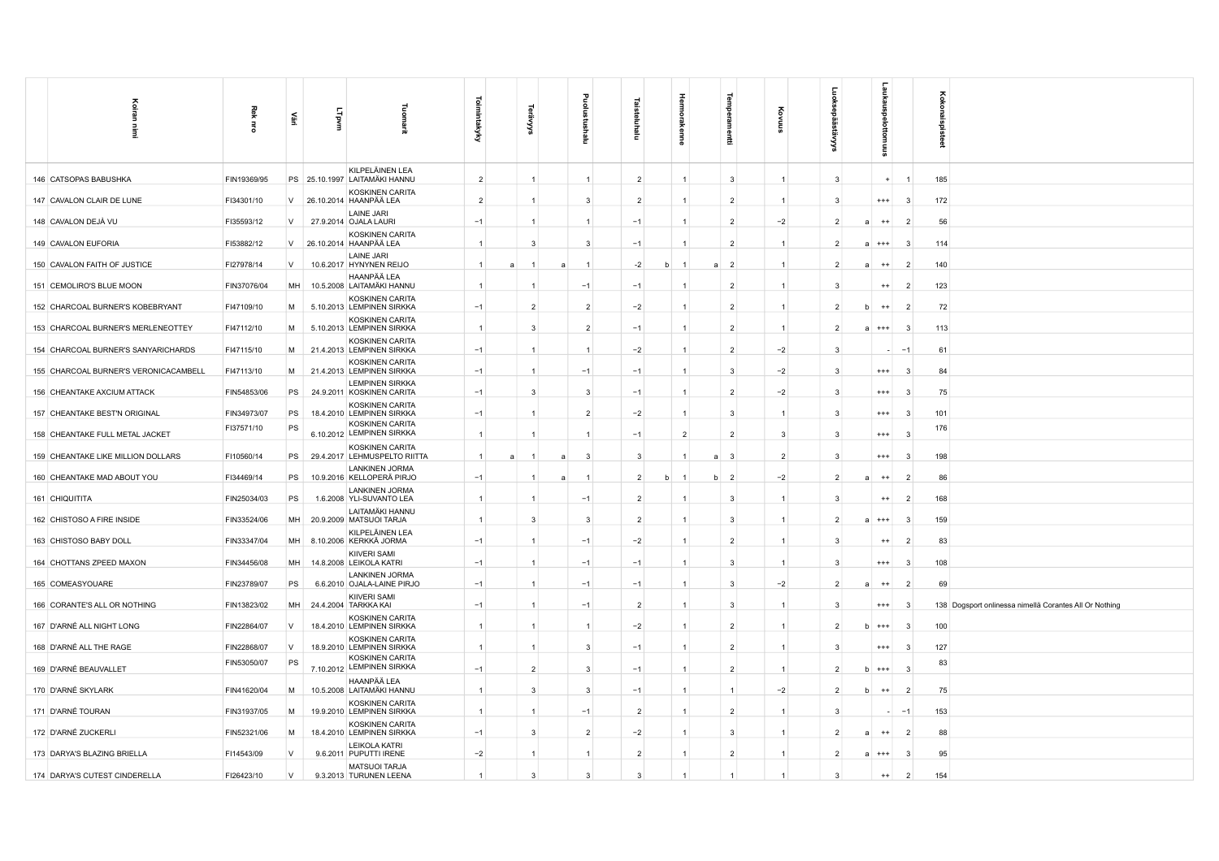| Koiran<br>İ                           | Rek<br>$\overline{5}$ | 쁲         | LTpvm | 긮                                                   | Toimintakyky      | દ્ભ            | $\circ$<br>Ξ   |                | $\bar{\epsilon}$ | Hermon<br>kenne   |                     |                |                | ᇑ                         |                         | <b>Soko</b><br>š<br>ු                                  |
|---------------------------------------|-----------------------|-----------|-------|-----------------------------------------------------|-------------------|----------------|----------------|----------------|------------------|-------------------|---------------------|----------------|----------------|---------------------------|-------------------------|--------------------------------------------------------|
| 146 CATSOPAS BABUSHKA                 | FIN19369/95           |           |       | KILPELÄINEN LEA<br>PS 25.10.1997 LAITAMÄKI HANNU    | $\overline{2}$    | $\overline{1}$ | $\overline{1}$ |                | $\overline{2}$   | $\mathbf{1}$      | 3                   | $\overline{1}$ | $\mathbf{3}$   |                           |                         | 185                                                    |
| 147 CAVALON CLAIR DE LUNE             | FI34301/10            | V         |       | KOSKINEN CARITA<br>26.10.2014 HAANPÄÄ LEA           | $\overline{2}$    |                | $\mathbf{3}$   |                | $\overline{2}$   | 1                 | $\overline{2}$      | $\mathbf{1}$   | 3              | $^{+++}$                  | $\mathbf{3}$            | 172                                                    |
| 148 CAVALON DEJÀ VU                   | FI35593/12            | V         |       | LAINE JARI<br>27.9.2014 OJALA LAURI                 | $-1$              |                | $\overline{1}$ |                | $-1$             | $\mathbf{1}$      | $\overline{2}$      | $-2$           | $\overline{2}$ | $^{++}$                   | $\overline{2}$          | 56                                                     |
| 149 CAVALON EUFORIA                   | FI53882/12            | V         |       | KOSKINEN CARITA<br>26.10.2014 HAANPÄÄ LEA           | $\mathbf{1}$      | $\overline{3}$ |                | $\mathbf{3}$   | $-1$             | 1                 | $\overline{2}$      | $\mathbf{1}$   | $\overline{2}$ | $a + + +$                 | -3                      | 114                                                    |
| 150 CAVALON FAITH OF JUSTICE          | FI27978/14            | V         |       | LAINE JARI<br>10.6.2017 HYNYNEN REIJO               | $\mathbf{1}$<br>a | $\overline{a}$ | $\overline{1}$ |                | $-2$             | h<br>$\mathbf{1}$ | $\overline{2}$<br>a | $\mathbf{1}$   | $\overline{2}$ | $^{++}$<br>$\overline{a}$ | $\overline{2}$          | 140                                                    |
| 151 CEMOLIRO'S BLUE MOON              | FIN37076/04           | MH        |       | HAANPÄÄ LEA<br>10.5.2008 LAITAMÄKI HANNU            |                   |                | $-1$           |                | $-1$             |                   | $\overline{2}$      | $\mathbf{1}$   | 3              | $^{++}$                   | $\overline{2}$          | 123                                                    |
| 152 CHARCOAL BURNER'S KOBEBRYANT      | FI47109/10            | M         |       | <b>KOSKINEN CARITA</b><br>5.10.2013 LEMPINEN SIRKKA | $-1$              | $\overline{2}$ |                | $\overline{2}$ | $-2$             | $\mathbf{1}$      | $\overline{2}$      | 1              | $\overline{2}$ | $^{++}$<br>h              | $\overline{2}$          | 72                                                     |
| 153 CHARCOAL BURNER'S MERLENEOTTEY    | FI47112/10            | M         |       | KOSKINEN CARITA<br>5.10.2013 LEMPINEN SIRKKA        | $\mathbf{1}$      | $\mathbf{3}$   |                | $\overline{2}$ | $-1$             | 1                 | $\overline{2}$      | $\mathbf{1}$   | $\overline{2}$ | $A + + +$                 | -3                      | 113                                                    |
| 154 CHARCOAL BURNER'S SANYARICHARDS   | FI47115/10            | M         |       | KOSKINEN CARITA<br>21.4.2013 LEMPINEN SIRKKA        | $-1$              | $\overline{1}$ | $\mathbf{1}$   |                | $-2$             | $\mathbf{1}$      | $\overline{2}$      | $-2$           | 3              |                           | $-1$                    | 61                                                     |
| 155 CHARCOAL BURNER'S VERONICACAMBELL | FI47113/10            | M         |       | KOSKINEN CARITA<br>21.4.2013 LEMPINEN SIRKKA        | $-1$              | $\overline{1}$ | $-1$           |                | $-1$             | 1                 | 3                   | $-2$           | 3              | $^{+++}$                  | $\mathbf{3}$            | 84                                                     |
| 156 CHEANTAKE AXCIUM ATTACK           | FIN54853/06           | <b>PS</b> |       | <b>LEMPINEN SIRKKA</b><br>24.9.2011 KOSKINEN CARITA | $-1$              | $\overline{3}$ | 3              |                | $-1$             | $\mathbf{1}$      | $\overline{2}$      | $-2$           | $\overline{3}$ | $^{+++}$                  | $\overline{\mathbf{3}}$ | 75                                                     |
| 157 CHEANTAKE BEST'N ORIGINAL         | FIN34973/07           | PS        |       | KOSKINEN CARITA<br>18.4.2010 LEMPINEN SIRKKA        | $-1$              | $\overline{1}$ |                | $\overline{2}$ | $-2$             | $\mathbf{1}$      | 3                   | $\mathbf{1}$   | 3              | $^{+++}$                  | $\mathbf{3}$            | 101                                                    |
| 158 CHEANTAKE FULL METAL JACKET       | FI37571/10            | PS        |       | KOSKINEN CARITA<br>6.10.2012 LEMPINEN SIRKKA        | $\mathbf{1}$      |                |                |                | $-1$             | $\overline{2}$    | $\overline{2}$      | 3              | 3              | $^{++}$                   | $\mathbf{3}$            | 176                                                    |
| 159 CHEANTAKE LIKE MILLION DOLLARS    | FI10560/14            | PS        |       | KOSKINEN CARITA<br>29.4.2017 LEHMUSPELTO RIITTA     | $\mathbf{1}$<br>я | я              | -3             |                | $\mathbf{3}$     |                   | $\mathbf{3}$<br>я   | $\overline{2}$ | 3              | $^{+++}$                  | 3                       | 198                                                    |
| 160 CHEANTAKE MAD ABOUT YOU           | FI34469/14            | PS        |       | LANKINEN JORMA<br>10.9.2016 KELLOPERÄ PIRJO         | $-1$              | -1<br>a        | -1             |                | $\overline{2}$   | b<br>-1           | $\overline{2}$<br>b | $-2$           | $\overline{2}$ | $++$                      | $\overline{2}$          | 86                                                     |
| 161 CHIQUITITA                        | FIN25034/03           | PS        |       | <b>LANKINEN JORMA</b><br>1.6.2008 YLI-SUVANTO LEA   | $\mathbf{1}$      | $\overline{1}$ | $-1$           |                | $\overline{2}$   | $\mathbf{1}$      | $\overline{3}$      | $\overline{1}$ | 3              | $^{++}$                   | $\overline{2}$          | 168                                                    |
| 162 CHISTOSO A FIRE INSIDE            | FIN33524/06           | MH        |       | LAITAMÄKI HANNU<br>20.9.2009 MATSUOI TARJA          | $\overline{1}$    | $\overline{3}$ | 3              |                | $\overline{2}$   | 1                 | 3                   | $\mathbf{1}$   | $\overline{2}$ | $^{+++}$                  | 3                       | 159                                                    |
| 163 CHISTOSO BABY DOLL                | FIN33347/04           |           |       | KILPELÄINEN LEA<br>MH 8.10.2006 KERKKÄ JORMA        | $-1$              | $\overline{1}$ | $-1$           |                | $-2$             | 1                 | $\overline{2}$      | $\mathbf{1}$   | 3              | $^{++}$                   | $\overline{2}$          | 83                                                     |
|                                       |                       | MH        |       | KIIVERI SAMI                                        |                   | $\overline{1}$ | $-1$           |                |                  |                   |                     | $\mathbf{1}$   | 3              | $^{+++}$                  |                         |                                                        |
| 164 CHOTTANS ZPEED MAXON              | FIN34456/08           |           |       | 14.8.2008 LEIKOLA KATRI<br><b>LANKINEN JORMA</b>    | $-1$              |                |                |                | $-1$             | $\mathbf{1}$      | 3                   |                |                |                           | - 3                     | 108                                                    |
| 165 COMEASYOUARE                      | FIN23789/07           | PS        |       | 6.6.2010 OJALA-LAINE PIRJO<br>KIIVERI SAMI          | $-1$              | $\overline{1}$ | $-1$           |                | $-1$             | $\mathbf{1}$      | $\overline{3}$      | $-2$           | $\overline{2}$ | $++$<br>$\overline{a}$    | $\overline{2}$          | 69                                                     |
| 166 CORANTE'S ALL OR NOTHING          | FIN13823/02           | MH        |       | 24.4.2004 TARKKA KAI<br>KOSKINEN CARITA             | $-1$              | -1             | $-1$           |                | $\overline{2}$   | $\mathbf{1}$      | 3                   | -1             | 3              | $^{+++}$                  | $\mathbf{3}$            | 138 Dogsport onlinessa nimellä Corantes All Or Nothing |
| 167 D'ARNÉ ALL NIGHT LONG             | FIN22864/07           | $\vee$    |       | 18.4.2010 LEMPINEN SIRKKA<br>KOSKINEN CARITA        |                   |                |                |                | $-2$             | 1                 | $\overline{2}$      |                | $\overline{2}$ | $b + + +$                 | -3                      | 100                                                    |
| 168 D'ARNÉ ALL THE RAGE               | FIN22868/07           | V         |       | 18.9.2010 LEMPINEN SIRKKA<br><b>KOSKINEN CARITA</b> | $\mathbf{1}$      | $\overline{1}$ | 3              |                | $-1$             | $\mathbf{1}$      | $\overline{2}$      | $\mathbf{1}$   | 3              | $^{+++}$                  | $\mathbf{3}$            | 127                                                    |
| 169 D'ARNÉ BEAUVALLET                 | FIN53050/07           | PS        |       | 7.10.2012 LEMPINEN SIRKKA                           | $-1$              | $\overline{2}$ |                | $\mathbf{3}$   | $-1$             | $\mathbf{1}$      | $\overline{2}$      | $\mathbf{1}$   | $\overline{2}$ | $h$ +++                   | $\overline{\mathbf{3}}$ | 83                                                     |
| 170 D'ARNÉ SKYLARK                    | FIN41620/04           | M         |       | HAANPÄÄ LEA<br>10.5.2008 LAITAMÄKI HANNU            | $\overline{1}$    | $\overline{3}$ |                | 3              | $-1$             | 1                 | $\mathbf{1}$        | $-2$           | $\overline{2}$ | $^{++}$                   | $\overline{2}$          | 75                                                     |
| 171 D'ARNÉ TOURAN                     | FIN31937/05           | M         |       | KOSKINEN CARITA<br>19.9.2010 LEMPINEN SIRKKA        |                   | -1             | $-1$           |                | $\overline{2}$   | 1                 | $\overline{2}$      | -1             | 3              |                           | $-1$                    | 153                                                    |
| 172 D'ARNÉ ZUCKERLI                   | FIN52321/06           | M         |       | KOSKINEN CARITA<br>18.4.2010 LEMPINEN SIRKKA        | $-1$              | 3              | $\overline{2}$ |                | $-2$             | 1                 | 3                   | -1             | 2              | $^{++}$                   | $\overline{2}$          | 88                                                     |
| 173 DARYA'S BLAZING BRIELLA           | FI14543/09            | <b>V</b>  |       | <b>LEIKOLA KATRI</b><br>9.6.2011 PUPUTTI IRENE      | $-2$              | $\mathbf{1}$   |                | $\mathbf{1}$   | $\overline{2}$   | 1                 | $\overline{2}$      | $\mathbf{1}$   | $\overline{2}$ | $a + + +$                 | - 3                     | 95                                                     |
| 174 DARYA'S CUTEST CINDERELLA         | FI26423/10            | $\vee$    |       | <b>MATSUOI TARJA</b><br>9.3.2013 TURUNEN LEENA      | $\mathbf{1}$      | 3              |                | 3              | 3                |                   |                     |                | 3              | $^{++}$                   | $\overline{2}$          | 154                                                    |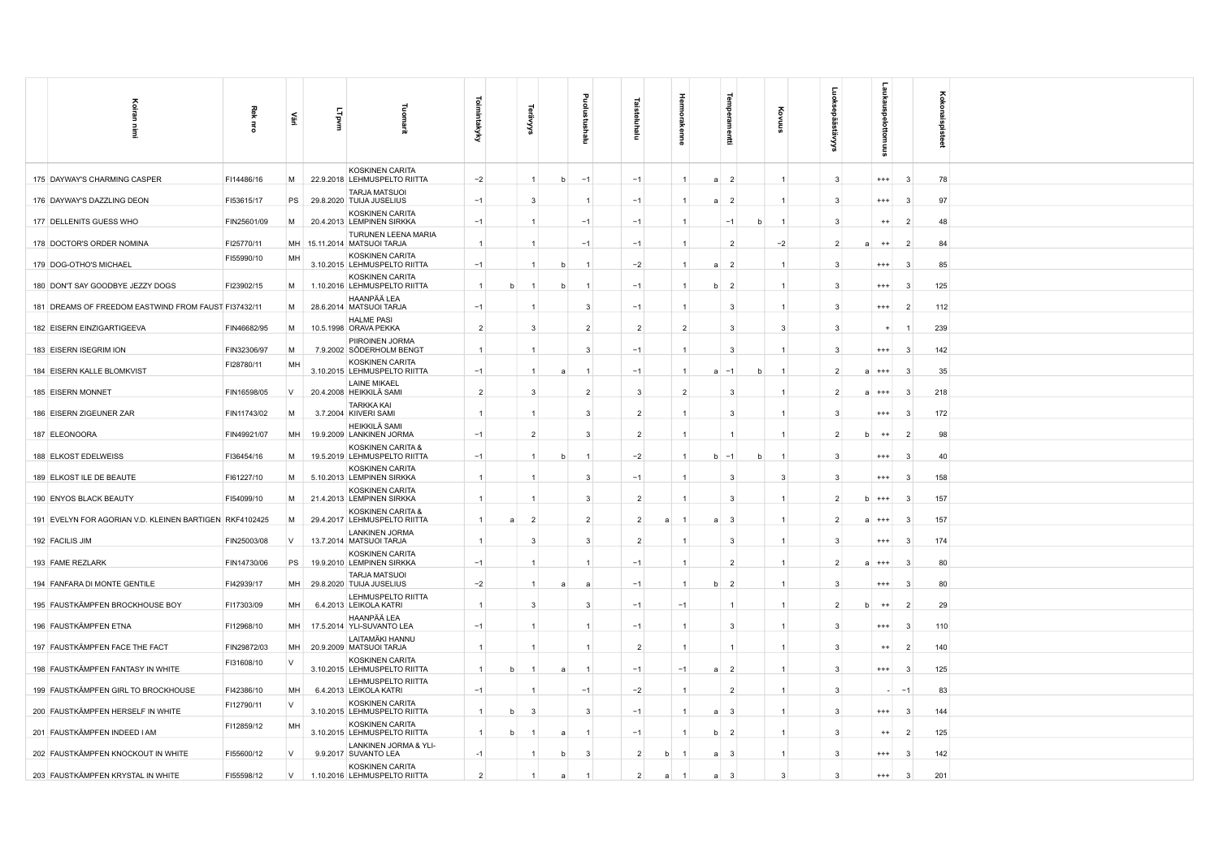|                                                         |                |           |       |                                                       |                     |   |                |                |                |                |                |                |                                  |   |                |                |                            |                | боко        |    |
|---------------------------------------------------------|----------------|-----------|-------|-------------------------------------------------------|---------------------|---|----------------|----------------|----------------|----------------|----------------|----------------|----------------------------------|---|----------------|----------------|----------------------------|----------------|-------------|----|
| 즐                                                       | Rek            | 쁲         | LTpvm | g                                                     | <b>Toimintakyky</b> |   |                |                | ∘              | 亘              |                |                |                                  |   |                |                |                            |                |             |    |
|                                                         | $\overline{5}$ |           |       |                                                       |                     |   |                |                | Ξ              | malu           |                |                |                                  |   |                | š              |                            |                | haispisteet |    |
|                                                         |                |           |       | KOSKINEN CARITA                                       |                     |   |                |                |                |                |                |                |                                  |   |                |                |                            |                |             |    |
| 175 DAYWAY'S CHARMING CASPER                            | FI14486/16     | M         |       | 22.9.2018 LEHMUSPELTO RIITTA                          | $-2$                |   | $\mathbf{1}$   | h              | $-1$           | $-1$           |                |                | $\overline{2}$<br>$\overline{a}$ |   | $\overline{1}$ | 3              | $^{+++}$                   | -3             | 78          |    |
| 176 DAYWAY'S DAZZLING DEON                              | FI53615/17     | PS        |       | <b>TARJA MATSUOI</b><br>29.8.2020 TUIJA JUSELIUS      | $-1$                |   | 3              |                |                | $-1$           |                |                | $\overline{2}$<br>a              |   |                | 3              | $^{+++}$                   | $\mathbf{3}$   |             | 97 |
| 177 DELLENITS GUESS WHO                                 | FIN25601/09    | M         |       | KOSKINEN CARITA<br>20.4.2013 LEMPINEN SIRKKA          | $-1$                |   | $\overline{1}$ |                | $-1$           | $-1$           |                |                | $-1$                             |   | $\overline{1}$ | 3              | $^{++}$                    | $\overline{2}$ |             | 48 |
| 178 DOCTOR'S ORDER NOMINA                               | FI25770/11     |           |       | TURUNEN LEENA MARIA<br>MH 15.11.2014 MATSUOI TARJA    | $\vert$ 1           |   | -1             |                | $-1$           | $-1$           |                |                | $\overline{2}$                   |   | $-2$           | $\overline{2}$ | $^{++}$<br>a               | $\overline{2}$ |             | 84 |
| 179 DOG-OTHO'S MICHAEL                                  | FI55990/10     | MH        |       | KOSKINEN CARITA<br>3.10.2015 LEHMUSPELTO RIITTA       | $-1$                |   |                |                |                | $-2$           |                |                | $\overline{2}$<br>$\overline{a}$ |   |                | 3              | $^{+++}$                   | -3             |             | 85 |
| 180 DON'T SAY GOODBYE JEZZY DOGS                        | FI23902/15     | M         |       | KOSKINEN CARITA<br>1.10.2016 LEHMUSPELTO RIITTA       | $\overline{1}$      |   |                |                |                | $-1$           |                |                | $\overline{2}$<br>h              |   | $\overline{1}$ | 3              | $^{++}$                    | -3             | 125         |    |
| 181 DREAMS OF FREEDOM EASTWIND FROM FAUST FI37432/11    |                | M         |       | HAANPÄÄ LEA<br>28.6.2014 MATSUOI TARJA                | $-1$                |   |                |                | 3              | $-1$           |                |                | -3                               |   |                | 3              | $^{+++}$                   | $\overline{2}$ | 112         |    |
| 182 EISERN EINZIGARTIGEEVA                              | FIN46682/95    | M         |       | <b>HALME PASI</b><br>10.5.1998 ORAVA PEKKA            | $\overline{2}$      |   | 3              |                | $\overline{2}$ | $\overline{2}$ |                | $\overline{2}$ | $\mathbf{3}$                     |   | -3             | 3              |                            |                | 239         |    |
| 183 EISERN ISEGRIM ION                                  | FIN32306/97    | M         |       | PIIROINEN JORMA<br>7.9.2002 SÖDERHOLM BENGT           | $\overline{1}$      |   | $\overline{1}$ |                | 3              | $-1$           |                |                | $\mathbf{3}$                     |   |                | 3              | $^{+++}$                   | 3              | 142         |    |
| 184 EISERN KALLE BLOMKVIST                              | FI28780/11     | MH        |       | KOSKINEN CARITA<br>3.10.2015 LEHMUSPELTO RIITTA       | $-1$                |   | $\mathbf{1}$   | a              |                | $-1$           |                |                | $-1$<br>$\overline{a}$           | h |                | $\overline{2}$ | a<br>$^{+++}$              | $\mathbf{3}$   |             | 35 |
| 185 EISERN MONNET                                       | FIN16598/05    | $\vee$    |       | <b>LAINE MIKAEL</b><br>20.4.2008 HEIKKILÄ SAMI        | $\overline{2}$      |   | 3              |                | $\overline{2}$ | 3              |                | $\overline{2}$ | $\mathbf{3}$                     |   |                | -2             | $^{+++}$<br>a              | -3             | 218         |    |
| 186 EISERN ZIGEUNER ZAR                                 | FIN11743/02    | M         |       | <b>TARKKA KAI</b><br>3.7.2004 KIIVERI SAMI            | $\overline{1}$      |   | -1             |                | з              | $\overline{2}$ |                |                | $\overline{3}$                   |   |                | -3             | $^{+++}$                   | -3             | 172         |    |
| 187 ELEONOORA                                           | FIN49921/07    | MH        |       | HEIKKILÄ SAMI<br>19.9.2009 LANKINEN JORMA             | $-1$                |   | $\overline{2}$ |                | 3              | $\overline{2}$ |                |                |                                  |   |                | $\overline{2}$ | b<br>$^{++}$               | -2             |             | 98 |
| 188 ELKOST EDELWEISS                                    | FI36454/16     | M         |       | KOSKINEN CARITA &<br>19.5.2019 LEHMUSPELTO RIITTA     | $-1$                |   | $\overline{1}$ |                |                | $-2$           |                |                | $-1$<br>h                        |   |                |                | $^{++}$                    | -3             |             | 40 |
| 189 ELKOST ILE DE BEAUTE                                | FI61227/10     | M         |       | KOSKINEN CARITA<br>5.10.2013 LEMPINEN SIRKKA          | $\overline{1}$      |   |                |                | 3              | $-1$           |                |                | $\mathbf{3}$                     |   | $\mathbf{3}$   | 3              | $^{++}$                    | 3              | 158         |    |
|                                                         |                |           |       | KOSKINEN CARITA                                       |                     |   |                |                |                | $\overline{2}$ |                |                |                                  |   |                |                |                            |                |             |    |
| 190 ENYOS BLACK BEAUTY                                  | FI54099/10     | M         |       | 21.4.2013 LEMPINEN SIRKKA<br>KOSKINEN CARITA &        | $\vert$ 1           |   |                |                | 3              |                |                |                | $\overline{\mathbf{3}}$          |   | $\overline{1}$ | $\overline{2}$ | h<br>$^{+++}$              | $\mathbf{3}$   | 157         |    |
| 191 EVELYN FOR AGORIAN V.D. KLEINEN BARTIGEN RKF4102425 |                | M         |       | 29.4.2017 LEHMUSPELTO RIITTA<br><b>LANKINEN JORMA</b> | $\overline{1}$      |   | $\mathcal{P}$  |                | $\overline{2}$ | $\overline{2}$ | $\overline{a}$ |                | $\mathbf{3}$<br>$\overline{a}$   |   | $\overline{1}$ | $\mathcal{P}$  | $\overline{a}$<br>$^{+++}$ | -3             | 157         |    |
| 192 FACILIS JIM                                         | FIN25003/08    | $\vee$    |       | 13.7.2014 MATSUOI TARJA<br>KOSKINEN CARITA            |                     |   | 3              |                | 3              | $\overline{2}$ |                |                | $\overline{3}$                   |   | $\overline{1}$ |                | $^{+++}$                   | -3             | 174         |    |
| 193 FAME REZLARK                                        | FIN14730/06    | PS        |       | 19.9.2010 LEMPINEN SIRKKA<br><b>TARJA MATSUOI</b>     | $-1$                |   | -1             |                |                | $-1$           |                |                | $\overline{2}$                   |   | $\overline{1}$ | -2             | a<br>$^{+++}$              | - 3            | 80          |    |
| 194 FANFARA DI MONTE GENTILE                            | FI42939/17     | MH        |       | 29.8.2020 TUIJA JUSELIUS<br>LEHMUSPELTO RIITTA        | $-2$                |   | $\mathbf{1}$   | $\overline{a}$ | $\overline{a}$ | $-1$           |                |                | $\overline{2}$<br>b              |   | $\overline{1}$ | 3              | $^{++}$                    | $\mathbf{3}$   |             | 80 |
| 195 FAUSTKÄMPFEN BROCKHOUSE BOY                         | FI17303/09     | <b>MH</b> |       | 6.4.2013 LEIKOLA KATRI<br>HAANPÄÄ LEA                 | $\overline{1}$      |   | 3              |                | 3              | $-1$           |                | $-1$           |                                  |   |                |                | $++$<br>h                  | -2             |             | 29 |
| 196 FAUSTKÄMPFEN ETNA                                   | FI12968/10     | MH.       |       | 17.5.2014 YLI-SUVANTO LEA                             | $-1$                |   |                |                |                | $-1$           |                |                | -3                               |   |                | -3             | $^{+++}$                   | -3             | 110         |    |
| 197 FAUSTKÄMPFEN FACE THE FACT                          | FIN29872/03    | MH        |       | LAITAMÄKI HANNU<br>20.9.2009 MATSUOI TARJA            | $\overline{1}$      |   |                |                |                | $\overline{2}$ |                |                | $\mathbf{1}$                     |   |                | -3             | $^{++}$                    | -2             | 140         |    |
| 198 FAUSTKÄMPFEN FANTASY IN WHITE                       | FI31608/10     | $\vee$    |       | KOSKINEN CARITA<br>3.10.2015 LEHMUSPELTO RIITTA       | $\overline{1}$      | h | -1             | $\overline{a}$ | -1             | $-1$           |                | $-1$           | $\overline{2}$<br>a              |   | $\overline{1}$ | 3              | $^{+++}$                   | -3             | 125         |    |
| 199 FAUSTKÄMPFEN GIRL TO BROCKHOUSE                     | FI42386/10     | MH        |       | LEHMUSPELTO RIITTA<br>6.4.2013 LEIKOLA KATRI          | $-1$                |   |                |                | $-1$           | $-2$           |                |                | $\overline{2}$                   |   | $\overline{1}$ | 3              |                            | $\mathcal{L}$  |             | 83 |
| 200 FAUSTKÄMPFEN HERSELF IN WHITE                       | FI12790/11     | V         |       | KOSKINEN CARITA<br>3.10.2015 LEHMUSPELTO RIITTA       | $\overline{1}$      |   | 3              |                | 3              | $-1$           |                |                | $\mathbf{3}$<br>$\overline{a}$   |   | $\overline{1}$ | 3              | $^{++}$                    | -3             | 144         |    |
| 201 FAUSTKÄMPFEN INDEED I AM                            | FI12859/12     | MH        |       | KOSKINEN CARITA<br>3.10.2015 LEHMUSPELTO RIITTA       | -1                  |   |                |                |                | $-1$           |                |                | $\overline{2}$<br>b              |   | $\overline{1}$ | -3             | $^{++}$                    | -2             | 125         |    |
| 202 FAUSTKÄMPFEN KNOCKOUT IN WHITE                      | FI55600/12     | $\vee$    |       | LANKINEN JORMA & YLI-<br>9.9.2017 SUVANTO LEA         | $-1$                |   | -1             | h              | 3              | $\overline{2}$ | b              |                | $\mathbf{3}$<br>a                |   | $\overline{1}$ | $\mathbf{3}$   | $^{+++}$                   | -3             | 142         |    |
| 203 FAUSTKÄMPFEN KRYSTAL IN WHITE                       | FI55598/12     | $\vee$    |       | KOSKINEN CARITA<br>1.10.2016 LEHMUSPELTO RIITTA       | $\overline{2}$      |   |                |                |                | $\overline{2}$ | a              |                | $\mathbf{3}$<br>a                |   | $\mathbf{z}$   | $\mathbf{R}$   | $^{++}$                    | 3              | 201         |    |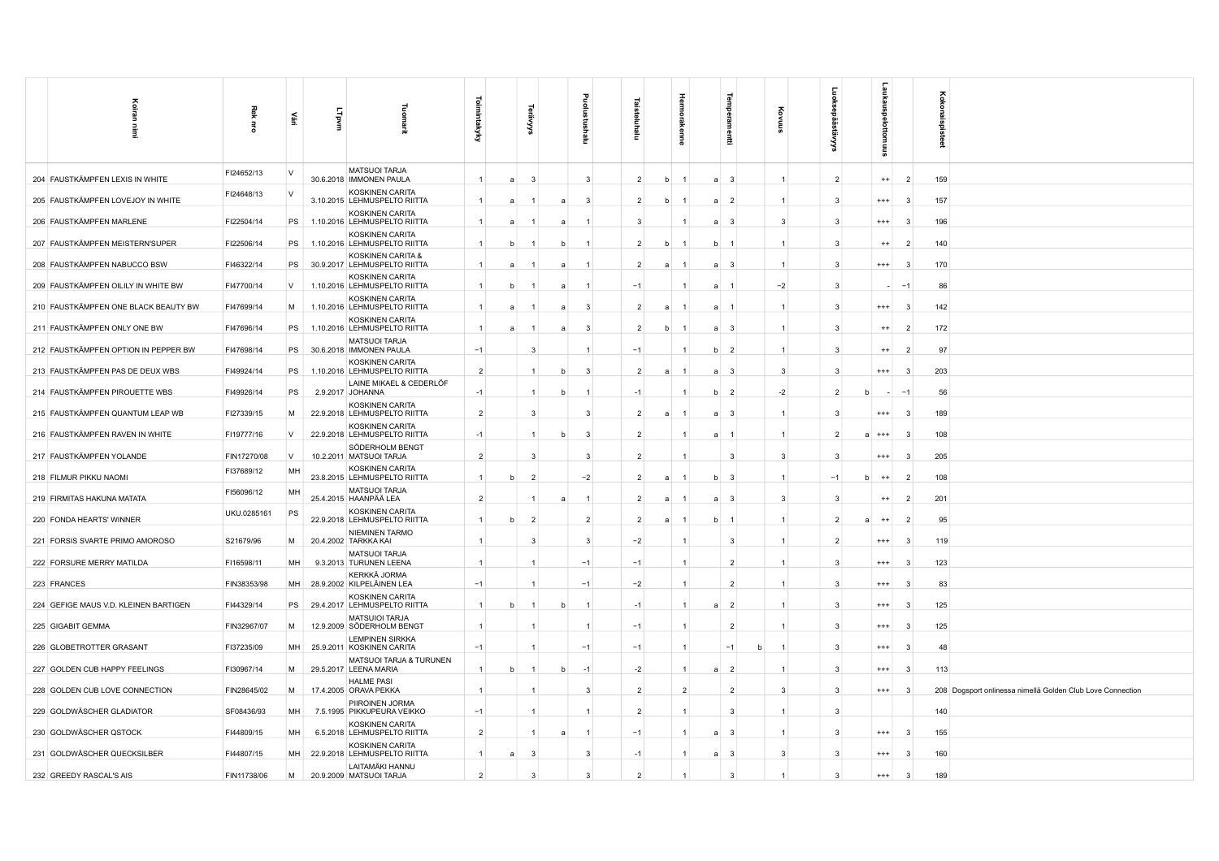| Koiran<br>Ē                           | Rek<br>$\vec{5}$ | 휲        | Lipvm |                                                        | <b>Toimintakyky</b> |                | ⋦                 | E                    |                |                |                | ermpe                            |   |                |                         |              |                | Ö<br>8 |                                                            |
|---------------------------------------|------------------|----------|-------|--------------------------------------------------------|---------------------|----------------|-------------------|----------------------|----------------|----------------|----------------|----------------------------------|---|----------------|-------------------------|--------------|----------------|--------|------------------------------------------------------------|
| 204 FAUSTKÄMPFEN LEXIS IN WHITE       | FI24652/13       | $\vee$   |       | <b>MATSUOI TARJA</b><br>30.6.2018   IMMONEN PAULA      | $\mathbf{1}$        | $\overline{a}$ | $\mathbf{3}$      | $\mathbf{3}$         |                | $\overline{2}$ | <sub>b</sub>   | $\overline{3}$<br>$\overline{a}$ |   | $\mathbf{1}$   | $\overline{2}$          | $++$         | $\overline{2}$ | 159    |                                                            |
| 205 FAUSTKÄMPFEN LOVEJOY IN WHITE     | FI24648/13       | $\vee$   |       | KOSKINEN CARITA<br>3.10.2015 LEHMUSPELTO RIITTA        | $\mathbf{1}$        | $\overline{a}$ | a                 | 3                    |                | $\overline{2}$ | b              | $\overline{2}$<br>a              |   | $\mathbf{1}$   | 3                       | $^{+++}$     | -3             | 157    |                                                            |
| 206 FAUSTKÄMPFEN MARLENE              | FI22504/14       | PS       |       | KOSKINEN CARITA<br>1.10.2016 LEHMUSPELTO RIITTA        | $\mathbf{1}$        | a              | -1<br>a           |                      |                | $\mathbf{3}$   |                | $\mathbf{3}$<br>a                |   | $\overline{3}$ | $\mathbf{3}$            | $^{+++}$     | - 3            | 196    |                                                            |
| 207 FAUSTKÄMPFEN MEISTERN'SUPER       | FI22506/14       | PS       |       | KOSKINEN CARITA<br>1.10.2016 LEHMUSPELTO RIITTA        | $\mathbf{1}$        | b              | $\overline{1}$    | b<br>-1              |                | $\overline{2}$ | b              | b<br>$\overline{1}$              |   | $\mathbf{1}$   | 3                       | $^{++}$      | $\overline{2}$ | 140    |                                                            |
| 208 FAUSTKÄMPFEN NABUCCO BSW          | FI46322/14       | PS       |       | KOSKINEN CARITA &<br>30.9.2017 LEHMUSPELTO RIITTA      | $\mathbf{1}$        | a              |                   |                      |                | $\overline{2}$ | $\overline{a}$ | -3<br>a                          |   | $\mathbf{1}$   | 3                       | $^{+++}$     | -3             | 170    |                                                            |
| 209 FAUSTKÄMPFEN OILILY IN WHITE BW   | FI47700/14       | V        |       | KOSKINEN CARITA<br>1.10.2016 LEHMUSPELTO RIITTA        | $\mathbf{1}$        | h              |                   | а                    |                | $-1$           |                | a<br>$\overline{1}$              |   | $-2$           | -3                      |              |                | 86     |                                                            |
| 210 FAUSTKÄMPFEN ONE BLACK BEAUTY BW  | FI47699/14       | M        |       | KOSKINEN CARITA<br>1.10.2016 LEHMUSPELTO RIITTA        | -1                  | я              | a                 | -3                   |                | $\overline{2}$ | $\mathbf{a}$   | a<br>- 1                         |   | $\mathbf{1}$   | 3                       | $^{+++}$     | - 3            | 142    |                                                            |
| 211 FAUSTKÄMPFEN ONLY ONE BW          | FI47696/14       | PS       |       | KOSKINEN CARITA<br>1.10.2016 LEHMUSPELTO RIITTA        | $\overline{1}$      | a              | $\mathbf{1}$      | -3<br>$\overline{a}$ |                | $\overline{2}$ | b              | a<br>$\overline{\mathbf{3}}$     |   | $\mathbf{1}$   | 3                       | $^{++}$      | $\overline{2}$ | 172    |                                                            |
| 212 FAUSTKÄMPFEN OPTION IN PEPPER BW  | FI47698/14       | PS       |       | <b>MATSUOI TARJA</b><br>30.6.2018 IMMONEN PAULA        | $-1$                |                | 3                 |                      |                | $-1$           |                | b<br>- 2                         |   | $\mathbf{1}$   | 3                       | $^{++}$      | $\overline{2}$ | 97     |                                                            |
| 213 FAUSTKÄMPFEN PAS DE DEUX WBS      | FI49924/14       | PS       |       | KOSKINEN CARITA<br>1.10.2016 LEHMUSPELTO RIITTA        | $\overline{2}$      |                | $\mathbf{1}$      | 3<br>b               |                | $\overline{2}$ | a              | a<br>$\mathbf{3}$                |   | 3              | 3                       | $^{+++}$     | -3             | 203    |                                                            |
| 214 FAUSTKÄMPFEN PIROUETTE WBS        | FI49926/14       | PS       |       | LAINE MIKAEL & CEDERLÖF<br>2.9.2017 JOHANNA            | $-1$                |                | $\mathbf{1}$<br>h | $\overline{1}$       |                | $-1$           |                | b<br>$\overline{\phantom{0}}^2$  |   | $-2$           | $\overline{2}$          |              | $-1$           | 56     |                                                            |
| 215 FAUSTKÄMPFEN QUANTUM LEAP WB      | FI27339/15       | M        |       | KOSKINEN CARITA<br>22.9.2018 LEHMUSPELTO RIITTA        | $\overline{2}$      |                | $\mathbf{3}$      | 3                    |                | $\overline{2}$ | a              | $\overline{\mathbf{3}}$<br>a     |   | $\overline{1}$ | 3                       | $^{+++}$     | -3             | 189    |                                                            |
| 216 FAUSTKÄMPFEN RAVEN IN WHITE       | FI19777/16       | $\vee$   |       | KOSKINEN CARITA<br>22.9.2018 LEHMUSPELTO RIITTA        | $-1$                |                | -1                | -3<br>h              |                | $\overline{2}$ |                |                                  |   |                | $\overline{2}$          | $+++$        | -3             | 108    |                                                            |
| 217 FAUSTKÄMPFEN YOLANDE              | FIN17270/08      | <b>V</b> |       | SÖDERHOLM BENGT<br>10.2.2011 MATSUOI TARJA             | $\overline{2}$      |                | 3                 | 3                    |                | $\overline{2}$ |                | 3                                |   | 3              | 3                       | $+++$        | 3              | 205    |                                                            |
| 218 FILMUR PIKKU NAOMI                | FI37689/12       | MH       |       | <b>KOSKINEN CARITA</b><br>23.8.2015 LEHMUSPELTO RIITTA | $\mathbf{1}$        | b              | $\overline{2}$    | $-2$                 |                | $\overline{2}$ | a              | b<br>$\mathbf{3}$                |   | $\mathbf{1}$   | $-1$                    | $^{++}$<br>b | $\overline{2}$ | 108    |                                                            |
| 219 FIRMITAS HAKUNA MATATA            | FI56096/12       | MH       |       | <b>MATSUOI TARJA</b><br>25.4.2015 HAANPÄÄ LEA          | $\overline{2}$      |                | $\overline{1}$    | $\mathbf{1}$<br>a    |                | $\overline{2}$ | a              | a<br>$\overline{\mathbf{3}}$     |   | 3              | $\overline{\mathbf{3}}$ | $^{++}$      | $\overline{2}$ | 201    |                                                            |
| 220 FONDA HEARTS' WINNER              | UKU.0285161      | PS       |       | KOSKINEN CARITA<br>22.9.2018 LEHMUSPELTO RIITTA        | $\mathbf{1}$        | b              | $\overline{2}$    |                      | $\overline{2}$ | $\overline{2}$ |                | b                                |   | $\mathbf{1}$   | $\overline{2}$          | $^{++}$      | $\overline{2}$ | 95     |                                                            |
| 221 FORSIS SVARTE PRIMO AMOROSO       | S21679/96        | M        |       | NIEMINEN TARMO<br>20.4.2002 TARKKA KAI                 |                     |                | 3                 |                      | 3              | $-2$           |                | 3                                |   |                | $\overline{2}$          | $***$        | 3              | 119    |                                                            |
| 222 FORSURE MERRY MATILDA             | FI16598/11       | MH       |       | <b>MATSUOI TARJA</b><br>9.3.2013 TURUNEN LEENA         | -1                  |                |                   | $-1$                 |                | $-1$           | 1              | $\overline{2}$                   |   |                | 3                       | $^{+++}$     | $\mathbf{3}$   | 123    |                                                            |
| 223 FRANCES                           | FIN38353/98      | MH       |       | KERKKÄ JORMA<br>28.9.2002 KILPELÄINEN LEA              | $-1$                |                | $\overline{1}$    | $-1$                 |                | $-2$           | $\mathbf{1}$   | $\overline{2}$                   |   | $\mathbf{1}$   | 3                       | $^{+++}$     | -3             | 83     |                                                            |
| 224 GEFIGE MAUS V.D. KLEINEN BARTIGEN | FI44329/14       | PS       |       | <b>KOSKINEN CARITA</b><br>29.4.2017 LEHMUSPELTO RIITTA | $\mathbf{1}$        |                |                   |                      |                | $-1$           |                | $\overline{2}$                   |   |                | 3                       | $^{+++}$     | 3              | 125    |                                                            |
| 225 GIGABIT GEMMA                     | FIN32967/07      | M        |       | <b>MATSUIOI TARJA</b><br>12.9.2009 SÖDERHOLM BENGT     |                     |                |                   |                      |                | $-1$           |                | $\overline{2}$                   |   |                | 3                       | $^{+++}$     | 3              | 125    |                                                            |
| 226 GLOBETROTTER GRASANT              | FI37235/09       | MH       |       | <b>LEMPINEN SIRKKA</b><br>25.9.2011 KOSKINEN CARITA    | $-1$                |                |                   | $-1$                 |                | $-1$           | $\mathbf{1}$   | $-1$                             | b |                | 3                       | $^{+++}$     | -3             | 48     |                                                            |
| 227 GOLDEN CUB HAPPY FEELINGS         | FI30967/14       | M        |       | MATSUOI TARJA & TURUNEN<br>29.5.2017 LEENA MARIA       | $\mathbf{1}$        | b              | $\overline{1}$    | $-1$<br>b            |                | $-2$           | $\mathbf{1}$   | $\overline{2}$<br>a              |   | $\mathbf{1}$   | 3                       | $^{+++}$     | $\mathbf{3}$   | 113    |                                                            |
| 228 GOLDEN CUB LOVE CONNECTION        | FIN28645/02      | M        |       | <b>HALME PASI</b><br>17.4.2005 ORAVA PEKKA             |                     |                |                   | 3                    |                | $\overline{2}$ | $\overline{2}$ | $\overline{2}$                   |   | 3              | 3                       | $***$        | - 3            |        | 208 Dogsport onlinessa nimellä Golden Club Love Connection |
| 229 GOLDWÄSCHER GLADIATOR             | SF08436/93       | MH       |       | PIIROINEN JORMA<br>7.5.1995 PIKKUPEURA VEIKKO          | $-1$                |                |                   |                      |                | $\overline{2}$ |                | -3                               |   |                | 3                       |              |                | 140    |                                                            |
| 230 GOLDWÄSCHER QSTOCK                | FI44809/15       | MH       |       | <b>KOSKINEN CARITA</b><br>6.5.2018 LEHMUSPELTO RIITTA  | $\overline{2}$      |                |                   |                      |                | $-1$           |                | -3                               |   |                | 3                       | $^{+++}$     | -3             | 155    |                                                            |
| 231 GOLDWÄSCHER QUECKSILBER           | FI44807/15       | MH       |       | KOSKINEN CARITA<br>22.9.2018 LEHMUSPELTO RIITTA        | $\mathbf{1}$        | a              | 3                 |                      | $\mathbf{3}$   | $-1$           |                | $\mathbf{3}$<br>a                |   | 3              | 3                       | $^{+++}$     | 3              | 160    |                                                            |
| 232 GREEDY RASCAL'S AIS               | FIN11738/06      | M        |       | LAITAMÄKI HANNU<br>20.9.2009 MATSUOI TARJA             | $\overline{2}$      |                | $\mathbf{3}$      |                      | 3              | $\overline{2}$ |                | 3                                |   |                | 3                       | $^{***}$     | 3              | 189    |                                                            |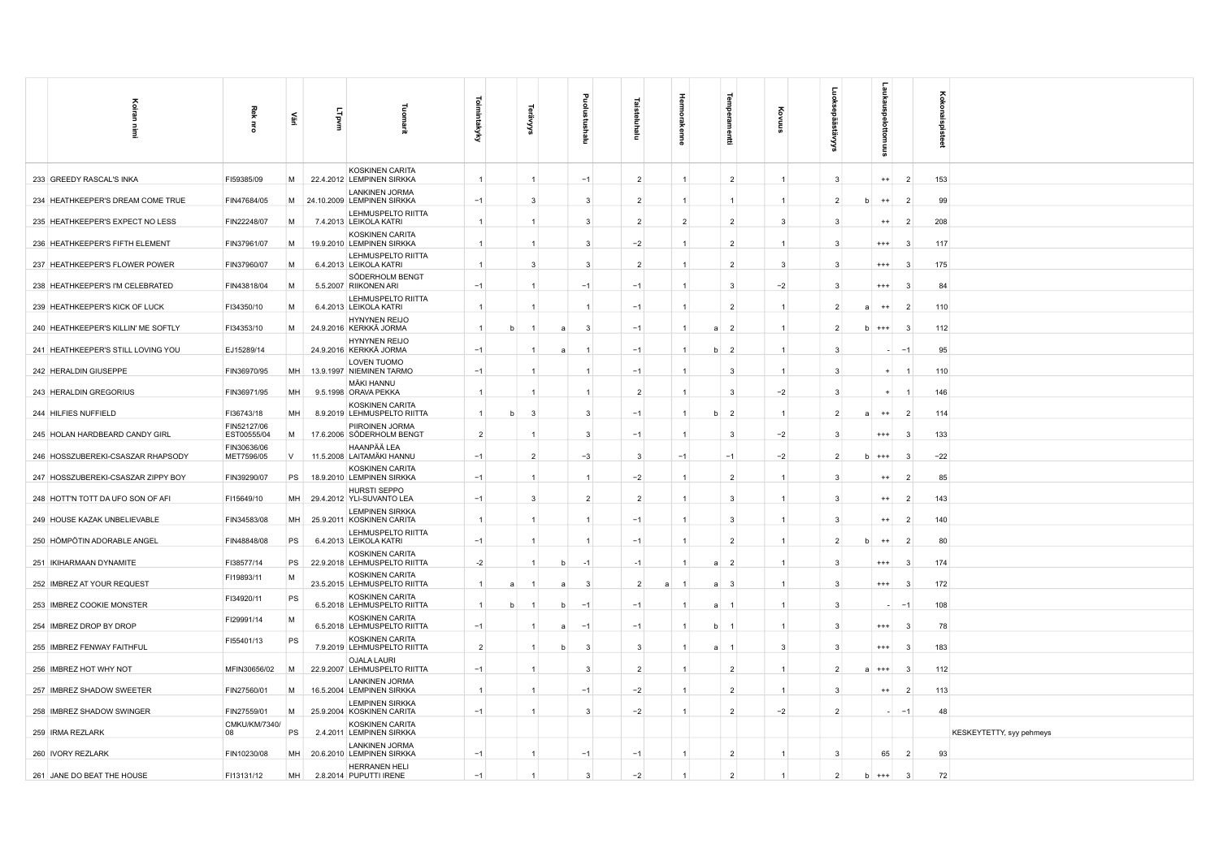|                                     |                            |        |              |                                                        | ಠ              |   |                |                |                |                |   |                |                         |                      |                |            |          |                | ह                        |
|-------------------------------------|----------------------------|--------|--------------|--------------------------------------------------------|----------------|---|----------------|----------------|----------------|----------------|---|----------------|-------------------------|----------------------|----------------|------------|----------|----------------|--------------------------|
| Koiran                              | 죛                          | £      | <b>Lipvm</b> | noma                                                   | imintakyky     |   |                |                |                |                |   |                |                         |                      |                |            |          |                |                          |
| İ                                   | $\vec{a}$                  |        |              | 긤                                                      |                |   | '≍             |                | Ξ              | Ξ              |   |                | 륲                       |                      | ္တ             |            |          |                | konaispisteet            |
| 233 GREEDY RASCAL'S INKA            | FI59385/09                 | M      |              | KOSKINEN CARITA<br>22.4.2012 LEMPINEN SIRKKA           | $\overline{1}$ |   | $\mathbf{1}$   |                | $-1$           | $\overline{2}$ |   |                | $\overline{2}$          | $\mathbf{1}$         | $\mathbf{3}$   |            | $++$     | $\overline{2}$ | 153                      |
| 234 HEATHKEEPER'S DREAM COME TRUE   | FIN47684/05                |        |              | <b>LANKINEN JORMA</b><br>M 24.10.2009 LEMPINEN SIRKKA  | $-1$           |   | 3              |                | 3              | $\overline{2}$ |   | $\overline{1}$ |                         | $\mathbf{1}$         | $\overline{2}$ | h          | $^{++}$  | $\overline{2}$ | 99                       |
| 235 HEATHKEEPER'S EXPECT NO LESS    | FIN22248/07                | M      |              | LEHMUSPELTO RIITTA<br>7.4.2013 LEIKOLA KATRI           |                |   | -1             |                | 3              | $\overline{2}$ |   | $\overline{2}$ | $\overline{2}$          | 3                    | $\mathbf{3}$   |            | $^{++}$  | $\overline{2}$ | 208                      |
| 236 HEATHKEEPER'S FIFTH ELEMENT     | FIN37961/07                | M      |              | KOSKINEN CARITA<br>19.9.2010 LEMPINEN SIRKKA           | $\overline{1}$ |   | $\mathbf{1}$   |                | 3              | $-2$           |   | $\overline{1}$ | $\overline{2}$          | $\mathbf{1}$         | -3             |            | $^{+++}$ | $\mathbf{3}$   | 117                      |
| 237 HEATHKEEPER'S FLOWER POWER      | FIN37960/07                | M      |              | LEHMUSPELTO RIITTA<br>6.4.2013 LEIKOLA KATRI           | $\overline{1}$ |   | $\mathbf{3}$   |                | 3              | $\overline{2}$ |   |                | $\overline{2}$          | $\mathbf{3}$         | $\mathbf{B}$   |            | $^{+++}$ | $\mathbf{3}$   | 175                      |
| 238 HEATHKEEPER'S I'M CELEBRATED    | FIN43818/04                | M      |              | SÖDERHOLM BENGT<br>5.5.2007 RIIKONEN ARI               | $-1$           |   | -1             |                | $-1$           | $-1$           |   | -1             | $\mathbf{3}$            | $-2$                 | $\mathbf{B}$   | $^{+++}$   |          | વ              | 84                       |
| 239 HEATHKEEPER'S KICK OF LUCK      | FI34350/10                 | M      |              | LEHMUSPELTO RIITTA<br>6.4.2013 LEIKOLA KATRI           | $\mathbf{1}$   |   |                |                |                | $-1$           |   | $\overline{1}$ | $\overline{2}$          | 1                    | -2             | a          | $^{++}$  | - 2            | 110                      |
| 240 HEATHKEEPER'S KILLIN' ME SOFTLY | FI34353/10                 | M      |              | HYNYNEN REIJO<br>24.9.2016 KERKKÄ JORMA                | $\overline{1}$ |   | $\mathbf{1}$   | a              | 3              | $-1$           |   | $\overline{1}$ | $\overline{2}$<br>a     | $\overline{1}$       | $\overline{2}$ | $h$ +++    |          | $\mathbf{3}$   | 112                      |
| 241 HEATHKEEPER'S STILL LOVING YOU  | EJ15289/14                 |        |              | HYNYNEN REIJO<br>24.9.2016 KERKKÄ JORMA                | $-1$           |   |                |                |                | $-1$           |   |                | $\overline{2}$<br>h     | $\overline{1}$       | $\mathbf{B}$   |            |          | $-1$           | 95                       |
| 242 HERALDIN GIUSEPPE               | FIN36970/95                | MH     |              | LOVEN TUOMO<br>13.9.1997 NIEMINEN TARMO                | $-1$           |   | $\overline{1}$ |                |                | $-1$           |   |                | $\overline{3}$          | $\overline{1}$       | $\mathbf{B}$   |            |          |                | 110                      |
| 243 HERALDIN GREGORIUS              | FIN36971/95                | MH     |              | MÄKI HANNU<br>9.5.1998 ORAVA PEKKA                     | $\overline{1}$ |   |                |                |                | $\overline{2}$ |   | $\overline{1}$ | $\mathbf{3}$            | $-2$                 | $\mathbf{3}$   |            |          |                | 146                      |
| 244 HILFIES NUFFIELD                | FI36743/18                 | MH     |              | KOSKINEN CARITA<br>8.9.2019 LEHMUSPELTO RIITTA         | $\overline{1}$ |   | -3             |                | 3              | $-1$           |   |                | $\overline{2}$          | $-1$                 | $\overline{2}$ | a          | $^{++}$  | $\overline{2}$ | 114                      |
| 245 HOLAN HARDBEARD CANDY GIRL      | FIN52127/06<br>EST00555/04 | M      |              | PIIROINEN JORMA<br>17.6.2006 SÖDERHOLM BENGT           | $\overline{2}$ |   | -1             |                | 3              | $-1$           |   |                | -3                      | $-2$                 | -3             |            | $^{+++}$ | -3             | 133                      |
| 246 HOSSZUBEREKI-CSASZAR RHAPSODY   | FIN30636/06<br>MET7596/05  | $\vee$ |              | HAANPÄÄ LEA<br>11.5.2008 LAITAMÄKI HANNU               | $-1$           |   | $\overline{2}$ |                | $-3$           | 3              |   | $-1$           | $-1$                    | $-2$                 | $\mathcal{P}$  | $+++$<br>h |          |                | $-22$                    |
| 247 HOSSZUBEREKI-CSASZAR ZIPPY BOY  | FIN39290/07                | PS     |              | KOSKINEN CARITA<br>18.9.2010 LEMPINEN SIRKKA           | $-1$           |   |                |                |                | $-2$           |   | $\overline{1}$ | $\overline{2}$          | $\mathbf{1}$         | $\mathbf{B}$   |            | $^{++}$  | $\overline{2}$ | 85                       |
| 248 HOTT'N TOTT DA UFO SON OF AFI   | FI15649/10                 | MH     |              | HURSTI SEPPO<br>29.4.2012 YLI-SUVANTO LEA              | $-1$           |   | 3              |                | $\overline{2}$ | $\overline{2}$ |   | $\overline{1}$ | $\overline{\mathbf{3}}$ | $\mathbf{1}$         | $\mathbf{3}$   |            | $^{++}$  | $\mathcal{P}$  | 143                      |
| 249 HOUSE KAZAK UNBELIEVABLE        | FIN34583/08                | MH     |              | <b>LEMPINEN SIRKKA</b><br>25.9.2011 KOSKINEN CARITA    | $\overline{1}$ |   |                |                |                | $-1$           |   |                | 3                       | $\blacktriangleleft$ | $\mathbf{B}$   |            | $^{++}$  | $\overline{2}$ | 140                      |
| 250 HÖMPÖTIN ADORABLE ANGEL         | FIN48848/08                | PS     |              | LEHMUSPELTO RIITTA<br>6.4.2013 LEIKOLA KATRI           | $-1$           |   | $\overline{1}$ |                |                | $-1$           |   |                | $\overline{2}$          | $\mathbf{1}$         | $\mathcal{P}$  |            | $^{++}$  | -2             | 80                       |
| 251 IKIHARMAAN DYNAMITE             | FI38577/14                 | PS     |              | <b>KOSKINEN CARITA</b><br>22.9.2018 LEHMUSPELTO RIITTA | $-2$           |   |                |                | $-1$           | $-1$           |   |                | $\overline{2}$<br>a     | $\overline{1}$       | -3             |            | $^{+++}$ | -3             | 174                      |
| 252 IMBREZ AT YOUR REQUEST          | FI19893/11                 | M      |              | KOSKINEN CARITA<br>23.5.2015 LEHMUSPELTO RIITTA        | $\vert$ 1      | a | $\mathbf{1}$   | $\overline{a}$ | 3              | $\overline{2}$ | a |                | $\mathbf{3}$<br>a       | $\mathbf{1}$         | $\mathbf{3}$   |            | $^{+++}$ | $\mathbf{3}$   | 172                      |
| 253 IMBREZ COOKIE MONSTER           | FI34920/11                 | PS     |              | KOSKINEN CARITA<br>6.5.2018 LEHMUSPELTO RIITTA         | $\overline{1}$ |   |                |                | $-1$           | $-1$           |   |                | a                       | $\mathbf{1}$         | $\mathbf{3}$   |            |          | $-1$           | 108                      |
| 254 IMBREZ DROP BY DROP             | FI29991/14                 | M      |              | KOSKINEN CARITA<br>6.5.2018 LEHMUSPELTO RIITTA         | $-1$           |   |                | $\overline{a}$ | $-1$           | $-1$           |   |                |                         | $\blacktriangleleft$ | $\mathbf{B}$   |            | $^{+++}$ |                | 78                       |
| 255 IMBREZ FENWAY FAITHFUL          | FI55401/13                 | PS     |              | <b>KOSKINEN CARITA</b><br>7.9.2019 LEHMUSPELTO RIITTA  | $\overline{2}$ |   | -1             | b              | -3             | 3              |   |                | a<br>$\overline{1}$     | $\mathbf{3}$         | 3              |            | $^{+++}$ | -3             | 183                      |
| 256 IMBREZ HOT WHY NOT              | MFIN30656/02               | M      |              | <b>OJALA LAURI</b><br>22.9.2007 LEHMUSPELTO RIITTA     | $-1$           |   | $\mathbf{1}$   |                | 3              | $\overline{2}$ |   | $\overline{1}$ | $\overline{2}$          | $\mathbf{1}$         | $\overline{2}$ | $a$ +++    |          | $\mathbf{3}$   | 112                      |
| 257 IMBREZ SHADOW SWEETER           | FIN27560/01                | M      |              | <b>LANKINEN JORMA</b><br>16.5.2004 LEMPINEN SIRKKA     | $\overline{1}$ |   | $\overline{1}$ |                | $-1$           | $-2$           |   |                | $\overline{2}$          | $\mathbf{1}$         | $\mathbf{B}$   |            | $^{++}$  | $\overline{2}$ | 113                      |
| 258 IMBREZ SHADOW SWINGER           | FIN27559/01                | M      |              | <b>LEMPINEN SIRKKA</b><br>25.9.2004 KOSKINEN CARITA    | $-1$           |   | $\mathbf{1}$   |                | 3              | $-2$           |   | $\mathbf{1}$   | $\overline{2}$          | $-2$                 | $\overline{2}$ |            |          | $-1$           | 48                       |
| 259 IRMA REZLARK                    | CMKU/KM/7340/<br>08        | PS     |              | <b>KOSKINEN CARITA</b><br>2.4.2011 LEMPINEN SIRKKA     |                |   |                |                |                |                |   |                |                         |                      |                |            |          |                | KESKEYTETTY, syy pehmeys |
| 260 IVORY REZLARK                   | FIN10230/08                | MH     |              | <b>LANKINEN JORMA</b><br>20.6.2010 LEMPINEN SIRKKA     | $-1$           |   | $\mathbf{1}$   |                | $-1$           | $-1$           |   | $\mathbf{1}$   | $\overline{2}$          | $\mathbf{1}$         | 3              |            | 65       | $\overline{2}$ | 93                       |
| 261 JANE DO BEAT THE HOUSE          | FI13131/12                 | MH     |              | HERRANEN HELI<br>2.8.2014 PUPUTTI IRENE                | $-1$           |   |                |                | 3              | $-2$           |   |                | $\overline{2}$          |                      | $\overline{2}$ | h          | $+++$    | -3             | 72                       |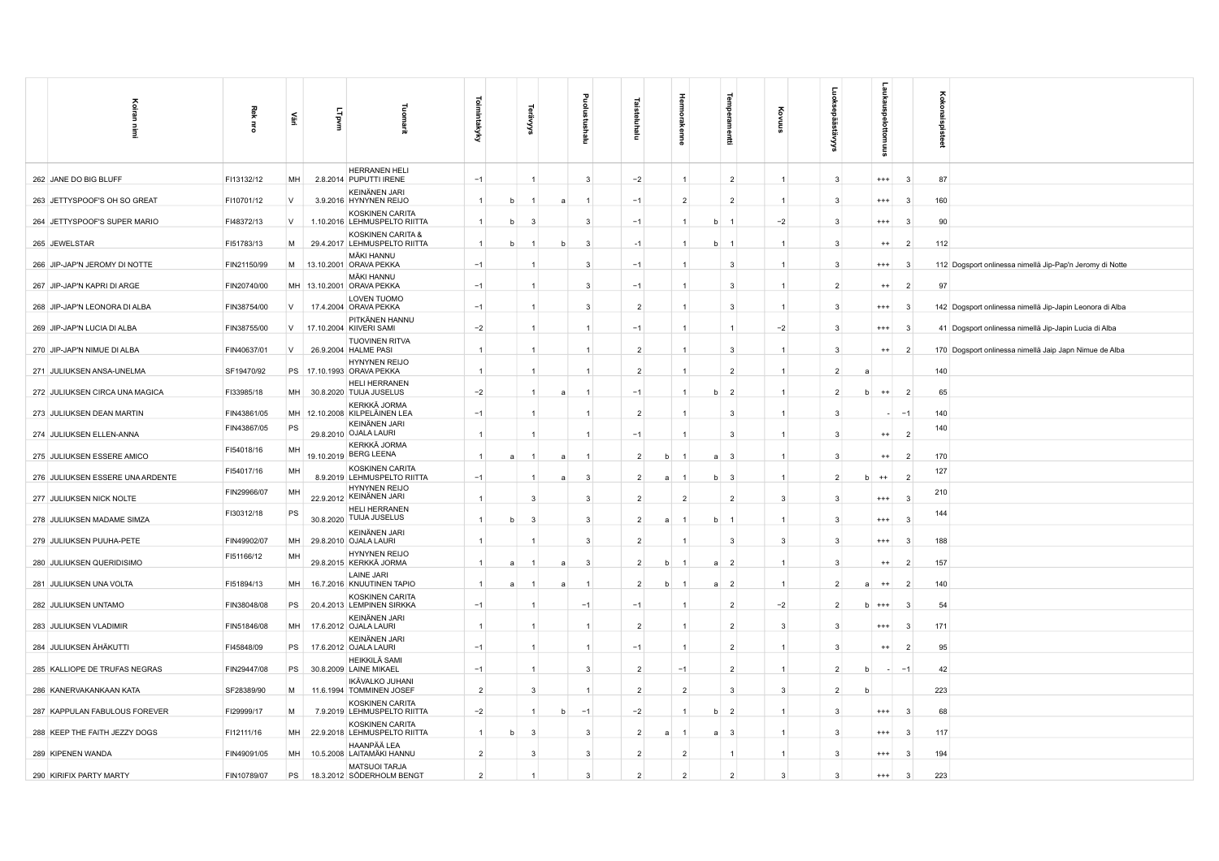| Koiran<br>Ì                      | Rek<br>ă    | <b>SET</b> | LTpvm | Tuomarit                                               | Toimintakyky   |   | š              |             | ᆱ<br>Ξ       | 호              |   | enne           | lempe<br>muti       |                | ē                       | aukai<br>ottomuus       |                         | oxox                                                     |
|----------------------------------|-------------|------------|-------|--------------------------------------------------------|----------------|---|----------------|-------------|--------------|----------------|---|----------------|---------------------|----------------|-------------------------|-------------------------|-------------------------|----------------------------------------------------------|
| 262 JANE DO BIG BLUFF            | FI13132/12  | MH         |       | HERRANEN HELI<br>2.8.2014 PUPUTTI IRENE                | $-1$           |   | $\overline{1}$ |             | 3            | $-2$           |   | $\overline{1}$ | $\overline{2}$      | $\mathbf{1}$   | 3                       | $^{+++}$                | -3                      | 87                                                       |
| 263 JETTYSPOOF'S OH SO GREAT     | FI10701/12  | $\vee$     |       | KEINÄNEN JARI<br>3.9.2016 HYNYNEN REIJO                | $\overline{1}$ | b |                |             |              | $-1$           |   | $\overline{2}$ | $\overline{2}$      | $\overline{1}$ | 3                       | $^{+++}$                | 3                       | 160                                                      |
| 264 JETTYSPOOF'S SUPER MARIO     | FI48372/13  | V          |       | <b>KOSKINEN CARITA</b><br>1.10.2016 LEHMUSPELTO RIITTA | $\overline{1}$ | b | $\mathbf{3}$   |             | 3            | $-1$           |   | $\overline{1}$ | $\overline{1}$<br>b | $-2$           | $\overline{\mathbf{3}}$ | $^{+++}$                | $\mathbf{3}$            | 90                                                       |
| 265 JEWELSTAR                    | FI51783/13  | M          |       | KOSKINEN CARITA &<br>29.4.2017 LEHMUSPELTO RIITTA      | $\overline{1}$ |   |                |             | 3            | $-1$           |   | $\mathbf{1}$   | b<br>$\overline{1}$ |                | 3                       | $^{++}$                 | $\overline{2}$          | 112                                                      |
| 266 JIP-JAP'N JEROMY DI NOTTE    | FIN21150/99 | M          |       | <b>MÄKI HANNU</b><br>13.10.2001 ORAVA PEKKA            | $-1$           |   |                |             | 3            | $-1$           |   |                | 3                   |                | 3                       | $^{+++}$                | -3                      | 112 Dogsport onlinessa nimellä Jip-Pap'n Jeromy di Notte |
| 267 JIP-JAP'N KAPRI DI ARGE      | FIN20740/00 |            |       | MÄKI HANNU<br>MH 13.10.2001 ORAVA PEKKA                | $-1$           |   |                |             | 3            | $-1$           |   |                | 3                   |                | $\overline{2}$          | $^{++}$                 | $\overline{2}$          | 97                                                       |
| 268 JIP-JAP'N LEONORA DI ALBA    | FIN38754/00 | V          |       | <b>LOVEN TUOMO</b><br>17.4.2004 ORAVA PEKKA            | $-1$           |   | $\mathbf{1}$   |             | 3            | $\overline{2}$ |   | $\overline{1}$ | 3                   |                | $\overline{\mathbf{3}}$ | $^{+++}$                | $\overline{\mathbf{3}}$ | 142 Dogsport onlinessa nimellä Jip-Japin Leonora di Alba |
| 269 JIP-JAP'N LUCIA DI ALBA      | FIN38755/00 | V          |       | PITKÄNEN HANNU<br>17.10.2004 KIIVERI SAMI              | $-2$           |   | $\mathbf{1}$   |             |              | $-1$           |   | $\mathbf{1}$   |                     | $-2$           | 3                       | $^{++}$                 | $\overline{\mathbf{3}}$ | 41 Dogsport onlinessa nimellä Jip-Japin Lucia di Alba    |
| 270 JIP-JAP'N NIMUE DI ALBA      | FIN40637/01 | V          |       | <b>TUOVINEN RITVA</b><br>26.9.2004 HALME PASI          | $\overline{1}$ |   | $\overline{1}$ |             |              | $\overline{2}$ |   | $\mathbf{1}$   | 3                   |                | 3                       | $^{++}$                 | $\overline{2}$          | 170 Dogsport onlinessa nimellä Jaip Japn Nimue de Alba   |
| 271 JULIUKSEN ANSA-UNELMA        | SF19470/92  |            |       | <b>HYNYNEN REIJO</b><br>PS   17.10.1993   ORAVA PEKKA  | $\overline{1}$ |   | $\overline{1}$ |             |              | $\overline{2}$ |   | $\mathbf{1}$   | $\overline{2}$      |                | $\overline{2}$          |                         |                         | 140                                                      |
| 272 JULIUKSEN CIRCA UNA MAGICA   | FI33985/18  | MH         |       | HELI HERRANEN<br>30.8.2020 TUIJA JUSELUS               | $-2$           |   | $\mathbf{1}$   |             |              | $-1$           |   | $\mathbf{1}$   | $\overline{2}$<br>b |                | $\overline{2}$          | $^{++}$                 | $\overline{2}$          | 65                                                       |
| 273 JULIUKSEN DEAN MARTIN        | FIN43861/05 |            |       | KERKKÄ JORMA<br>MH 12.10.2008 KILPELÄINEN LEA          | $-1$           |   |                |             |              | $\overline{2}$ |   |                | 3                   |                | 3                       |                         | $-1$                    | 140                                                      |
| 274 JULIUKSEN ELLEN-ANNA         | FIN43867/05 | PS         |       | KEINÄNEN JARI<br>29.8.2010 OJALA LAURI                 | $\overline{1}$ |   |                |             |              | $-1$           |   |                | $\mathbf{3}$        |                | 3                       | $^{++}$                 | $\overline{2}$          | 140                                                      |
| 275 JULIUKSEN ESSERE AMICO       | FI54018/16  | MH         |       | KERKKÄ JORMA<br>19.10.2019 BERG LEENA                  | $\mathbf{1}$   |   |                |             |              | $\overline{2}$ | b |                | $\mathbf{3}$        |                | 3                       | $^{++}$                 | $\overline{2}$          | 170                                                      |
| 276 JULIUKSEN ESSERE UNA ARDENTE | FI54017/16  | MH         |       | KOSKINEN CARITA<br>8.9.2019 LEHMUSPELTO RIITTA         | $-1$           |   |                |             | 3            | $\overline{2}$ | a |                | $\mathbf{3}$<br>b   |                | $\overline{2}$          | $^{++}$                 | $\overline{2}$          | 127                                                      |
| 277 JULIUKSEN NICK NOLTE         | FIN29966/07 | MH         |       | HYNYNEN REIJO<br>22.9.2012 KEINÄNEN JARI               | $\overline{1}$ |   | $\mathbf{3}$   |             | 3            | $\overline{2}$ |   | $\overline{2}$ | $\overline{2}$      | 3              | 3                       | $^{+++}$                | $\mathbf{3}$            | 210                                                      |
| 278 JULIUKSEN MADAME SIMZA       | FI30312/18  | ${\sf PS}$ |       | HELI HERRANEN<br>30.8.2020 TUIJA JUSELUS               | $\overline{1}$ |   | $\mathbf{3}$   |             | 3            | $\overline{2}$ | a |                | b                   |                | 3                       | $^{***}$                | -3                      | 144                                                      |
| 279 JULIUKSEN PUUHA-PETE         | FIN49902/07 | MH         |       | <b>KEINÄNEN JARI</b><br>29.8.2010 OJALA LAURI          | $\mathbf{1}$   |   |                |             | 3            | $\overline{2}$ |   |                | $\mathbf{3}$        | 3              | 3                       | $^{***}$                | 3                       | 188                                                      |
| 280 JULIUKSEN QUERIDISIMO        | FI51166/12  | MH         |       | HYNYNEN REIJO<br>29.8.2015 KERKKÄ JORMA                | $\overline{1}$ | a |                |             | 3            | $\overline{2}$ | b |                | $\overline{2}$<br>a |                | 3                       | $^{++}$                 | $\overline{2}$          | 157                                                      |
| 281 JULIUKSEN UNA VOLTA          | FI51894/13  | MH         |       | LAINE JARI<br>16.7.2016 KNUUTINEN TAPIO                | $\overline{1}$ | a | $\mathbf{1}$   |             | $\mathbf{1}$ | $\overline{2}$ | b |                | $\overline{2}$<br>a | $\mathbf{1}$   | $\overline{2}$          | $^{++}$                 | $\overline{2}$          | 140                                                      |
| 282 JULIUKSEN UNTAMO             | FIN38048/08 | PS         |       | KOSKINEN CARITA<br>20.4.2013 LEMPINEN SIRKKA           | $-1$           |   |                |             | $-1$         | $-1$           |   |                | $\overline{2}$      | $-2$           | $\overline{2}$          | $^{++}$<br><sub>b</sub> | 3                       | 54                                                       |
| 283 JULIUKSEN VLADIMIR           | FIN51846/08 | MH         |       | KEINÄNEN JARI<br>17.6.2012 OJALA LAURI                 |                |   |                |             |              | $\overline{2}$ |   |                | $\overline{2}$      | 3              | 3                       | $^{***}$                | 3                       | 171                                                      |
| 284 JULIUKSEN ÄHÄKUTTI           | FI45848/09  | PS         |       | KEINÄNEN JARI<br>17.6.2012 OJALA LAURI                 | $-1$           |   |                |             |              | $-1$           |   | $\mathbf{1}$   | $\overline{2}$      |                | 3                       | $^{++}$                 | $\overline{2}$          | 95                                                       |
| 285 KALLIOPE DE TRUFAS NEGRAS    | FIN29447/08 | PS         |       | <b>HEIKKILÄ SAMI</b><br>30.8.2009 LAINE MIKAEL         | $-1$           |   | $\mathbf{1}$   |             | 3            | $\overline{2}$ |   | $-1$           | $\overline{2}$      | $\mathbf{1}$   | $\overline{2}$          |                         | $-1$                    | 42                                                       |
| 286 KANERVAKANKAAN KATA          | SF28389/90  | M          |       | IKÄVALKO JUHANI<br>11.6.1994 TOMMINEN JOSEF            | $\overline{2}$ |   | $\mathbf{3}$   |             |              | $\overline{2}$ |   | $\overline{2}$ | 3                   | 3              | $\overline{2}$          |                         |                         | 223                                                      |
| 287 KAPPULAN FABULOUS FOREVER    | FI29999/17  | M          |       | KOSKINEN CARITA<br>7.9.2019 LEHMUSPELTO RIITTA         | $-2$           |   |                | $\mathbf b$ | $-1$         | $-2$           |   |                | $\overline{2}$<br>b |                | 3                       | $^{+++}$                | 3                       | 68                                                       |
| 288 KEEP THE FAITH JEZZY DOGS    | FI12111/16  | MH         |       | <b>KOSKINEN CARITA</b><br>22.9.2018 LEHMUSPELTO RIITTA | $\overline{1}$ |   | -3             |             | 3            | $\overline{2}$ | a |                | - 3<br>a            |                | $\mathbf{3}$            | $^{***}$                | 3                       | 117                                                      |
| 289 KIPENEN WANDA                | FIN49091/05 | MH         |       | HAANPÄÄ LEA<br>10.5.2008 LAITAMÄKI HANNU               | $\overline{2}$ |   | 3              |             | 3            | $\overline{2}$ |   | $\overline{2}$ |                     | $\overline{1}$ | 3                       | $^{+++}$                | 3                       | 194                                                      |
| 290 KIRIFIX PARTY MARTY          | FIN10789/07 | PS         |       | MATSUOI TARJA<br>18.3.2012 SÖDERHOLM BENGT             | $\overline{2}$ |   | $\overline{1}$ |             | 3            | $\overline{2}$ |   | $\overline{2}$ | $\overline{2}$      | 3              | 3                       | $^{***}$                | 3                       | 223                                                      |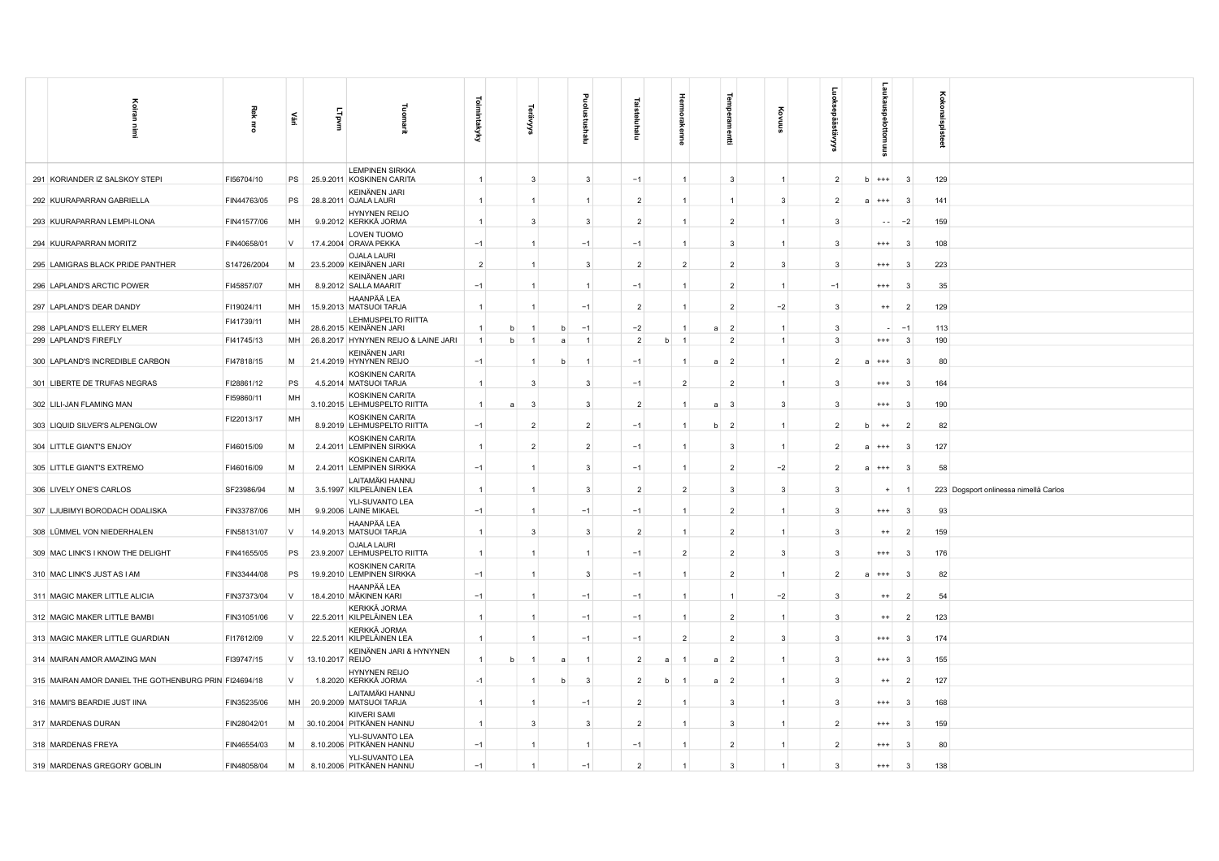| Koiran<br>Ē                                           | Rek<br>ᄛ    | 즕      | <b>Lipvm</b>     | 릧                                                      | ಕ<br>mintakyky    | ్ట             |   | Ξ              | Ξ              |              | kenne               | 昆                       | ĝ              |                                         | sney<br>$\overline{a}$ |                | ੇ<br>Ā<br>ğ                           |
|-------------------------------------------------------|-------------|--------|------------------|--------------------------------------------------------|-------------------|----------------|---|----------------|----------------|--------------|---------------------|-------------------------|----------------|-----------------------------------------|------------------------|----------------|---------------------------------------|
| 291 KORIANDER IZ SALSKOY STEPI                        | FI56704/10  | PS     |                  | <b>LEMPINEN SIRKKA</b><br>25.9.2011 KOSKINEN CARITA    | $\mathbf{1}$      | $\mathbf{3}$   |   | $\mathbf{3}$   | $-1$           |              | $\mathbf{1}$        | 3                       | $\overline{1}$ | $\overline{2}$<br><sub>b</sub>          | $***$                  | $\mathbf{3}$   | 129                                   |
| 292 KUURAPARRAN GABRIELLA                             | FIN44763/05 | PS     |                  | KEINÄNEN JARI<br>28.8.2011 OJALA LAURI                 | $\mathbf{1}$      | -1             |   |                | $\overline{2}$ |              | $\mathbf{1}$        | -1                      | -3             | $\overline{2}$<br>$\overline{a}$        | $^{+++}$               | -3             | 141                                   |
| 293 KUURAPARRAN LEMPI-ILONA                           | FIN41577/06 | MH     |                  | <b>HYNYNEN REIJO</b><br>9.9.2012 KERKKÄ JORMA          | $\overline{1}$    | 3              |   | 3              | $\overline{2}$ |              | $\overline{1}$      | $\overline{2}$          | $\mathbf{1}$   | 3                                       | $\sim$ $-$             | $-2$           | 159                                   |
| 294 KUURAPARRAN MORITZ                                | FIN40658/01 | V      |                  | LOVEN TUOMO<br>17.4.2004 ORAVA PEKKA                   | $-1$              | -1             |   | $-1$           | $-1$           |              | $\mathbf{1}$        | 3                       | $\overline{1}$ | 3                                       | $^{+++}$               | 3              | 108                                   |
| 295 LAMIGRAS BLACK PRIDE PANTHER                      | S14726/2004 | M      |                  | <b>OJALA LAURI</b><br>23.5.2009 KEINÄNEN JARI          | $\overline{2}$    | -1             |   | 3              | $\overline{2}$ |              | $\overline{2}$      | $\overline{2}$          | 3              | 3                                       | $^{+++}$               | 3              | 223                                   |
| 296 LAPLAND'S ARCTIC POWER                            | FI45857/07  | MH     |                  | KEINÄNEN JARI<br>8.9.2012 SALLA MAARIT                 | $-1$              | $\overline{1}$ |   | $\overline{1}$ | $-1$           |              | $\mathbf{1}$        | $\overline{2}$          | $\overline{1}$ | $-1$                                    | $^{+++}$               | -3             | 35                                    |
| 297 LAPLAND'S DEAR DANDY                              | FI19024/11  | MH     |                  | HAANPÄÄ LEA<br>15.9.2013 MATSUOI TARJA                 | $\mathbf{1}$      | -1             |   | $-1$           | $\overline{2}$ |              | $\overline{1}$      | $\overline{2}$          | $-2$           | 3                                       | $^{++}$                | $\overline{2}$ | 129                                   |
| 298 LAPLAND'S ELLERY ELMER                            | FI41739/11  | MH     |                  | LEHMUSPELTO RIITTA<br>28.6.2015 KEINÄNEN JARI          | b                 |                | h | $-1$           | $-2$           |              | 1<br>a              | $\overline{2}$          | $\mathbf{1}$   | 3                                       |                        | $-1$           | 113                                   |
| 299 LAPLAND'S FIREFLY                                 | FI41745/13  |        |                  | MH 26.8.2017 HYNYNEN REIJO & LAINE JARI                | $\mathbf{1}$<br>h | $\overline{1}$ | a | $\overline{1}$ | $\overline{2}$ | h            | $\overline{1}$      | $\overline{2}$          | $\overline{1}$ | 3                                       | $^{+++}$               | $\mathbf{3}$   | 190                                   |
| 300 LAPLAND'S INCREDIBLE CARBON                       | FI47818/15  | M      |                  | KEINÄNEN JARI<br>21.4.2019 HYNYNEN REIJO               | $-1$              | $\overline{1}$ | h | $\overline{1}$ | $-1$           |              | $\mathbf{1}$<br>a   | $\overline{2}$          | $\overline{1}$ | $\overline{2}$                          | $a + + +$              | -3             | 80                                    |
| 301 LIBERTE DE TRUFAS NEGRAS                          | FI28861/12  | PS     |                  | KOSKINEN CARITA<br>4.5.2014 MATSUOI TARJA              | $\mathbf{1}$      | $\mathbf{3}$   |   | $\mathbf{3}$   | $-1$           |              | $\overline{2}$      | $\overline{2}$          | $\overline{1}$ | 3                                       | $^{+++}$               | -3             | 164                                   |
| 302 LILI-JAN FLAMING MAN                              | FI59860/11  | MH     |                  | <b>KOSKINEN CARITA</b><br>3.10.2015 LEHMUSPELTO RIITTA | $\mathbf{1}$      | -3             |   | 3              | $\overline{2}$ |              | a                   | $\overline{\mathbf{3}}$ | 3              | 3                                       | $^{+++}$               | 3              | 190                                   |
| 303 LIQUID SILVER'S ALPENGLOW                         | FI22013/17  | MH     |                  | KOSKINEN CARITA<br>8.9.2019 LEHMUSPELTO RIITTA         | $-1$              | $\overline{2}$ |   | $\overline{2}$ | $-1$           |              | $\mathbf b$<br>-1   | $\overline{2}$          | $\overline{1}$ | $\overline{2}$                          | $^{++}$                | $\overline{2}$ | 82                                    |
| 304 LITTLE GIANT'S ENJOY                              | FI46015/09  | M      |                  | KOSKINEN CARITA<br>2.4.2011 LEMPINEN SIRKKA            | $\mathbf{1}$      | $\overline{2}$ |   | $\overline{2}$ | $-1$           |              | 1                   | 3                       | $\mathbf{1}$   | $\overline{\mathbf{c}}$<br>$\mathbf{a}$ | $^{+++}$               | 3              | 127                                   |
| 305 LITTLE GIANT'S EXTREMO                            | FI46016/09  | M      |                  | KOSKINEN CARITA<br>2.4.2011 LEMPINEN SIRKKA            | $-1$              | $\overline{1}$ |   | 3              | $-1$           |              | $\mathbf{1}$        | $\overline{2}$          | $-2$           | $\overline{2}$<br>a.                    | $^{++}$                | $\mathbf{3}$   | 58                                    |
| 306 LIVELY ONE'S CARLOS                               | SF23986/94  | M      |                  | LAITAMÄKI HANNU<br>3.5.1997 KILPELÄINEN LEA            | $\mathbf{1}$      |                |   | 3              | $\overline{2}$ |              | $\overline{2}$      | 3                       | 3              | 3                                       | $\ddot{}$              | $\overline{1}$ | 223 Dogsport onlinessa nimellä Carlos |
| 307 LJUBIMYI BORODACH ODALISKA                        | FIN33787/06 | MH     |                  | YLI-SUVANTO LEA<br>9.9.2006 LAINE MIKAEL               | $-1$              | $\overline{1}$ |   | $-1$           | $-1$           |              | $\mathbf{1}$        | 2                       | $\mathbf{1}$   | 3                                       | $^{+++}$               | -3             | 93                                    |
| 308 LÜMMEL VON NIEDERHALEN                            | FIN58131/07 | V      |                  | HAANPÄÄ LEA<br>14.9.2013 MATSUOI TARJA                 | $\mathbf{1}$      | 3              |   | $\mathbf{3}$   | $\overline{2}$ |              | $\mathbf{1}$        | $\overline{2}$          | $\overline{1}$ | 3                                       | $^{++}$                | $\overline{2}$ | 159                                   |
| 309 MAC LINK'S I KNOW THE DELIGHT                     | FIN41655/05 | PS     |                  | <b>OJALA LAURI</b><br>23.9.2007 LEHMUSPELTO RIITTA     | $\mathbf{1}$      | $\overline{1}$ |   |                | $-1$           |              | $\overline{2}$      | $\overline{2}$          | 3              | 3                                       | $^{+++}$               | 3              | 176                                   |
| 310 MAC LINK'S JUST AS I AM                           | FIN33444/08 | PS     |                  | KOSKINEN CARITA<br>19.9.2010 LEMPINEN SIRKKA           | $-1$              | $\overline{1}$ |   | $\mathbf{3}$   | $-1$           |              | $\mathbf{1}$        | $\overline{2}$          | $\mathbf{1}$   | $\overline{2}$                          | $^{++}$                | -3             | 82                                    |
| 311 MAGIC MAKER LITTLE ALICIA                         | FIN37373/04 | V      |                  | HAANPÄÄ LEA<br>18.4.2010 MÄKINEN KARI                  | $-1$              |                |   | $-1$           | $-1$           |              | $\overline{1}$      | $\mathbf{1}$            | $-2$           | 3                                       | $^{++}$                | $\overline{2}$ | 54                                    |
| 312 MAGIC MAKER LITTLE BAMBI                          | FIN31051/06 | $\vee$ |                  | KERKKÄ JORMA<br>22.5.2011 KILPELÄINEN LEA              | $\mathbf{1}$      |                |   | $-1$           | $-1$           |              | $\overline{1}$      | $\overline{2}$          | $\mathbf{1}$   | 3                                       | $^{++}$                | $\overline{2}$ | 123                                   |
| 313 MAGIC MAKER LITTLE GUARDIAN                       | FI17612/09  | V      |                  | KERKKÄ JORMA<br>22.5.2011 KILPELÄINEN LEA              | -1                |                |   | $-1$           | $-1$           |              | $\overline{2}$      | $\overline{2}$          | 3              | 3                                       | $^{+ + +}$             | -3             | 174                                   |
| 314 MAIRAN AMOR AMAZING MAN                           | FI39747/15  | V      | 13.10.2017 REIJO | KEINÄNEN JARI & HYNYNEN                                | $\mathbf{1}$<br>b | $\overline{1}$ | a | $\overline{1}$ | $\overline{2}$ | $\mathbf{a}$ | $\overline{1}$<br>a | $\overline{2}$          | $\mathbf{1}$   | 3                                       | $^{+++}$               | -3             | 155                                   |
| 315 MAIRAN AMOR DANIEL THE GOTHENBURG PRIN FI24694/18 |             | V      |                  | HYNYNEN REIJO<br>1.8.2020 KERKKÄ JORMA                 | $-1$              |                |   | 3              | $\overline{2}$ |              |                     | $\overline{2}$          | $\mathbf{1}$   | 3                                       | $^{++}$                | $\overline{2}$ | 127                                   |
| 316 MAMI'S BEARDIE JUST IINA                          | FIN35235/06 | MH     |                  | LAITAMÄKI HANNU<br>20.9.2009 MATSUOI TARJA             |                   |                |   | $-1$           | $\overline{2}$ |              |                     | 3                       | $\mathbf{1}$   | 3                                       | $^{+++}$               | 3              | 168                                   |
| 317 MARDENAS DURAN                                    | FIN28042/01 |        |                  | KIIVERI SAMI<br>M 30.10.2004 PITKÄNEN HANNU            | $\overline{1}$    | $\mathbf{3}$   |   | $\mathbf{3}$   | $\overline{2}$ |              | $\mathbf{1}$        | 3                       | $\mathbf{1}$   | $\overline{2}$                          | $^{++}$                | 3              | 159                                   |
| 318 MARDENAS FREYA                                    | FIN46554/03 | M      |                  | YLI-SUVANTO LEA<br>8.10.2006 PITKÄNEN HANNU            | $-1$              |                |   |                | $-1$           |              | $\mathbf{1}$        | $\overline{2}$          | $\overline{1}$ | $\overline{2}$                          | $^{+++}$               | 3              | 80                                    |
| 319 MARDENAS GREGORY GOBLIN                           | FIN48058/04 | M      |                  | YLI-SUVANTO LEA<br>8.10.2006 PITKÄNEN HANNU            | $-1$              |                |   | $-1$           | $\mathcal{D}$  |              | 1                   | $\mathbf{B}$            | $\overline{1}$ | 3                                       | $^{++}$                | $\mathbf{3}$   | 138                                   |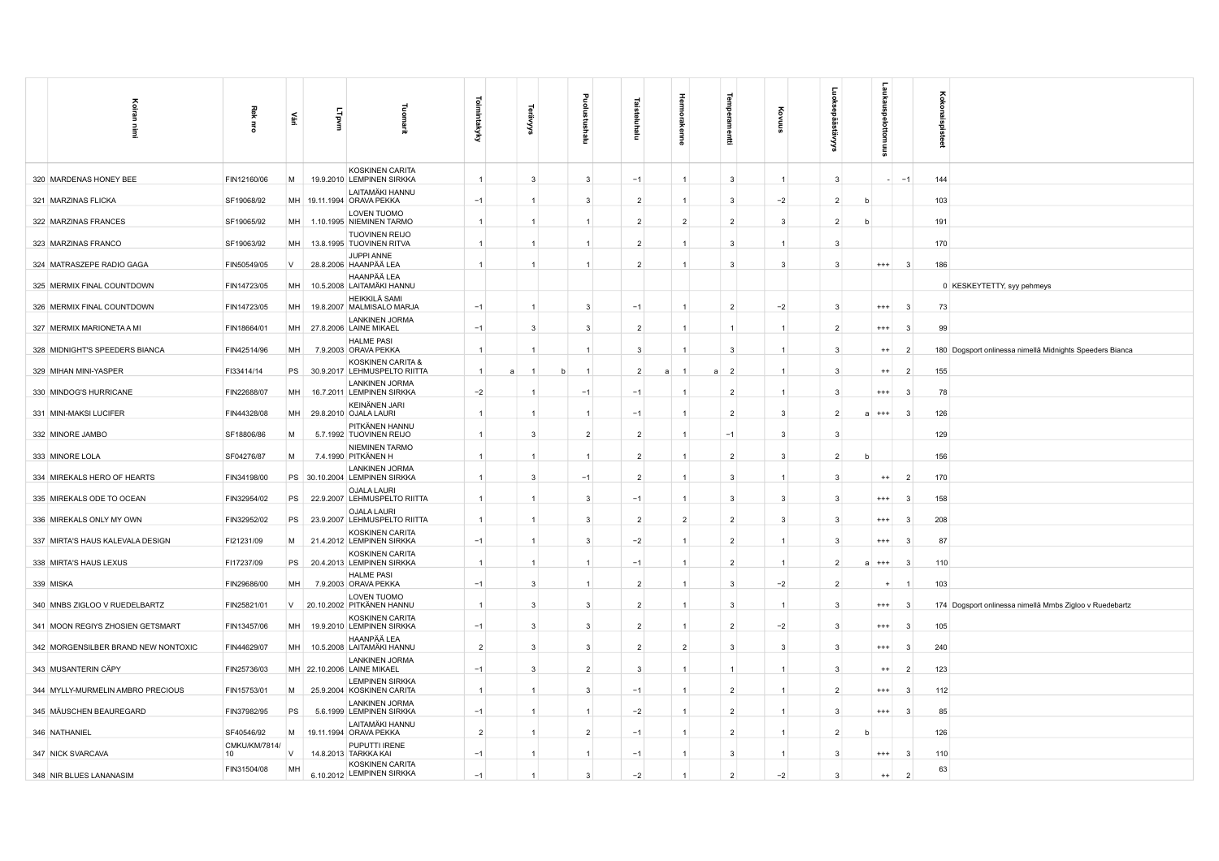| Koiran                              | Rek                 |           |       | Tuom                                                   |                |                |                |                | Hermol         |                     | ĝ              |                | aukaus        |                         | oxox                                                     |
|-------------------------------------|---------------------|-----------|-------|--------------------------------------------------------|----------------|----------------|----------------|----------------|----------------|---------------------|----------------|----------------|---------------|-------------------------|----------------------------------------------------------|
| Ë                                   | Ē                   | 즕         | Lipvm | ărit                                                   | Toimintakyky   | ર્જે           | Ξ              | Ξ              | kenne          | Ē                   | 高              | نو<br>⋚        | ठ<br>ttomuus  |                         | spisteet                                                 |
| 320 MARDENAS HONEY BEE              | FIN12160/06         | M         |       | KOSKINEN CARITA<br>19.9.2010 LEMPINEN SIRKKA           | $\mathbf{1}$   | $\mathbf{3}$   | 3              | $-1$           | $\mathbf{1}$   | 3                   | $\mathbf{1}$   | 3              |               | $-1$                    | 144                                                      |
| 321 MARZINAS FLICKA                 | SF19068/92          |           |       | LAITAMÄKI HANNU<br>MH 19.11.1994 ORAVA PEKKA           | $-1$           | $\overline{1}$ | 3              | $\overline{2}$ | $\mathbf{1}$   | 3                   | $-2$           | $\overline{2}$ |               |                         | 103                                                      |
| 322 MARZINAS FRANCES                | SF19065/92          | <b>MH</b> |       | LOVEN TUOMO<br>1.10.1995 NIEMINEN TARMO                | $\overline{1}$ | $\overline{1}$ | $\mathbf{1}$   | $\overline{2}$ | $\overline{2}$ | $\overline{2}$      | 3              | $\overline{2}$ |               |                         | 191                                                      |
| 323 MARZINAS FRANCO                 | SF19063/92          | MH        |       | <b>TUOVINEN REIJO</b><br>13.8.1995 TUOVINEN RITVA      | $\mathbf{1}$   | $\overline{1}$ |                | $\overline{2}$ | 1              | 3                   | $\overline{1}$ | 3              |               |                         | 170                                                      |
| 324 MATRASZEPE RADIO GAGA           | FIN50549/05         | V         |       | JUPPI ANNE<br>28.8.2006 HAANPÄÄ LEA                    | $\overline{1}$ |                |                | $\overline{2}$ | 1              | 3                   | $\mathbf{3}$   | 3              | $^{+++}$      | 3                       | 186                                                      |
| 325 MERMIX FINAL COUNTDOWN          | FIN14723/05         | MH        |       | HAANPÄÄ LEA<br>10.5.2008 LAITAMÄKI HANNU               |                |                |                |                |                |                     |                |                |               |                         | 0 KESKEYTETTY, syy pehmeys                               |
| 326 MERMIX FINAL COUNTDOWN          | FIN14723/05         | <b>MH</b> |       | HEIKKILÄ SAMI<br>19.8.2007 MALMISALO MARJA             | $-1$           | $\overline{1}$ | 3              | $-1$           | $\mathbf{1}$   | $\overline{2}$      | $-2$           | 3              | $^{+++}$      | $\overline{\mathbf{3}}$ | 73                                                       |
| 327 MERMIX MARIONETA A MI           | FIN18664/01         | MH        |       | <b>LANKINEN JORMA</b><br>27.8.2006 LAINE MIKAEL        | $-1$           | $\mathbf{3}$   | 3              | $\overline{2}$ | 1              |                     | $\overline{1}$ | $\overline{2}$ | $^{++}$       | 3                       | 99                                                       |
| 328 MIDNIGHT'S SPEEDERS BIANCA      | FIN42514/96         | MH        |       | <b>HALME PASI</b><br>7.9.2003 ORAVA PEKKA              | $\mathbf{1}$   |                |                | 3              | 1              | $\overline{3}$      | $\overline{1}$ | 3              | $^{++}$       | $\overline{2}$          | 180 Dogsport onlinessa nimellä Midnights Speeders Bianca |
| 329 MIHAN MINI-YASPER               | FI33414/14          | PS        |       | KOSKINEN CARITA &<br>30.9.2017 LEHMUSPELTO RIITTA      | $\overline{1}$ | h              |                | $\overline{2}$ |                | $\overline{2}$<br>a | $\mathbf{1}$   | 3              | $^{++}$       | $\overline{2}$          | 155                                                      |
| 330 MINDOG'S HURRICANE              | FIN22688/07         | MH        |       | <b>LANKINEN JORMA</b><br>16.7.2011 LEMPINEN SIRKKA     | $-2$           |                | $-1$           | $-1$           | 1              | $\overline{2}$      | $\mathbf{1}$   | 3              | $^{+++}$      | -3                      | 78                                                       |
| 331 MINI-MAKSI LUCIFER              | FIN44328/08         | MH        |       | KEINÄNEN JARI<br>29.8.2010 OJALA LAURI                 | $\mathbf{1}$   | $\overline{1}$ | $\overline{1}$ | $-1$           | $\mathbf{1}$   | $\overline{2}$      | 3              | $\overline{2}$ | $^{+++}$      | 3                       | 126                                                      |
| 332 MINORE JAMBO                    | SF18806/86          | M         |       | PITKÄNEN HANNU<br>5.7.1992 TUOVINEN REIJO              | $\mathbf{1}$   | $\mathbf{3}$   | $\overline{2}$ | $\overline{2}$ | 1              | $-1$                | -3             | 3              |               |                         | 129                                                      |
| 333 MINORE LOLA                     | SF04276/87          | M         |       | NIEMINEN TARMO<br>7.4.1990 PITKÄNEN H                  |                |                |                | $\overline{2}$ | 1              | $\overline{2}$      | 3              | $\overline{2}$ |               |                         | 156                                                      |
| 334 MIREKALS HERO OF HEARTS         | FIN34198/00         |           |       | <b>LANKINEN JORMA</b><br>PS 30.10.2004 LEMPINEN SIRKKA | $\mathbf{1}$   | $\mathbf{3}$   | $-1$           | $\overline{2}$ | $\mathbf{1}$   | 3                   | $\overline{1}$ | 3              | $^{++}$       | $\overline{2}$          | 170                                                      |
| 335 MIREKALS ODE TO OCEAN           | FIN32954/02         | PS        |       | <b>OJALA LAURI</b><br>22.9.2007 LEHMUSPELTO RIITTA     | $\mathbf{1}$   | $\overline{1}$ | $\mathbf{3}$   | $-1$           | $\mathbf{1}$   | 3                   | 3              | 3              | $^{+++}$      | 3                       | 158                                                      |
| 336 MIREKALS ONLY MY OWN            | FIN32952/02         | PS        |       | <b>OJALA LAURI</b><br>23.9.2007 LEHMUSPELTO RIITTA     | $\mathbf{1}$   |                | 3              | $\overline{2}$ | $\overline{2}$ | $\overline{2}$      | -3             | 3              | $^{++}$       | 3                       | 208                                                      |
| 337 MIRTA'S HAUS KALEVALA DESIGN    | FI21231/09          | M         |       | KOSKINEN CARITA<br>21.4.2012 LEMPINEN SIRKKA           | $-1$           | $\overline{1}$ | 3              | $-2$           | $\mathbf{1}$   | $\overline{2}$      | $\overline{1}$ | 3              | $^{+++}$      | 3                       | 87                                                       |
| 338 MIRTA'S HAUS LEXUS              | FI17237/09          | PS        |       | KOSKINEN CARITA<br>20.4.2013 LEMPINEN SIRKKA           | $\overline{1}$ | $\overline{1}$ | $\mathbf{1}$   | $-1$           | $\mathbf{1}$   | $\overline{2}$      | $\overline{1}$ | $\overline{2}$ | $^{+++}$<br>a | -3                      | 110                                                      |
| 339 MISKA                           | FIN29686/00         | MH        |       | <b>HALME PASI</b><br>7.9.2003 ORAVA PEKKA              | $-1$           | $\mathbf{3}$   | $\overline{1}$ | $\overline{2}$ | 1              | 3                   | $-2$           | $\overline{2}$ | $\ddot{}$     |                         | 103                                                      |
| 340 MNBS ZIGLOO V RUEDELBARTZ       | FIN25821/01         | V         |       | LOVEN TUOMO<br>20.10.2002 PITKÄNEN HANNU               | $\overline{1}$ | $\mathbf{3}$   | $\mathbf{3}$   | $\overline{2}$ | 1              | 3                   | $\overline{1}$ | 3              | $^{+++}$      | 3                       | 174 Dogsport onlinessa nimellä Mmbs Zigloo v Ruedebartz  |
| 341 MOON REGIYS ZHOSIEN GETSMART    | FIN13457/06         | <b>MH</b> |       | KOSKINEN CARITA<br>19.9.2010 LEMPINEN SIRKKA           | $-1$           | $\mathbf{3}$   | 3              | $\overline{2}$ | 1              | $\overline{2}$      | $-2$           | 3              | $^{+++}$      | 3                       | 105                                                      |
| 342 MORGENSILBER BRAND NEW NONTOXIC | FIN44629/07         | <b>MH</b> |       | HAANPÄÄ LEA<br>10.5.2008 LAITAMÄKI HANNU               | $\overline{2}$ | $\mathbf{3}$   | $\mathbf{3}$   | $\overline{2}$ | $\overline{2}$ | $\overline{3}$      | 3              | 3              | $^{+++}$      | 3                       | 240                                                      |
| 343 MUSANTERIN CÄPY                 | FIN25736/03         |           |       | <b>LANKINEN JORMA</b><br>MH 22.10.2006 LAINE MIKAEL    | $-1$           | $\mathbf{3}$   | $\overline{2}$ | 3              | 1              | $\mathbf{1}$        | $\overline{1}$ | 3              | $^{++}$       | $\overline{2}$          | 123                                                      |
| 344 MYLLY-MURMELIN AMBRO PRECIOUS   | FIN15753/01         | M         |       | <b>LEMPINEN SIRKKA</b><br>25.9.2004 KOSKINEN CARITA    | $\overline{1}$ |                | 3              | $-1$           | $\overline{1}$ | $\overline{2}$      | $\overline{1}$ | $\overline{2}$ | $^{+++}$      | 3                       | 112                                                      |
| 345 MÄUSCHEN BEAUREGARD             | FIN37982/95         | PS        |       | <b>LANKINEN JORMA</b><br>5.6.1999 LEMPINEN SIRKKA      | $-1$           |                |                | $-2$           | $\mathbf{1}$   | $\overline{2}$      | -1             | 3              | $^{++}$       | $\mathbf{3}$            | 85                                                       |
| 346 NATHANIEL                       | SF40546/92          | M         |       | LAITAMÄKI HANNU<br>19.11.1994 ORAVA PEKKA              | $\overline{2}$ | $\overline{1}$ | $\overline{2}$ | $-1$           | $\mathbf{1}$   | $\overline{2}$      | $\overline{1}$ | $\overline{2}$ |               |                         | 126                                                      |
| 347 NICK SVARCAVA                   | CMKU/KM/7814/<br>10 | $\vee$    |       | PUPUTTI IRENE<br>14.8.2013 TARKKA KAI                  | $-1$           | $\overline{1}$ | $\overline{1}$ | $-1$           | $\mathbf{1}$   | 3                   | $\mathbf{1}$   | 3              | $^{+++}$      | 3                       | 110                                                      |
| 348 NIR BLUES LANANASIM             | FIN31504/08         | MH        |       | <b>KOSKINEN CARITA</b><br>6.10.2012 LEMPINEN SIRKKA    | $-1$           |                | 3              | $-2$           |                | $\overline{2}$      | $-2$           | 3              | $^{++}$       | $\overline{2}$          | 63                                                       |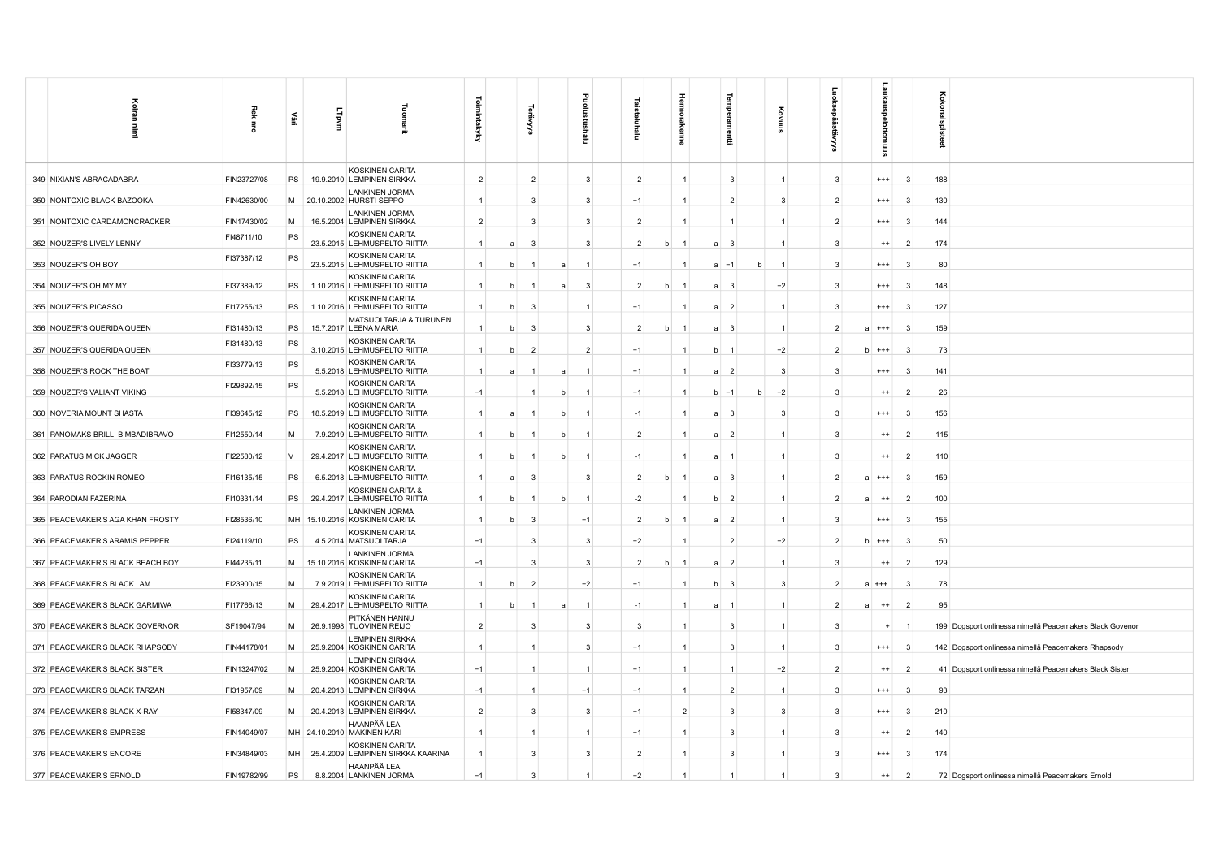| Koiran<br>Ē                      | Rek<br>ă    | 뿤      | Lipvm     | 긮                                                    | Toimintakyky   |     |                |   |                | 5<br>Ξ         |             |                |             |                         |                |                | kaus<br>ਨ             |                | gist |                                                          |
|----------------------------------|-------------|--------|-----------|------------------------------------------------------|----------------|-----|----------------|---|----------------|----------------|-------------|----------------|-------------|-------------------------|----------------|----------------|-----------------------|----------------|------|----------------------------------------------------------|
|                                  |             |        |           | KOSKINEN CARITA                                      |                |     |                |   | ε              |                |             |                |             | 륲                       |                |                | 틇                     |                | å    |                                                          |
| 349 NIXIAN'S ABRACADABRA         | FIN23727/08 | PS     |           | 19.9.2010 LEMPINEN SIRKKA<br><b>LANKINEN JORMA</b>   | $\overline{2}$ |     | $\overline{2}$ |   | 3              | $\overline{2}$ |             |                |             | -3                      | $\overline{1}$ | -3             | $^{+++}$              | -3             | 188  |                                                          |
| 350 NONTOXIC BLACK BAZOOKA       | FIN42630/00 | M      |           | 20.10.2002 HURSTI SEPPO                              | $-1$           |     | 3              |   | 3              | $-1$           |             |                |             | $\overline{2}$          | 3              | $\overline{2}$ | $^{+++}$              | 3              | 130  |                                                          |
| 351 NONTOXIC CARDAMONCRACKER     | FIN17430/02 | M      |           | LANKINEN JORMA<br>16.5.2004 LEMPINEN SIRKKA          | $\overline{2}$ |     | 3              |   | 3              | $\overline{2}$ |             | $\overline{1}$ |             | $\mathbf{1}$            | 1              | $\overline{2}$ | $^{+++}$              | - 3            | 144  |                                                          |
| 352 NOUZER'S LIVELY LENNY        | FI48711/10  | PS     |           | KOSKINEN CARITA<br>23.5.2015 LEHMUSPELTO RIITTA      | $\overline{1}$ | a   | 3              |   | 3              | $\overline{2}$ | h           |                | a           | $\overline{\mathbf{3}}$ | 1              | -3             | $^{++}$               | $\overline{2}$ | 174  |                                                          |
| 353 NOUZER'S OH BOY              | FI37387/12  | PS     |           | KOSKINEN CARITA<br>23.5.2015 LEHMUSPELTO RIITTA      |                |     |                |   |                | $-1$           |             |                | a           | $-1$<br>h               | -1             | -3             | $^{+++}$              | -3             | 80   |                                                          |
| 354 NOUZER'S OH MY MY            | FI37389/12  | PS     |           | KOSKINEN CARITA<br>1.10.2016 LEHMUSPELTO RIITTA      | $\mathbf{1}$   |     |                | a | 3              | $\overline{2}$ | h           |                | a           | - 3                     | $-2$           | $\mathbf{3}$   | $^{+++}$              |                | 148  |                                                          |
| 355 NOUZER'S PICASSO             | FI17255/13  | PS     |           | KOSKINEN CARITA<br>1.10.2016 LEHMUSPELTO RIITTA      | $\overline{1}$ | h   | -3             |   |                | $-1$           |             |                | a           | $\overline{2}$          | $\overline{1}$ | -3             | $^{+++}$              | - 3            | 127  |                                                          |
| 356 NOUZER'S QUERIDA QUEEN       | FI31480/13  | PS     |           | MATSUOI TARJA & TURUNEN<br>15.7.2017 LEENA MARIA     | $\overline{1}$ | $b$ | 3              |   | 3              | $\overline{2}$ | h           |                | a           | $\overline{\mathbf{3}}$ | $\overline{1}$ | $\overline{2}$ | $***$<br>$\mathbf{a}$ | -3             | 159  |                                                          |
| 357 NOUZER'S QUERIDA QUEEN       | FI31480/13  | PS     |           | KOSKINEN CARITA<br>3.10.2015 LEHMUSPELTO RIITTA      |                |     | $\overline{2}$ |   | $\overline{2}$ | $-1$           |             |                | h           |                         | $-2$           | -2             | $+++$<br>h            | -3             | 73   |                                                          |
| 358 NOUZER'S ROCK THE BOAT       | FI33779/13  | PS     |           | KOSKINEN CARITA<br>5.5.2018 LEHMUSPELTO RIITTA       | $\overline{1}$ | a   |                | a |                | $-1$           |             |                | a           | $\overline{2}$          | 3              |                | $^{+++}$              | - 3            | 141  |                                                          |
| 359 NOUZER'S VALIANT VIKING      | FI29892/15  | PS     |           | KOSKINEN CARITA<br>5.5.2018 LEHMUSPELTO RIITTA       | $-1$           |     |                |   |                | $-1$           |             | $\mathbf{1}$   | b           | $-1$<br>b               | $-2$           | -3             | $^{++}$               | $\overline{2}$ | 26   |                                                          |
| 360 NOVERIA MOUNT SHASTA         | FI39645/12  | PS     | 18.5.2019 | KOSKINEN CARITA<br>LEHMUSPELTO RIITTA                | $\overline{1}$ | a   |                |   |                | $-1$           |             |                | a           | $\overline{\mathbf{3}}$ | 3              | 3              | $^{+++}$              | $\mathbf{3}$   | 156  |                                                          |
| 361 PANOMAKS BRILLI BIMBADIBRAVO | FI12550/14  | M      |           | KOSKINEN CARITA<br>7.9.2019 LEHMUSPELTO RIITTA       |                |     |                |   |                | $-2$           |             |                | a           | $\overline{2}$          | 1              | -3             | $^{++}$               | -2             | 115  |                                                          |
| 362 PARATUS MICK JAGGER          | FI22580/12  | $\vee$ |           | KOSKINEN CARITA<br>29.4.2017 LEHMUSPELTO RIITTA      | $\mathbf{1}$   |     |                |   |                | $-1$           |             |                | a           | $\overline{1}$          | 1              |                | $++$                  | -2             | 110  |                                                          |
| 363 PARATUS ROCKIN ROMEO         | FI16135/15  | PS     |           | KOSKINEN CARITA<br>6.5.2018 LEHMUSPELTO RIITTA       | $\overline{1}$ | a   | -3             |   | 3              | $\overline{2}$ | b           |                | a           | - 3                     | $\mathbf{1}$   | -2             | $^{+++}$<br>a         | - 3            | 159  |                                                          |
| 364 PARODIAN FAZERINA            | FI10331/14  | PS     |           | KOSKINEN CARITA &<br>29.4.2017 LEHMUSPELTO RIITTA    | $\overline{1}$ | h   | $\overline{1}$ |   | $\overline{1}$ | $-2$           |             |                | $\mathbf b$ | $\overline{2}$          | $\mathbf{1}$   | $\overline{2}$ | $^{++}$<br>a          | $\overline{2}$ | 100  |                                                          |
| 365 PEACEMAKER'S AGA KHAN FROSTY | FI28536/10  |        |           | LANKINEN JORMA<br>MH 15.10.2016 KOSKINEN CARITA      |                |     | $\mathbf{3}$   |   | $-1$           | $\overline{2}$ | $\mathbf b$ |                | a           | $\overline{2}$          | $\mathbf{1}$   |                | $^{+++}$              | $\mathbf{3}$   | 155  |                                                          |
| 366 PEACEMAKER'S ARAMIS PEPPER   | FI24119/10  | PS     |           | KOSKINEN CARITA<br>4.5.2014 MATSUOI TARJA            | $-1$           |     | 3              |   | 3              | $-2$           |             |                |             | $\overline{2}$          | $-2$           |                | $h$ +++               | -3             | 50   |                                                          |
| 367 PEACEMAKER'S BLACK BEACH BOY | FI44235/11  | M      |           | <b>LANKINEN JORMA</b><br>15.10.2016 KOSKINEN CARITA  | $-1$           |     | 3              |   | 3              | $\overline{2}$ | b           |                | a           | $\overline{2}$          | $\overline{1}$ | -3             | $^{++}$               | $\overline{2}$ | 129  |                                                          |
| 368 PEACEMAKER'S BLACK I AM      | FI23900/15  | M      |           | KOSKINEN CARITA<br>7.9.2019 LEHMUSPELTO RIITTA       | $\overline{1}$ | h   | $\overline{2}$ |   | $-2$           | $-1$           |             |                | b           | $\overline{\mathbf{3}}$ | 3              | $\overline{2}$ | $a$ +++               | - 3            | 78   |                                                          |
| 369 PEACEMAKER'S BLACK GARMIWA   | FI17766/13  | M      |           | KOSKINEN CARITA<br>29.4.2017 LEHMUSPELTO RIITTA      | $\mathbf{1}$   |     |                |   |                | $-1$           |             |                |             |                         | 1              | $\overline{2}$ | $++$                  | $\overline{2}$ | 95   |                                                          |
| 370 PEACEMAKER'S BLACK GOVERNOR  | SF19047/94  | M      |           | PITKÄNEN HANNU<br>26.9.1998 TUOVINEN REIJO           | $\overline{2}$ |     | 3              |   | 3              | 3              |             |                |             | 3                       |                |                |                       |                |      | 199 Dogsport onlinessa nimellä Peacemakers Black Govenor |
| 371 PEACEMAKER'S BLACK RHAPSODY  | FIN44178/01 | M      |           | <b>LEMPINEN SIRKKA</b><br>25.9.2004 KOSKINEN CARITA  | $\mathbf{1}$   |     |                |   | 3              | $-1$           |             | $\overline{1}$ |             | 3                       | $\mathbf{1}$   | -3             | $^{+++}$              | $\mathbf{3}$   |      | 142 Dogsport onlinessa nimellä Peacemakers Rhapsody      |
| 372 PEACEMAKER'S BLACK SISTER    | FIN13247/02 | M      |           | <b>LEMPINEN SIRKKA</b><br>25.9.2004 KOSKINEN CARITA  | $-1$           |     | $\mathbf{1}$   |   |                | $-1$           |             | $\overline{1}$ |             | 1                       | $-2$           | $\overline{2}$ | $^{++}$               | $\overline{2}$ |      | 41 Dogsport onlinessa nimellä Peacemakers Black Sister   |
| 373 PEACEMAKER'S BLACK TARZAN    | FI31957/09  | M      |           | KOSKINEN CARITA<br>20.4.2013 LEMPINEN SIRKKA         | $-1$           |     | $\overline{1}$ |   | $-1$           | $-1$           |             | $\mathbf{1}$   |             | $\overline{2}$          | 1              | 3              | $^{+++}$              | -3             | 93   |                                                          |
| 374 PEACEMAKER'S BLACK X-RAY     | FI58347/09  | M      |           | KOSKINEN CARITA<br>20.4.2013 LEMPINEN SIRKKA         | $\overline{2}$ |     | 3              |   | 3              | $-1$           |             | $\overline{2}$ |             | 3                       | 3              | 3              | $^{+++}$              | - 3            | 210  |                                                          |
| 375 PEACEMAKER'S EMPRESS         | FIN14049/07 |        |           | HAANPÄÄ LEA<br>MH 24.10.2010 MÄKINEN KARI            |                |     |                |   |                | $-1$           |             | -1             |             | 3                       |                | 3              | $^{++}$               | $\overline{2}$ | 140  |                                                          |
| 376 PEACEMAKER'S ENCORE          | FIN34849/03 | MH     |           | KOSKINEN CARITA<br>25.4.2009 LEMPINEN SIRKKA KAARINA | $\overline{1}$ |     | 3              |   | 3              | $\overline{2}$ |             | $\mathbf{1}$   |             | 3                       | 1              | -3             | $^{+++}$              | -3             | 174  |                                                          |
| 377 PEACEMAKER'S ERNOLD          | FIN19782/99 | PS     |           | HAANPÄÄ LEA<br>8.8.2004 LANKINEN JORMA               | $-1$           |     | 3              |   |                | $-2$           |             |                |             |                         |                | $\mathbf{3}$   | $^{++}$               | $\overline{2}$ |      | 72 Dogsport onlinessa nimellä Peacemakers Ernold         |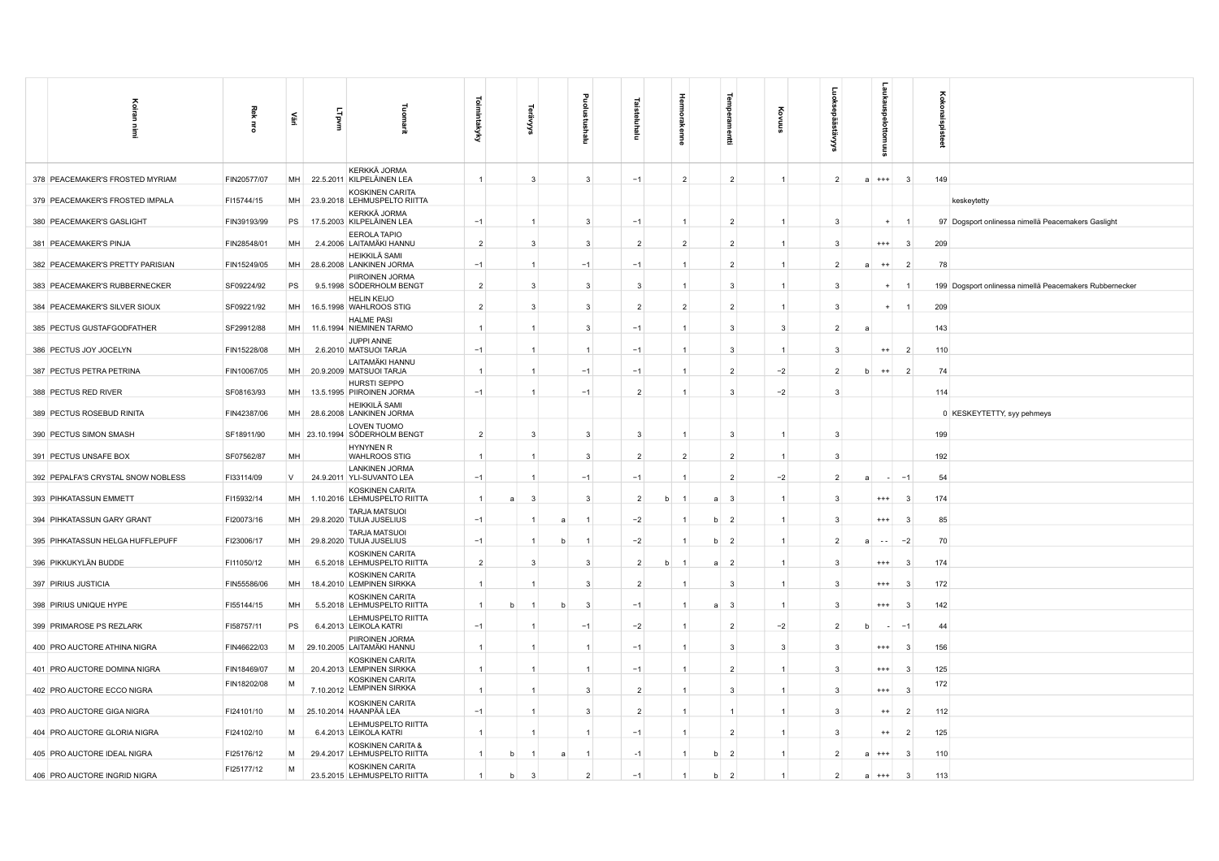| Koira<br>Ē.                        | Rek<br>륑    | 즱         | Lipvm | 로                                                  | <b>Toimintakyky</b> | ॱ⋦             | 흐<br>Пы      |                | Ξ              | 금<br>enne      | Tem<br>힣<br>륲       |                |                | ō             |                | Koko<br>š<br><b>B</b>                                   |  |
|------------------------------------|-------------|-----------|-------|----------------------------------------------------|---------------------|----------------|--------------|----------------|----------------|----------------|---------------------|----------------|----------------|---------------|----------------|---------------------------------------------------------|--|
| 378 PEACEMAKER'S FROSTED MYRIAM    | FIN20577/07 | MH        |       | KERKKÄ JORMA<br>22.5.2011 KILPELÄINEN LEA          | $\mathbf{1}$        | 3              |              | 3              | $-1$           | $\overline{2}$ | $\overline{2}$      |                | $\overline{2}$ | $a$ +++       | $\mathbf{3}$   | 149                                                     |  |
| 379 PEACEMAKER'S FROSTED IMPALA    | FI15744/15  | <b>MH</b> |       | KOSKINEN CARITA<br>23.9.2018 LEHMUSPELTO RIITTA    |                     |                |              |                |                |                |                     |                |                |               |                | keskeytetty                                             |  |
| 380 PEACEMAKER'S GASLIGHT          | FIN39193/99 | PS        |       | KERKKÄ JORMA<br>17.5.2003 KILPELÄINEN LEA          | $-1$                | $\mathbf{1}$   |              | 3              | $-1$           | $\mathbf{1}$   | $\overline{2}$      |                | 3              | $+$           | $\overline{1}$ | 97 Dogsport onlinessa nimellä Peacemakers Gaslight      |  |
| 381 PEACEMAKER'S PINJA             | FIN28548/01 | MH        |       | <b>EEROLA TAPIO</b><br>2.4.2006 LAITAMÄKI HANNU    | $\overline{2}$      | 3              |              | 3              | $\overline{2}$ | $\overline{2}$ | $\overline{2}$      |                | 3              | $^{+++}$      | 3              | 209                                                     |  |
| 382 PEACEMAKER'S PRETTY PARISIAN   | FIN15249/05 | MH        |       | HEIKKILÄ SAMI<br>28.6.2008 LANKINEN JORMA          | $-1$                | $\overline{1}$ |              | $-1$           | $-1$           | 1              | $\overline{2}$      |                | $\overline{2}$ | $^{++}$       | $\overline{2}$ | 78                                                      |  |
| 383 PEACEMAKER'S RUBBERNECKER      | SF09224/92  | <b>PS</b> |       | PIIROINEN JORMA<br>9.5.1998 SÖDERHOLM BENGT        | $\overline{2}$      | 3              |              | 3              | 3              | 1              | 3                   |                | 3              |               |                | 199 Dogsport onlinessa nimellä Peacemakers Rubbernecker |  |
| 384 PEACEMAKER'S SILVER SIOUX      | SF09221/92  | MH        |       | <b>HELIN KEIJO</b><br>16.5.1998 WAHLROOS STIG      | $\overline{2}$      | 3              |              | 3              | $\overline{2}$ | $\overline{2}$ | $\overline{2}$      |                | 3              |               |                | 209                                                     |  |
| 385 PECTUS GUSTAFGODFATHER         | SF29912/88  | MH        |       | <b>HALME PASI</b><br>11.6.1994 NIEMINEN TARMO      | $\overline{1}$      | $\overline{1}$ |              | 3              | $-1$           | $\mathbf{1}$   | 3                   | 3              | $\overline{2}$ |               |                | 143                                                     |  |
| 386 PECTUS JOY JOCELYN             | FIN15228/08 | MH        |       | JUPPI ANNE<br>2.6.2010 MATSUOI TARJA               | $-1$                | $\overline{1}$ |              |                | $-1$           | 1              | 3                   |                | 3              | $^{++}$       | $\overline{2}$ | 110                                                     |  |
| 387 PECTUS PETRA PETRINA           | FIN10067/05 | MH        |       | LAITAMÄKI HANNU<br>20.9.2009 MATSUOI TARJA         | $\overline{1}$      | $\overline{1}$ |              | $-1$           | $-1$           | 1              | $\overline{2}$      | $-2$           | $\overline{2}$ | $^{++}$       | $\overline{2}$ | 74                                                      |  |
| 388 PECTUS RED RIVER               | SF08163/93  | MH        |       | HURSTI SEPPO<br>13.5.1995 PIIROINEN JORMA          | $-1$                | $\overline{1}$ |              | $-1$           | $\overline{2}$ | 1              | 3                   | $-2$           | 3              |               |                | 114                                                     |  |
| 389 PECTUS ROSEBUD RINITA          | FIN42387/06 | MH        |       | HEIKKILÄ SAMI<br>28.6.2008 LANKINEN JORMA          |                     |                |              |                |                |                |                     |                |                |               |                | 0 KESKEYTETTY, syy pehmeys                              |  |
| 390 PECTUS SIMON SMASH             | SF18911/90  |           |       | LOVEN TUOMO<br>MH 23.10.1994 SÖDERHOLM BENGT       | $\overline{2}$      | 3              |              | 3              | 3              |                | 3                   |                | 3              |               |                | 199                                                     |  |
| 391 PECTUS UNSAFE BOX              | SF07562/87  | MH        |       | <b>HYNYNEN R</b><br><b>WAHLROOS STIG</b>           |                     |                |              | 3              | $\overline{2}$ | $\overline{2}$ | $\overline{2}$      |                | 3              |               |                | 192                                                     |  |
| 392 PEPALFA'S CRYSTAL SNOW NOBLESS | FI33114/09  | V         |       | <b>LANKINEN JORMA</b><br>24.9.2011 YLI-SUVANTO LEA | $-1$                |                |              | $-1$           | $-1$           | $\mathbf{1}$   | $\overline{2}$      | $-2$           | $\overline{2}$ |               | $-1$           | 54                                                      |  |
| 393 PIHKATASSUN EMMETT             | FI15932/14  | MH        |       | KOSKINEN CARITA<br>1.10.2016 LEHMUSPELTO RIITTA    | $\overline{1}$<br>a | 3              |              | 3              | $\overline{2}$ | b              | $\mathbf{3}$<br>a   | $\mathbf{1}$   | 3              | $^{+++}$      | 3              | 174                                                     |  |
| 394 PIHKATASSUN GARY GRANT         | FI20073/16  | MH        |       | <b>TARJA MATSUOI</b><br>29.8.2020 TUIJA JUSELIUS   | $-1$                |                | a            |                | $-2$           |                | b<br>$\overline{2}$ |                | 3              | $^{+++}$      | $\mathbf{3}$   | 85                                                      |  |
| 395 PIHKATASSUN HELGA HUFFLEPUFF   | FI23006/17  | MH        |       | <b>TARJA MATSUOI</b><br>29.8.2020 TUIJA JUSELIUS   | $-1$                | $\overline{1}$ | $\mathsf{h}$ |                | $-2$           |                | $\overline{2}$<br>b | $\overline{1}$ | $\overline{2}$ | $\sim$ $\sim$ | $-2$           | 70                                                      |  |
| 396 PIKKUKYLÄN BUDDE               | FI11050/12  | MH        |       | KOSKINEN CARITA<br>6.5.2018 LEHMUSPELTO RIITTA     | $\overline{2}$      | 3              |              | 3              | $\overline{2}$ | <sub>b</sub>   | a<br>$\overline{2}$ |                | 3              | $^{+++}$      | -3             | 174                                                     |  |
| 397 PIRIUS JUSTICIA                | FIN55586/06 | MH        |       | KOSKINEN CARITA<br>18.4.2010 LEMPINEN SIRKKA       | $\overline{1}$      | -1             |              | 3              | $\overline{2}$ | $\mathbf{1}$   | 3                   | $\mathbf{1}$   | 3              | $^{+++}$      | -3             | 172                                                     |  |
| 398 PIRIUS UNIQUE HYPE             | FI55144/15  | MH        |       | KOSKINEN CARITA<br>5.5.2018 LEHMUSPELTO RIITTA     | $\overline{1}$<br>h |                |              | 3              | $-1$           |                | 3<br>a              |                | 3              | $^{***}$      | 3              | 142                                                     |  |
| 399 PRIMAROSE PS REZLARK           | FI58757/11  | PS        |       | LEHMUSPELTO RIITTA<br>6.4.2013 LEIKOLA KATRI       | $-1$                |                | $-1$         |                | $-2$           |                | $\overline{2}$      | $-2$           | $\overline{2}$ |               |                | 44                                                      |  |
| 400 PRO AUCTORE ATHINA NIGRA       | FIN46622/03 |           |       | PIIROINEN JORMA<br>M 29.10.2005 LAITAMÄKI HANNU    | $\overline{1}$      | $\overline{1}$ |              |                | $-1$           | 1              | 3                   | 3              | 3              | $^{+++}$      | -3             | 156                                                     |  |
| 401 PRO AUCTORE DOMINA NIGRA       | FIN18469/07 | M         |       | KOSKINEN CARITA<br>20.4.2013 LEMPINEN SIRKKA       | $\overline{1}$      | $\overline{1}$ |              | $\mathbf{1}$   | $-1$           | $\mathbf{1}$   | $\overline{2}$      | $\mathbf{1}$   | 3              | $^{+++}$      | 3              | 125                                                     |  |
| 402 PRO AUCTORE ECCO NIGRA         | FIN18202/08 | M         |       | KOSKINEN CARITA<br>7.10.2012 LEMPINEN SIRKKA       | $\overline{1}$      |                |              | 3              | $\overline{2}$ | 1              | 3                   |                | 3              | $^{***}$      | $\mathbf{3}$   | 172                                                     |  |
| 403 PRO AUCTORE GIGA NIGRA         | FI24101/10  | M         |       | KOSKINEN CARITA<br>25.10.2014 HAANPÄÄ LEA          | $-1$                |                |              | 3              | $\overline{2}$ |                |                     |                | 3              | $^{++}$       | $\overline{2}$ | 112                                                     |  |
| 404 PRO AUCTORE GLORIA NIGRA       | FI24102/10  | M         |       | LEHMUSPELTO RIITTA<br>6.4.2013 LEIKOLA KATRI       | $\overline{1}$      |                |              |                | $-1$           | $\mathbf{1}$   | $\overline{2}$      |                | 3              | $^{++}$       | $\overline{2}$ | 125                                                     |  |
| 405 PRO AUCTORE IDEAL NIGRA        | FI25176/12  | M         |       | KOSKINEN CARITA &<br>29.4.2017 LEHMUSPELTO RIITTA  | $\overline{1}$<br>b |                |              |                | $-1$           |                | $\overline{2}$<br>b | $\mathbf{1}$   | $\overline{2}$ | $^{+++}$      | -3             | 110                                                     |  |
| 406 PRO AUCTORE INGRID NIGRA       | FI25177/12  | M         |       | KOSKINEN CARITA<br>23.5.2015 LEHMUSPELTO RIITTA    | $\overline{1}$<br>b | 3              |              | $\overline{2}$ | $-1$           |                | b<br>$\overline{2}$ |                | $\overline{2}$ | a<br>$^{+++}$ | 3              | 113                                                     |  |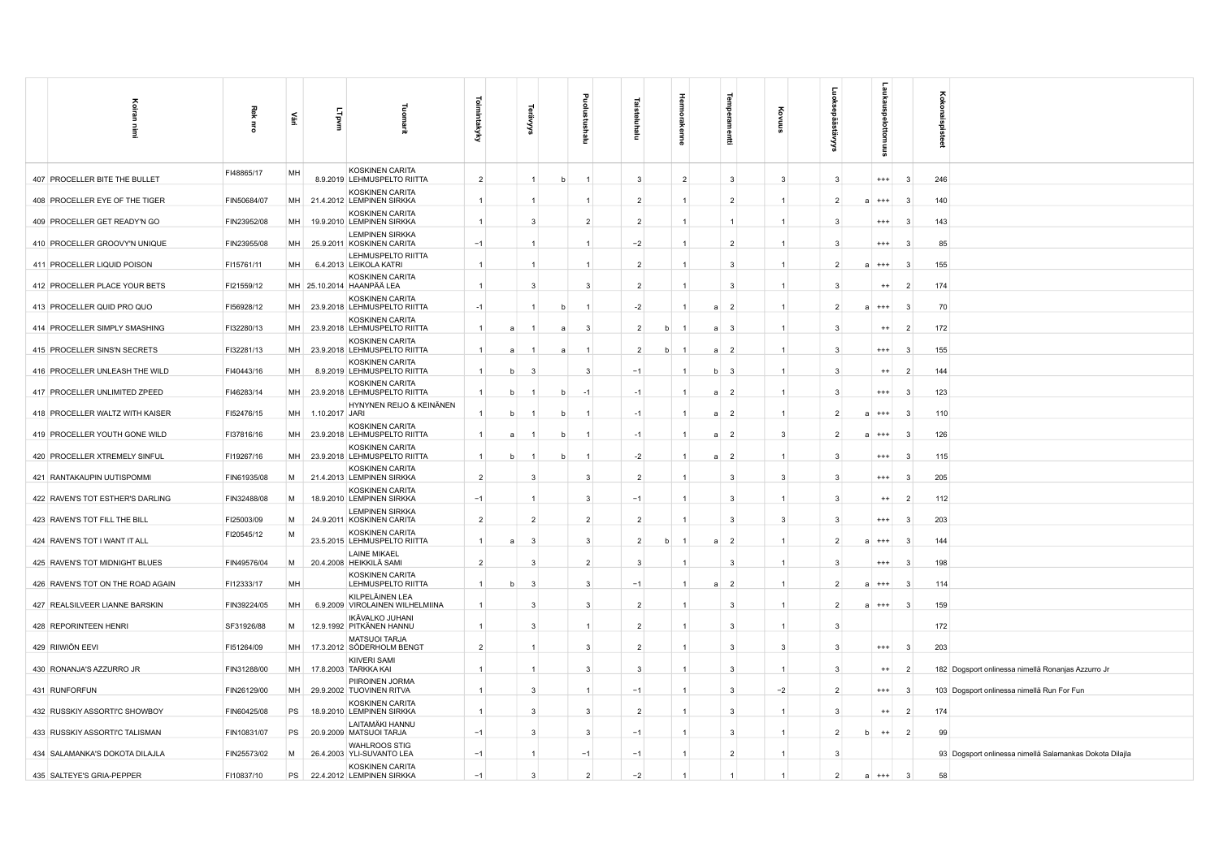| Koiran                            |                |    |                |                                                     | ᅙ              |     |                |   |                |                |   |                |              |                |                      |                |                       |          |                | ह        |                                                         |
|-----------------------------------|----------------|----|----------------|-----------------------------------------------------|----------------|-----|----------------|---|----------------|----------------|---|----------------|--------------|----------------|----------------------|----------------|-----------------------|----------|----------------|----------|---------------------------------------------------------|
|                                   | 죛<br>$\vec{a}$ | £  | LTpvm          | noma                                                | imintakyky     |     |                |   |                |                |   |                |              |                |                      |                |                       |          |                | konai    |                                                         |
| İ                                 |                |    |                |                                                     |                |     | '≍             |   | Ξ              | Ξ              |   |                |              | 툪              |                      |                |                       |          |                | spisteet |                                                         |
|                                   |                |    |                |                                                     |                |     |                |   |                |                |   |                |              |                |                      |                |                       |          |                |          |                                                         |
| 407 PROCELLER BITE THE BULLET     | FI48865/17     | MH |                | KOSKINEN CARITA<br>8.9.2019 LEHMUSPELTO RIITTA      | $\overline{2}$ |     | $\mathbf{1}$   |   |                | 3              |   | $\overline{2}$ |              | $\mathbf{3}$   | $\overline{3}$       | $\mathbf{B}$   |                       | $^{+++}$ | $\mathbf{R}$   | 246      |                                                         |
|                                   |                |    |                | KOSKINEN CARITA                                     | $\overline{1}$ |     | -1             |   |                |                |   | $\mathbf{1}$   |              |                | $\mathbf{1}$         | $\mathcal{P}$  |                       |          | $\mathbf{3}$   |          |                                                         |
| 408 PROCELLER EYE OF THE TIGER    | FIN50684/07    | MH |                | 21.4.2012 LEMPINEN SIRKKA<br>KOSKINEN CARITA        |                |     |                |   |                | $\overline{2}$ |   |                |              | $\overline{2}$ |                      |                | $+++$<br>$\mathbf{a}$ |          |                | 140      |                                                         |
| 409 PROCELLER GET READY'N GO      | FIN23952/08    | MH |                | 19.9.2010 LEMPINEN SIRKKA<br><b>LEMPINEN SIRKKA</b> | $\overline{1}$ |     | $\mathbf{3}$   |   | $\overline{2}$ | $\overline{2}$ |   | $\overline{1}$ |              | $\overline{1}$ | 1                    | $\mathbf{3}$   | $^{+++}$              |          | -3             | 143      |                                                         |
| 410 PROCELLER GROOVY'N UNIQUE     | FIN23955/08    | MH |                | 25.9.2011 KOSKINEN CARITA                           | $-1$           |     | $\overline{1}$ |   |                | $-2$           |   | $\mathbf{1}$   |              | $\overline{2}$ | $\mathbf{1}$         | -3             |                       | $^{+++}$ | -3             | 85       |                                                         |
| 411 PROCELLER LIQUID POISON       | FI15761/11     | MH |                | LEHMUSPELTO RIITTA<br>6.4.2013 LEIKOLA KATRI        | $\overline{1}$ |     | $\overline{1}$ |   |                | $\overline{2}$ |   |                |              | $\mathbf{3}$   | $\mathbf{1}$         | $\mathcal{P}$  | $^{+++}$<br>a         |          | -3             | 155      |                                                         |
| 412 PROCELLER PLACE YOUR BETS     | FI21559/12     |    |                | KOSKINEN CARITA<br>MH 25.10.2014 HAANPÄÄ LEA        | $\overline{1}$ |     | $\mathcal{R}$  |   | 3              | $\mathcal{P}$  |   |                |              | $\mathbf{3}$   | $\mathbf{1}$         | ി              |                       | $++$     |                | 174      |                                                         |
| 413 PROCELLER QUID PRO QUO        | FI56928/12     | MH |                | KOSKINEN CARITA<br>23.9.2018 LEHMUSPELTO RIITTA     | $-1$           |     |                |   |                | $-2$           |   |                | a            | $\overline{2}$ | $\mathbf{1}$         | $\mathcal{P}$  | $+++$<br>a            |          | -3             | 70       |                                                         |
| 414 PROCELLER SIMPLY SMASHING     | FI32280/13     | MH |                | KOSKINEN CARITA<br>23.9.2018 LEHMUSPELTO RIITTA     | $\overline{1}$ | a   |                | a | 3              | $\overline{2}$ | b |                | a            | $\mathbf{3}$   | $\mathbf{1}$         | -3             |                       | $^{++}$  | $\overline{2}$ | 172      |                                                         |
|                                   |                |    |                | KOSKINEN CARITA                                     |                |     |                |   |                |                |   |                |              |                |                      |                |                       |          |                |          |                                                         |
| 415 PROCELLER SINS'N SECRETS      | FI32281/13     | MH |                | 23.9.2018 LEHMUSPELTO RIITTA<br>KOSKINEN CARITA     | $\overline{1}$ | a   |                |   |                | $\overline{2}$ | b |                | a            | $\overline{2}$ | $\mathbf{1}$         | $\mathbf{3}$   |                       | $^{+++}$ | -3             | 155      |                                                         |
| 416 PROCELLER UNLEASH THE WILD    | FI40443/16     | MH |                | 8.9.2019 LEHMUSPELTO RIITTA                         | $\overline{1}$ |     | Э              |   | 3              | $-1$           |   |                | <sub>b</sub> | $\mathbf{3}$   | $\mathbf{1}$         | -3             |                       | $^{++}$  | -2             | 144      |                                                         |
| 417 PROCELLER UNLIMITED ZPEED     | FI46283/14     | MH |                | KOSKINEN CARITA<br>23.9.2018 LEHMUSPELTO RIITTA     | $\overline{1}$ | b   | -1             | b | $-1$           | $-1$           |   |                | a            | $\overline{2}$ | $\overline{1}$       | $\mathbf{3}$   |                       | $^{+++}$ | -3             | 123      |                                                         |
| 418 PROCELLER WALTZ WITH KAISER   | FI52476/15     | MH | 1.10.2017 JARI | HYNYNEN REIJO & KEINÄNEN                            |                | $b$ |                |   |                | $-1$           |   |                | a            | $\overline{2}$ | $\mathbf{1}$         | $\overline{2}$ | $^{+++}$<br>a         |          |                | 110      |                                                         |
| 419 PROCELLER YOUTH GONE WILD     | FI37816/16     | MH |                | KOSKINEN CARITA<br>23.9.2018 LEHMUSPELTO RIITTA     | $\overline{1}$ | a   |                |   |                | $-1$           |   |                |              | $\overline{2}$ | 3                    | -2             | $***$                 |          |                | 126      |                                                         |
| 420 PROCELLER XTREMELY SINFUL     | FI19267/16     | МH |                | KOSKINEN CARITA<br>23.9.2018 LEHMUSPELTO RIITTA     | $\overline{1}$ |     |                |   |                | $-2$           |   |                |              | $\overline{2}$ | $\blacktriangleleft$ |                | $^{+++}$              |          |                | 115      |                                                         |
|                                   |                |    |                | <b>KOSKINEN CARITA</b>                              |                |     |                |   |                |                |   |                |              |                |                      |                |                       |          |                |          |                                                         |
| 421 RANTAKAUPIN UUTISPOMMI        | FIN61935/08    | M  |                | 21.4.2013 LEMPINEN SIRKKA<br>KOSKINEN CARITA        | $\overline{2}$ |     | 3              |   | 3              | $\overline{2}$ |   |                |              | $\mathbf{3}$   | $\mathbf{3}$         | 3              |                       | $^{+++}$ | - 3            | 205      |                                                         |
| 422 RAVEN'S TOT ESTHER'S DARLING  | FIN32488/08    | M  |                | 18.9.2010 LEMPINEN SIRKKA<br><b>LEMPINEN SIRKKA</b> | $-1$           |     | $\mathbf{1}$   |   | 3              | $-1$           |   | $\mathbf{1}$   |              | $\mathbf{3}$   | $\overline{1}$       | 3              |                       | $^{++}$  | $\overline{2}$ | 112      |                                                         |
| 423 RAVEN'S TOT FILL THE BILL     | FI25003/09     | M  |                | 24.9.2011 KOSKINEN CARITA                           | $\overline{2}$ |     | $\overline{2}$ |   | $\overline{2}$ | $\overline{2}$ |   |                |              | $\mathbf{3}$   | 3                    | $\mathbf{3}$   |                       | $^{+++}$ |                | 203      |                                                         |
| 424 RAVEN'S TOT I WANT IT ALL     | FI20545/12     | M  |                | KOSKINEN CARITA<br>23.5.2015 LEHMUSPELTO RIITTA     | $\overline{1}$ |     | $\mathbf{3}$   |   | 3              | $\overline{2}$ | b |                |              | $\overline{2}$ | $\mathbf{1}$         |                | $^{+++}$              |          | -3             | 144      |                                                         |
| 425 RAVEN'S TOT MIDNIGHT BLUES    | FIN49576/04    | M  |                | <b>LAINE MIKAEL</b><br>20.4.2008 HEIKKILÄ SAMI      | $\overline{2}$ |     | $\mathbf{3}$   |   | $\overline{2}$ | 3              |   |                |              | $\mathbf{3}$   | $\mathbf{1}$         | -3             | $^{+++}$              |          | -3             | 198      |                                                         |
| 426 RAVEN'S TOT ON THE ROAD AGAIN | FI12333/17     | MH |                | <b>KOSKINEN CARITA</b><br>LEHMUSPELTO RIITTA        | $\overline{1}$ |     | -3             |   | 3              | $-1$           |   |                | a            | $\overline{2}$ | 1                    | $\mathcal{P}$  | $^{+++}$<br>a         |          | -3             | 114      |                                                         |
| 427 REALSILVEER LIANNE BARSKIN    | FIN39224/05    | MH |                | KILPELÄINEN LEA<br>6.9.2009 VIROLAINEN WILHELMIINA  |                |     | $\mathbf{3}$   |   | 3              | $\overline{2}$ |   |                |              | 3              | 1                    |                | $^{+++}$<br>a         |          |                | 159      |                                                         |
|                                   |                |    |                | IKÄVALKO JUHANI                                     |                |     |                |   |                |                |   |                |              |                |                      |                |                       |          |                |          |                                                         |
| 428 REPORINTEEN HENRI             | SF31926/88     | M  |                | 12.9.1992 PITKÄNEN HANNU<br><b>MATSUOI TARJA</b>    |                |     | $\mathbf{3}$   |   |                | $\overline{2}$ |   |                |              | 3              |                      |                |                       |          |                | 172      |                                                         |
| 429 RIIWIÖN EEVI                  | FI51264/09     | MH |                | 17.3.2012 SÖDERHOLM BENGT<br><b>KIIVERI SAMI</b>    | $\overline{2}$ |     | $\mathbf{1}$   |   | 3              | $\overline{2}$ |   | $\mathbf{1}$   |              | $\mathbf{3}$   | 3                    | 3              |                       | $^{+++}$ | -3             | 203      |                                                         |
| 430 RONANJA'S AZZURRO JR          | FIN31288/00    | MH |                | 17.8.2003 TARKKA KAI                                | $\overline{1}$ |     | $\mathbf{1}$   |   | 3              | 3              |   | $\mathbf{1}$   |              | $\mathbf{3}$   | $\mathbf{1}$         | 3              |                       | $^{++}$  | $\overline{2}$ |          | 182 Dogsport onlinessa nimellä Ronanjas Azzurro Jr      |
| 431 RUNFORFUN                     | FIN26129/00    | MH |                | PIIROINEN JORMA<br>29.9.2002 TUOVINEN RITVA         | $\overline{1}$ |     | 3              |   |                | $-1$           |   |                |              | $\overline{3}$ | $-2$                 | $\overline{2}$ |                       | $^{+++}$ | $\mathbf{3}$   |          | 103 Dogsport onlinessa nimellä Run For Fun              |
| 432 RUSSKIY ASSORTI'C SHOWBOY     | FIN60425/08    | PS |                | KOSKINEN CARITA<br>18.9.2010 LEMPINEN SIRKKA        |                |     | 3              |   | 3              | $\overline{2}$ |   |                |              | 3              |                      | -3             |                       | $^{++}$  |                | 174      |                                                         |
| 433 RUSSKIY ASSORTI'C TALISMAN    | FIN10831/07    | PS |                | LAITAMÄKI HANNU<br>20.9.2009 MATSUOI TARJA          | $-1$           |     | 3              |   | 3              | $-1$           |   |                |              | 3              |                      |                |                       | $^{++}$  | $\overline{2}$ | 99       |                                                         |
| 434 SALAMANKA'S DOKOTA DILAJLA    | FIN25573/02    | M  |                | <b>WAHLROOS STIG</b><br>26.4.2003 YLI-SUVANTO LEA   | $-1$           |     | $\mathbf{1}$   |   | $-1$           | $-1$           |   | 1              |              | $\overline{2}$ | $\mathbf{1}$         | -3             |                       |          |                |          | 93 Dogsport onlinessa nimellä Salamankas Dokota Dilajla |
| 435 SALTEYE'S GRIA-PEPPER         | FI10837/10     | PS |                | <b>KOSKINEN CARITA</b><br>22.4.2012 LEMPINEN SIRKKA | $-1$           |     | 3              |   | $\overline{2}$ | $-2$           |   |                |              |                |                      | $\overline{2}$ | a                     | $^{+++}$ | -3             | 58       |                                                         |
|                                   |                |    |                |                                                     |                |     |                |   |                |                |   |                |              |                |                      |                |                       |          |                |          |                                                         |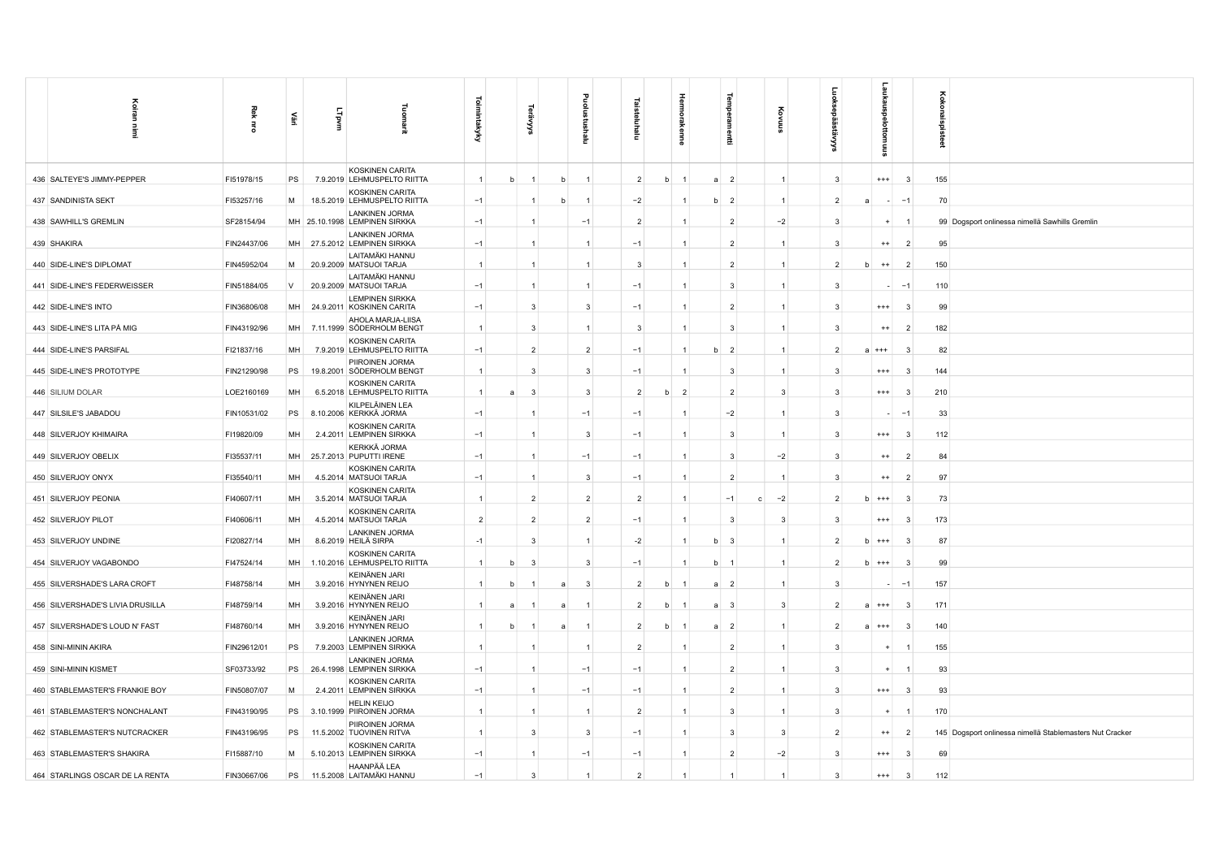| Koiran<br>İ                      | Rek<br>蛋    | è         | Lipvm | Tuomarit                                               | Toimintakyky   |   | ଳ              |   | ᆱ<br>Ξ         | Ξ              | 青<br>kenne          | auti                | ट्टे<br>高            | ē                              | g,<br>SINIULO |                | Koko<br>ន្ត្ |                                                          |
|----------------------------------|-------------|-----------|-------|--------------------------------------------------------|----------------|---|----------------|---|----------------|----------------|---------------------|---------------------|----------------------|--------------------------------|---------------|----------------|--------------|----------------------------------------------------------|
| 436 SALTEYE'S JIMMY-PEPPER       | FI51978/15  | PS        |       | KOSKINEN CARITA<br>7.9.2019 LEHMUSPELTO RIITTA         | $\overline{1}$ | b |                | b | $\mathbf{1}$   | $\overline{2}$ | b                   | $\overline{2}$<br>a | $\mathbf{1}$         | 3                              | $^{++}$       | -3             | 155          |                                                          |
| 437 SANDINISTA SEKT              | FI53257/16  | M         |       | KOSKINEN CARITA<br>18.5.2019 LEHMUSPELTO RIITTA        | $-1$           |   | $\overline{1}$ | b |                | $-2$           |                     | b<br>$\overline{2}$ | $\mathbf{1}$         | $\overline{2}$                 |               | $-1$           | 70           |                                                          |
| 438 SAWHILL'S GREMLIN            | SF28154/94  |           |       | <b>LANKINEN JORMA</b><br>MH 25.10.1998 LEMPINEN SIRKKA | $-1$           |   | -1             |   | $-1$           | $\overline{2}$ | 1                   | $\overline{2}$      | $-2$                 | 3                              | $\ddot{}$     | -1             |              | 99 Dogsport onlinessa nimellä Sawhills Gremlin           |
| 439 SHAKIRA                      | FIN24437/06 | MH        |       | <b>LANKINEN JORMA</b><br>27.5.2012 LEMPINEN SIRKKA     | $-1$           |   | $\mathbf{1}$   |   |                | $-1$           | 1                   | $\overline{2}$      | $\mathbf{1}$         | 3                              | $^{++}$       | $\overline{2}$ | 95           |                                                          |
| 440 SIDE-LINE'S DIPLOMAT         | FIN45952/04 | М         |       | LAITAMÄKI HANNU<br>20.9.2009 MATSUOI TARJA             | $\overline{1}$ |   | $\mathbf{1}$   |   |                | 3              | 1                   | $\overline{2}$      | $\mathbf{1}$         | $\overline{2}$                 | $^{++}$       | $\overline{2}$ | 150          |                                                          |
| 441 SIDE-LINE'S FEDERWEISSER     | FIN51884/05 | $\vee$    |       | LAITAMÄKI HANNU<br>20.9.2009 MATSUOI TARJA             | $-1$           |   | $\mathbf{1}$   |   | $\mathbf{1}$   | $-1$           | 1                   | 3                   | 1                    | 3                              |               | $-1$           | 110          |                                                          |
| 442 SIDE-LINE'S INTO             | FIN36806/08 | MH        |       | <b>LEMPINEN SIRKKA</b><br>24.9.2011 KOSKINEN CARITA    | $-1$           |   | 3              |   | 3              | $-1$           | $\mathbf{1}$        | $\overline{2}$      | $\mathbf{1}$         | 3                              | $^{+++}$      | -3             | 99           |                                                          |
| 443 SIDE-LINE'S LITA PÅ MIG      | FIN43192/96 | MH        |       | AHOLA MARJA-LIISA<br>7.11.1999 SÖDERHOLM BENGT         | $\overline{1}$ |   | $\mathbf{3}$   |   | $\mathbf{1}$   | $\mathbf{3}$   | $\mathbf{1}$        | 3                   | $\mathbf{1}$         | 3                              | $^{++}$       | $\overline{2}$ | 182          |                                                          |
| 444 SIDE-LINE'S PARSIFAL         | FI21837/16  | MH        |       | <b>KOSKINEN CARITA</b><br>7.9.2019 LEHMUSPELTO RIITTA  | $-1$           |   | $\overline{2}$ |   | 2              | $-1$           | 1                   | $\overline{2}$<br>b | $\mathbf{1}$         | $\overline{2}$                 | $^{+++}$      | 3              | 82           |                                                          |
| 445 SIDE-LINE'S PROTOTYPE        | FIN21290/98 | PS        |       | PIIROINEN JORMA<br>19.8.2001 SÖDERHOLM BENGT           | $\overline{1}$ |   | 3              |   | 3              | $-1$           |                     | 3                   | $\mathbf{1}$         | 3                              | $^{+++}$      | 3              | 144          |                                                          |
| 446 SILIUM DOLAR                 | LOE2160169  | MH        |       | KOSKINEN CARITA<br>6.5.2018 LEHMUSPELTO RIITTA         | $\overline{1}$ | a | $\mathbf{3}$   |   | 3              | $\overline{2}$ | b<br>$\overline{2}$ | $\overline{2}$      | 3                    | 3                              | $^{++}$       | -3             | 210          |                                                          |
| 447 SILSILE'S JABADOU            | FIN10531/02 | PS        |       | KILPELÄINEN LEA<br>8.10.2006 KERKKÄ JORMA              | $-1$           |   |                |   | $-1$           | $-1$           | 1                   | $-2$                | 1                    | 3                              |               | $-1$           | 33           |                                                          |
| 448 SILVERJOY KHIMAIRA           | FI19820/09  | MH        |       | <b>KOSKINEN CARITA</b><br>2.4.2011 LEMPINEN SIRKKA     | $-1$           |   |                |   | 3              | $-1$           |                     | 3                   |                      | 3                              | $^{***}$      | -3             | 112          |                                                          |
| 449 SILVERJOY OBELIX             | FI35537/11  | MH        |       | KERKKÄ JORMA<br>25.7.2013 PUPUTTI IRENE                | $-1$           |   | $\mathbf{1}$   |   | $-1$           | $-1$           |                     | 3                   | $-2$                 | 3                              | $^{++}$       | $\overline{2}$ | 84           |                                                          |
| 450 SILVERJOY ONYX               | FI35540/11  | MH        |       | KOSKINEN CARITA<br>4.5.2014 MATSUOI TARJA              | $-1$           |   | $\mathbf{1}$   |   | 3              | $-1$           | $\mathbf{1}$        | $\overline{2}$      | $\mathbf{1}$         | 3                              | $^{++}$       | $\overline{2}$ | 97           |                                                          |
| 451 SILVERJOY PEONIA             | FI40607/11  | MH        |       | KOSKINEN CARITA<br>3.5.2014 MATSUOI TARJA              | $\overline{1}$ |   | $\overline{2}$ |   | $\overline{2}$ | $\overline{2}$ | $\mathbf{1}$        | $-1$                | $-2$<br>$\mathbf{c}$ | $\overline{2}$<br>$\mathbf b$  | $***$         | -3             | 73           |                                                          |
| 452 SILVERJOY PILOT              | FI40606/11  | MH        |       | KOSKINEN CARITA<br>4.5.2014 MATSUOI TARJA              | $\overline{2}$ |   | $\overline{2}$ |   | $\overline{2}$ | $-1$           | 1                   | 3                   | 3                    | 3                              | $***$         | 3              | 173          |                                                          |
| 453 SILVERJOY UNDINE             | FI20827/14  | MH        |       | LANKINEN JORMA<br>8.6.2019 HEILÄ SIRPA                 | $-1$           |   | $\mathbf{3}$   |   |                | $-2$           |                     | $\mathbf{3}$<br>b   | $\mathbf{1}$         | $\overline{2}$<br><sub>b</sub> | $^{++}$       | 3              | 87           |                                                          |
| 454 SILVERJOY VAGABONDO          | FI47524/14  | MH        |       | KOSKINEN CARITA<br>1.10.2016 LEHMUSPELTO RIITTA        | $\overline{1}$ | b | $\mathbf{3}$   |   | 3              | $-1$           |                     | b<br>$\overline{1}$ | $\mathbf{1}$         | $\overline{2}$<br>b            | $^{+++}$      | -3             | 99           |                                                          |
| 455 SILVERSHADE'S LARA CROFT     | FI48758/14  | MH        |       | KEINÄNEN JARI<br>3.9.2016 HYNYNEN REIJO                | $\overline{1}$ | b |                | a | 3              | $\overline{2}$ | b                   | $\overline{2}$<br>a | $\mathbf{1}$         | 3                              |               | $-1$           | 157          |                                                          |
| 456 SILVERSHADE'S LIVIA DRUSILLA | FI48759/14  | MH        |       | KEINÄNEN JARI<br>3.9.2016 HYNYNEN REIJO                | $\overline{1}$ | a |                |   |                | $\overline{2}$ | <sub>b</sub>        | -3<br>a             | 3                    | $\overline{2}$                 |               | 3              | 171          |                                                          |
| 457 SILVERSHADE'S LOUD N' FAST   | FI48760/14  | <b>MH</b> |       | KEINÄNEN JARI<br>3.9.2016 HYNYNEN REIJO                |                |   |                |   |                | $\overline{2}$ | <sub>b</sub>        | $\overline{2}$<br>a | $\mathbf{1}$         | $\overline{\mathbf{c}}$        | $^{++}$       | 3              | 140          |                                                          |
| 458 SINI-MININ AKIRA             | FIN29612/01 | PS        |       | <b>LANKINEN JORMA</b><br>7.9.2003 LEMPINEN SIRKKA      | $\overline{1}$ |   |                |   |                | $\overline{2}$ | $\mathbf{1}$        | $\overline{2}$      | $\mathbf{1}$         | 3                              |               |                | 155          |                                                          |
| 459 SINI-MININ KISMET            | SF03733/92  | PS        |       | <b>LANKINEN JORMA</b><br>26.4.1998 LEMPINEN SIRKKA     | $-1$           |   | $\mathbf{1}$   |   | $-1$           | $-1$           | $\mathbf{1}$        | $\overline{2}$      | $\mathbf{1}$         | 3                              | $+$           |                | 93           |                                                          |
| 460 STABLEMASTER'S FRANKIE BOY   | FIN50807/07 | M         |       | KOSKINEN CARITA<br>2.4.2011 LEMPINEN SIRKKA            | $-1$           |   | $\mathbf{1}$   |   | $-1$           | $-1$           | 1                   | $\overline{2}$      |                      | 3                              | $^{***}$      | 3              | 93           |                                                          |
| 461 STABLEMASTER'S NONCHALANT    | FIN43190/95 | PS        |       | <b>HELIN KEIJO</b><br>3.10.1999 PIIROINEN JORMA        |                |   | $\overline{1}$ |   |                | $\overline{2}$ | 1                   | 3                   |                      | 3                              | $\ddot{}$     |                | 170          |                                                          |
| 462 STABLEMASTER'S NUTCRACKER    | FIN43196/95 | PS        |       | PIIROINEN JORMA<br>11.5.2002 TUOVINEN RITVA            | $\overline{1}$ |   | 3              |   | 3              | $-1$           | 1                   | 3                   | 3                    | $\overline{2}$                 | $^{++}$       | $\overline{2}$ |              | 145 Dogsport onlinessa nimellä Stablemasters Nut Cracker |
| 463 STABLEMASTER'S SHAKIRA       | FI15887/10  | M         |       | KOSKINEN CARITA<br>5.10.2013 LEMPINEN SIRKKA           | $-1$           |   | $\mathbf{1}$   |   | $-1$           | $-1$           | 1                   | $\overline{2}$      | $-2$                 | 3                              | $^{+++}$      | 3              | 69           |                                                          |
| 464 STARLINGS OSCAR DE LA RENTA  | FIN30667/06 | PS        |       | HAANPÄÄ LEA<br>11.5.2008 LAITAMÄKI HANNU               | $-1$           |   | 3              |   | $\mathbf{1}$   | $\overline{2}$ | 1                   |                     | $\overline{1}$       | 3                              | $^{++}$       | 3              | 112          |                                                          |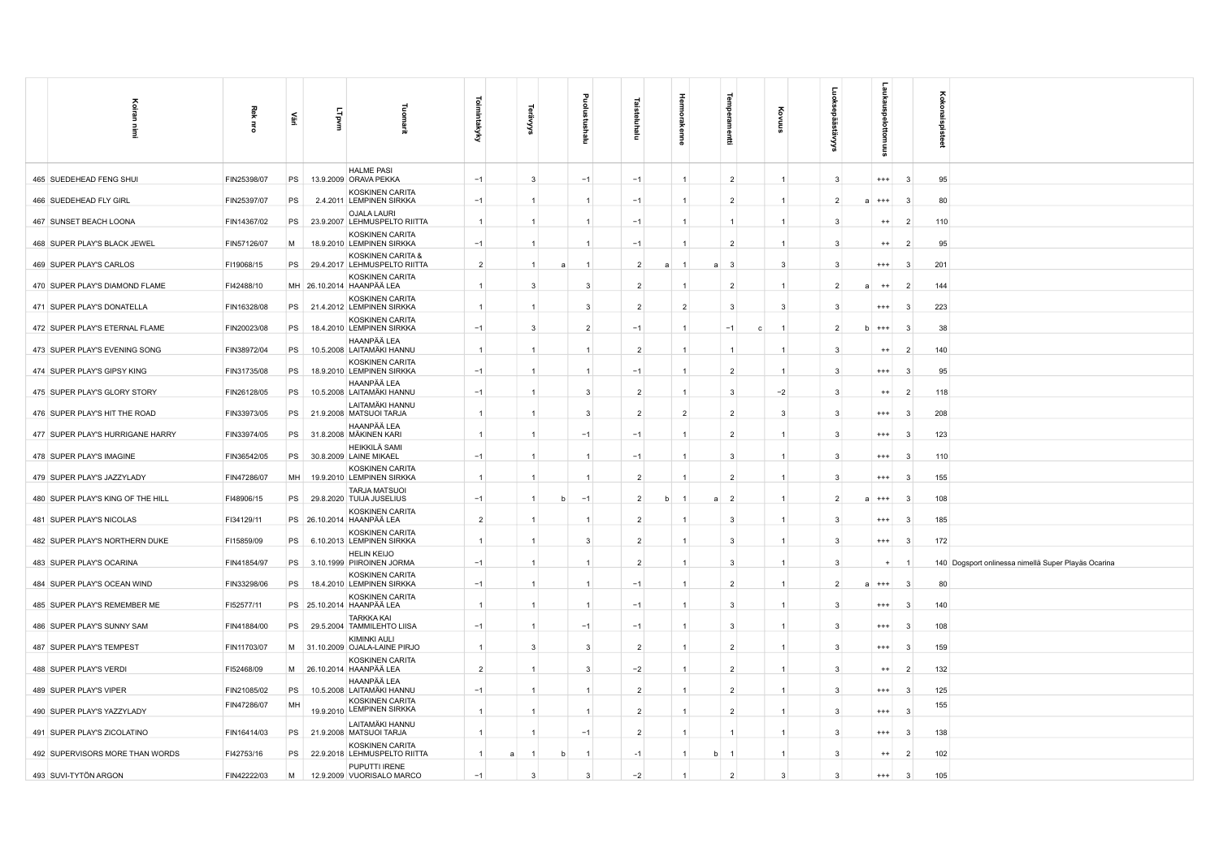| <b>Toimintakyky</b><br>Fuorna<br><b>Lipvm</b><br>£<br>$\vec{a}$<br>aigt<br>Ì<br>⋦<br>곧<br>Ξ<br>뤞<br>g<br>Ξ                                                                                                                                                                   |  |
|------------------------------------------------------------------------------------------------------------------------------------------------------------------------------------------------------------------------------------------------------------------------------|--|
| <b>HALME PASI</b><br>465 SUEDEHEAD FENG SHUI<br>FIN25398/07<br>PS<br>$\mathbf{3}$<br>$\overline{2}$<br>$\mathbf{3}$<br>95<br>13.9.2009 ORAVA PEKKA<br>$-1$<br>$-1$<br>$-1$<br>1<br>$\mathbf{1}$<br>$+++$<br>-3                                                               |  |
| KOSKINEN CARITA<br>FIN25397/07<br>PS<br>2.4.2011 LEMPINEN SIRKKA<br>$-1$<br>80<br>466 SUEDEHEAD FLY GIRL<br>$-1$<br>$\overline{2}$<br>$\overline{2}$<br>$\overline{1}$<br>$\mathbf{1}$<br>$\mathbf{3}$<br>-1<br>-1<br>$\mathbf{a}$<br>$***$                                  |  |
| <b>OJALA LAURI</b><br>467 SUNSET BEACH LOONA<br>FIN14367/02<br>PS<br>23.9.2007 LEHMUSPELTO RIITTA<br>110<br>$\overline{1}$<br>$-1$<br>3<br>$\overline{2}$<br>$\overline{1}$<br>1<br>$\mathbf{1}$<br>$^{++}$<br>-1<br>$\mathbf{1}$                                            |  |
| KOSKINEN CARITA<br>FIN57126/07<br>M<br>18.9.2010 LEMPINEN SIRKKA<br>$-1$<br>$-1$<br>468 SUPER PLAY'S BLACK JEWEL<br>$\overline{2}$<br>3<br>95<br>$\overline{1}$<br>$\overline{1}$<br>$\mathbf{1}$<br>$\mathbf{1}$<br>$^{++}$<br>$\overline{2}$                               |  |
| KOSKINEN CARITA &<br>$\overline{2}$<br>469 SUPER PLAY'S CARLOS<br>FI19068/15<br>PS<br>29.4.2017 LEHMUSPELTO RIITTA<br>$\overline{2}$<br>3<br>3<br>201<br>-3<br>$\overline{1}$<br>$\overline{1}$<br>$^{+++}$<br>$\mathbf{3}$<br>$\overline{a}$                                |  |
| KOSKINEN CARITA<br>470 SUPER PLAY'S DIAMOND FLAME<br>FI42488/10<br>MH 26.10.2014 HAANPÄÄ LEA<br>144<br>$\overline{1}$<br>3<br>3<br>$\overline{2}$<br>$\overline{2}$<br>$\mathbf{1}$<br>2<br>$++$<br>$\overline{2}$                                                           |  |
| KOSKINEN CARITA<br>471 SUPER PLAY'S DONATELLA<br>FIN16328/08<br>PS 21.4.2012 LEMPINEN SIRKKA<br>$\overline{2}$<br>223<br>$\overline{1}$<br>3<br>$\overline{2}$<br>3<br>3<br>$\mathbf{3}$<br>-1<br>$^{+++}$<br>-3                                                             |  |
| KOSKINEN CARITA<br>472 SUPER PLAY'S ETERNAL FLAME<br>FIN20023/08<br>PS<br>18.4.2010 LEMPINEN SIRKKA<br>$-1$<br>3<br>$\overline{2}$<br>$-1$<br>$-1$<br>38<br>$\mathbf{1}$<br>c<br>$\mathbf{1}$<br>$\overline{2}$<br>$b + + +$<br>-3                                           |  |
| HAANPÄÄ LEA<br>473 SUPER PLAY'S EVENING SONG<br>FIN38972/04<br>PS<br>$\overline{1}$<br>$\overline{2}$<br>10.5.2008 LAITAMÄKI HANNU<br>3<br>140<br>$\overline{1}$<br>$\overline{1}$<br>$\mathbf{1}$<br>$\mathbf{1}$<br>$^{++}$<br>$\overline{2}$                              |  |
| KOSKINEN CARITA<br>FIN31735/08<br>$-1$<br>474 SUPER PLAY'S GIPSY KING<br>PS<br>18.9.2010 LEMPINEN SIRKKA<br>$-1$<br>95<br>$\overline{1}$<br>$\overline{1}$<br>1<br>$\overline{2}$<br>3<br>$^{+++}$<br>3                                                                      |  |
| HAANPÄÄ LEA<br>FIN26128/05<br>PS<br>10.5.2008 LAITAMÄKI HANNU<br>475 SUPER PLAY'S GLORY STORY<br>$-1$<br>$\overline{2}$<br>$-2$<br>$\mathbf{3}$<br>118<br>$\overline{1}$<br>3<br>$\mathbf{1}$<br>3<br>$^{++}$<br>$\overline{2}$                                              |  |
| LAITAMÄKI HANNU<br>FIN33973/05<br>$\overline{1}$<br>$\overline{2}$<br>$\overline{2}$<br>476 SUPER PLAY'S HIT THE ROAD<br>PS<br>21.9.2008 MATSUOI TARJA<br>$\overline{1}$<br>3<br>$\overline{2}$<br>3<br>3<br>$^{+++}$<br>3<br>208                                            |  |
| HAANPÄÄ LEA<br>477 SUPER PLAY'S HURRIGANE HARRY<br>FIN33974/05<br>PS<br>31.8.2008 MÄKINEN KARI<br>123<br>$\overline{1}$<br>$\overline{1}$<br>$-1$<br>$-1$<br>1<br>$\overline{2}$<br>3<br>$^{+++}$<br>-3                                                                      |  |
| HEIKKILÄ SAMI<br>478 SUPER PLAY'S IMAGINE<br>FIN36542/05<br>PS<br>$-1$<br>110<br>30.8.2009 LAINE MIKAEL<br>$-1$<br>$\overline{1}$<br>3<br>3<br>$^{+++}$<br>3                                                                                                                 |  |
| <b>KOSKINEN CARITA</b><br>479 SUPER PLAY'S JAZZYLADY<br>FIN47286/07<br>MH<br>19.9.2010 LEMPINEN SIRKKA<br>$\overline{2}$<br>155<br>$\overline{1}$<br>2<br>3<br>$^{+++}$<br>$\mathbf{3}$<br>-1<br>-1                                                                          |  |
| <b>TARJA MATSUOI</b><br>FI48906/15<br>$-1$<br>$\overline{2}$<br>108<br>480 SUPER PLAY'S KING OF THE HILL<br>PS<br>29.8.2020 TUIJA JUSELIUS<br>$\overline{1}$<br>$\overline{2}$<br>$\overline{2}$<br>b<br>$-1$<br>b<br>$\mathbf{1}$<br>a<br>$\overline{1}$<br>$a + + +$<br>-3 |  |
| KOSKINEN CARITA<br>$\overline{2}$<br>481 SUPER PLAY'S NICOLAS<br>FI34129/11<br>PS 26.10.2014 HAANPÄÄ LEA<br>$\overline{2}$<br>3<br>3<br>$***$<br>3<br>185<br>$\overline{1}$                                                                                                  |  |
| KOSKINEN CARITA<br>482 SUPER PLAY'S NORTHERN DUKE<br>FI15859/09<br>6.10.2013 LEMPINEN SIRKKA<br>172<br>PS<br>$\mathbf{1}$<br>$\overline{1}$<br>3<br>$\overline{2}$<br>3<br>3<br>$***$<br>3                                                                                   |  |
| <b>HELIN KEIJO</b><br>483 SUPER PLAY'S OCARINA<br>FIN41854/97<br>PS  <br>3.10.1999 PIIROINEN JORMA<br>$-1$<br>$\overline{2}$<br>3<br>3<br>140 Dogsport onlinessa nimellä Super Playäs Ocarina<br>-1<br>-1<br>1<br>$\ddot{}$                                                  |  |
| <b>KOSKINEN CARITA</b><br>$-1$<br>484 SUPER PLAY'S OCEAN WIND<br>FIN33298/06<br>PS<br>18.4.2010 LEMPINEN SIRKKA<br>$-1$<br>$\overline{2}$<br>80<br>$\overline{1}$<br>$\mathbf{1}$<br>1<br>$\mathbf{1}$<br>$\overline{2}$<br>$a + + +$<br>-3                                  |  |
| KOSKINEN CARITA<br>485 SUPER PLAY'S REMEMBER ME<br>FI52577/11<br>PS 25.10.2014 HAANPÄÄ LEA<br>$\overline{1}$<br>$-1$<br>3<br>140<br>$\overline{1}$<br>1<br>3<br>$^{+++}$<br>-3                                                                                               |  |
| <b>TARKKA KAI</b><br>486 SUPER PLAY'S SUNNY SAM<br>FIN41884/00<br>PS<br>29.5.2004 TAMMILEHTO LIISA<br>$-1$<br>$-1$<br>$-1$<br>3<br>3<br>$^{+++}$<br>108<br>$\overline{1}$<br>1                                                                                               |  |
| KIMINKI AULI<br>487 SUPER PLAY'S TEMPEST<br>FIN11703/07<br>M 31.10.2009 OJALA-LAINE PIRJO<br>$\overline{1}$<br>3<br>3<br>$\overline{2}$<br>$\mathbf{1}$<br>$\overline{2}$<br>3<br>159<br>$^{+++}$<br>-3                                                                      |  |
| KOSKINEN CARITA<br>$\overline{2}$<br>FI52468/09<br>$\mathbf{3}$<br>$-2$<br>$\overline{2}$<br>3<br>132<br>488 SUPER PLAY'S VERDI<br>M 26.10.2014 HAANPÄÄ LEA<br>$\overline{1}$<br>$\mathbf{1}$<br>$\mathbf{1}$<br>$^{++}$<br>$\overline{2}$                                   |  |
| HAANPÄÄ LEA<br>489 SUPER PLAY'S VIPER<br>FIN21085/02<br>PS<br>10.5.2008 LAITAMÄKI HANNU<br>$-1$<br>$\overline{2}$<br>125<br>1<br>$\overline{2}$<br>3<br>$^{***}$<br>$\mathbf{3}$                                                                                             |  |
| KOSKINEN CARITA<br>FIN47286/07<br>MH<br>155<br>19.9.2010 LEMPINEN SIRKKA<br>490 SUPER PLAY'S YAZZYLADY<br>$\mathbf{1}$<br>$\overline{2}$<br>3<br>$\overline{\mathbf{c}}$<br>$^{***}$<br>3                                                                                    |  |
| LAITAMÄKI HANNU<br>491 SUPER PLAY'S ZICOLATINO<br>FIN16414/03<br>PS<br>21.9.2008 MATSUOI TARJA<br>$\mathbf{1}$<br>$\overline{2}$<br>3<br>138<br>$-1$<br>$\mathbf{1}$<br>$^{+++}$<br>-3                                                                                       |  |
| KOSKINEN CARITA<br>492 SUPERVISORS MORE THAN WORDS<br>FI42753/16<br>PS<br>22.9.2018 LEHMUSPELTO RIITTA<br>$\mathbf{1}$<br>$-1$<br>3<br>$^{++}$<br>102<br>$\mathbf{1}$<br>1<br>b<br>$\mathbf{1}$<br>$\mathbf{1}$<br>$\overline{2}$                                            |  |
| PUPUTTI IRENE<br>493 SUVI-TYTÖN ARGON<br>FIN42222/03<br>$-2$<br>M<br>12.9.2009 VUORISALO MARCO<br>$-1$<br>3<br>3<br>$\overline{2}$<br>3<br>3<br>$^{***}$<br>3<br>105                                                                                                         |  |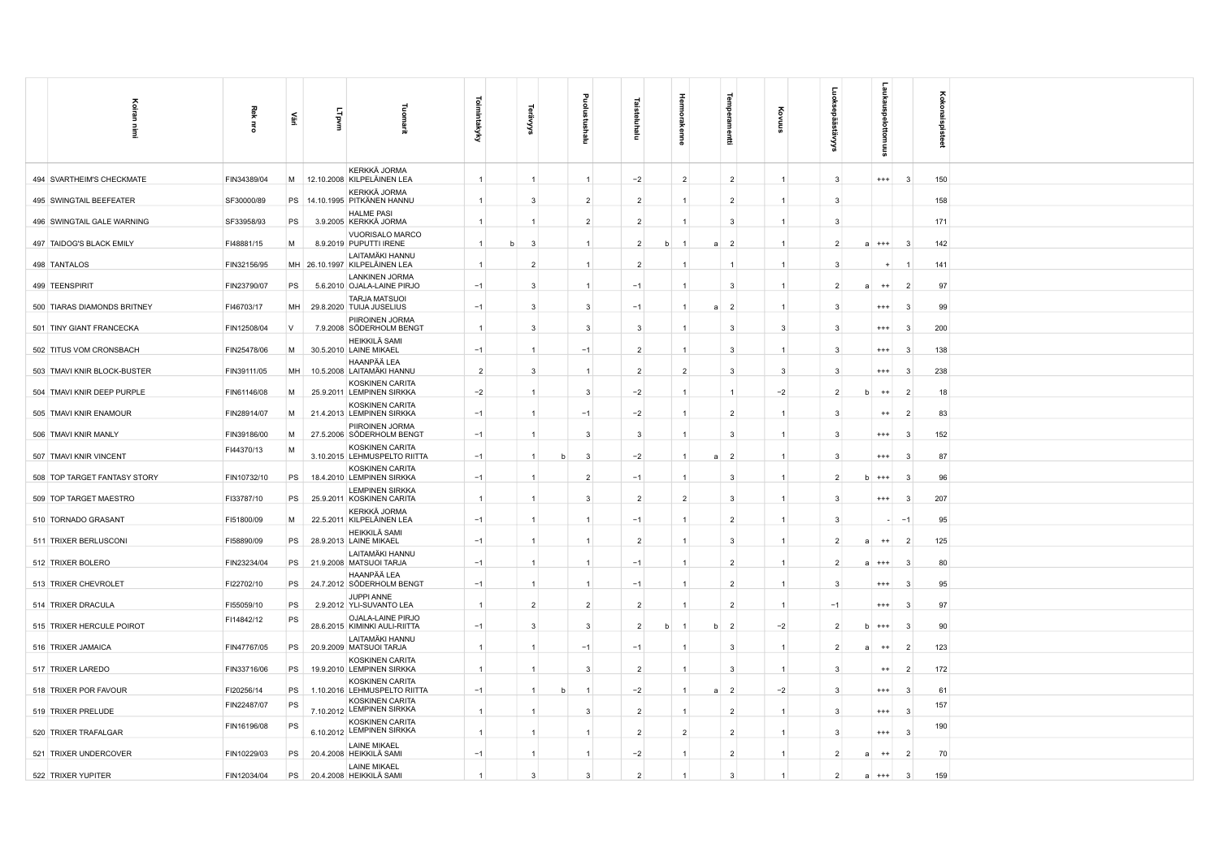| Koiran                       | Rek         | 뿦         | LTpvm | Eurour                                              | <b>Toimintakyky</b> |                |                | ē              |   |                | ਰੁ                               |                |                |               |                |                 |
|------------------------------|-------------|-----------|-------|-----------------------------------------------------|---------------------|----------------|----------------|----------------|---|----------------|----------------------------------|----------------|----------------|---------------|----------------|-----------------|
| Ē                            | $\vec{a}$   |           |       | 긮                                                   |                     | ៵              | ε              | Ξ              |   |                | Ξ                                |                |                |               |                | Kokonaispisteet |
|                              |             |           |       |                                                     |                     |                |                |                |   |                |                                  |                |                |               |                |                 |
| 494 SVARTHEIM'S CHECKMATE    | FIN34389/04 |           |       | KERKKÄ JORMA<br>M 12.10.2008 KILPELÄINEN LEA        | $\overline{1}$      | $\overline{1}$ |                | $-2$           |   | $\overline{2}$ | $\overline{2}$                   | $\overline{1}$ | $\mathbf{3}$   | $^{+++}$      | -3             | 150             |
| 495 SWINGTAIL BEEFEATER      | SF30000/89  |           |       | KERKKÄ JORMA<br>PS   14.10.1995   PITKÄNEN HANNU    | $\overline{1}$      | $\mathcal{R}$  | $\overline{2}$ | $\overline{2}$ |   |                | $\overline{2}$                   | $\overline{1}$ | 3              |               |                | 158             |
| 496 SWINGTAIL GALE WARNING   | SF33958/93  | PS        |       | <b>HALME PASI</b><br>3.9.2005 KERKKÄ JORMA          | $\overline{1}$      |                | $\overline{2}$ | $\overline{2}$ |   |                | $\mathbf{3}$                     |                | -3             |               |                | 171             |
| 497 TAIDOG'S BLACK EMILY     | FI48881/15  | M         |       | VUORISALO MARCO<br>8.9.2019 PUPUTTI IRENE           | $\vert$ 1           | 3              |                | $\overline{2}$ | b |                | $\overline{2}$<br>$\overline{a}$ | $\overline{1}$ | $\overline{2}$ | a<br>$***$    | -3             | 142             |
| 498 TANTALOS                 | FIN32156/95 |           |       | LAITAMÄKI HANNU<br>MH 26.10.1997 KILPELÄINEN LEA    |                     | $\overline{2}$ |                | $\overline{2}$ |   |                |                                  | $\overline{1}$ | -3             |               |                | 141             |
| 499 TEENSPIRIT               | FIN23790/07 | PS        |       | <b>LANKINEN JORMA</b><br>5.6.2010 OJALA-LAINE PIRJO | $-1$                | 3              |                | $-1$           |   |                | $\mathbf{3}$                     |                |                | $++$<br>я     |                | 97              |
| 500 TIARAS DIAMONDS BRITNEY  | FI46703/17  | <b>MH</b> |       | <b>TARJA MATSUOI</b><br>29.8.2020 TUIJA JUSELIUS    | $-1$                | 3              | 3              | $-1$           |   |                | $\overline{2}$<br>$\overline{a}$ | $\overline{1}$ | -3             | $^{++}$       | -3             | 99              |
| 501 TINY GIANT FRANCECKA     | FIN12508/04 | V         |       | PIIROINEN JORMA<br>7.9.2008 SÖDERHOLM BENGT         | $\overline{1}$      | 3              | 3              | 3              |   |                | $\overline{3}$                   | -3             | 3              | $^{+++}$      | -3             | 200             |
| 502 TITUS VOM CRONSBACH      | FIN25478/06 | M         |       | <b>HEIKKILÄ SAMI</b><br>30.5.2010 LAINE MIKAEL      | $-1$                | $\mathbf{1}$   | $-1$           | $\overline{2}$ |   |                | $\mathbf{3}$                     | $\overline{1}$ | $\mathbf{3}$   | $^{+++}$      | -3             | 138             |
| 503 TMAVI KNIR BLOCK-BUSTER  | FIN39111/05 | MH        |       | HAANPÄÄ LEA<br>10.5.2008 LAITAMÄKI HANNU            | $\overline{2}$      | 3              |                | $\overline{2}$ |   | $\overline{2}$ | -3                               | -3             | 3              | $^{++}$       | -3             | 238             |
| 504 TMAVI KNIR DEEP PURPLE   | FIN61146/08 | M         |       | <b>KOSKINEN CARITA</b><br>25.9.2011 LEMPINEN SIRKKA | $-2$                | -1             | 3              | $-2$           |   |                | $\mathbf{1}$                     | $-2$           | $\overline{2}$ | $^{++}$<br>b  | $\overline{2}$ | 18              |
| 505 TMAVI KNIR ENAMOUR       | FIN28914/07 | M         |       | KOSKINEN CARITA<br>21.4.2013 LEMPINEN SIRKKA        | $-1$                |                | $-1$           | $-2$           |   |                | $\overline{2}$                   | $\overline{1}$ | 3              | $^{++}$       | $\overline{2}$ | 83              |
| 506 TMAVI KNIR MANLY         | FIN39186/00 | M         |       | PIIROINEN JORMA<br>27.5.2006 SÖDERHOLM BENGT        | $-1$                |                | 3              | 3              |   |                | -3                               |                | 3              | $^{+++}$      | -3             | 152             |
| 507 TMAVI KNIR VINCENT       | FI44370/13  | M         |       | KOSKINEN CARITA<br>3.10.2015 LEHMUSPELTO RIITTA     | $-1$                | -1             | 3              | $-2$           |   |                | $\overline{2}$<br>$\overline{a}$ | $\mathbf{1}$   | ર              | $^{++}$       | -9             | 87              |
| 508 TOP TARGET FANTASY STORY | FIN10732/10 | PS        |       | <b>KOSKINEN CARITA</b><br>18.4.2010 LEMPINEN SIRKKA | $-1$                |                | $\overline{2}$ | $-1$           |   |                | -3                               |                | -2             | $***$<br>b    | - 3            | 96              |
| 509 TOP TARGET MAESTRO       | FI33787/10  | PS        |       | <b>LEMPINEN SIRKKA</b><br>25.9.2011 KOSKINEN CARITA | $\overline{1}$      | $\mathbf{1}$   | 3              | $\overline{2}$ |   | $\overline{2}$ | $\mathbf{3}$                     | $\overline{1}$ | $\mathbf{3}$   | $^{+++}$      | -3             | 207             |
| 510 TORNADO GRASANT          | FI51800/09  | M         |       | KERKKÄ JORMA<br>22.5.2011 KILPELÄINEN LEA           | $-1$                | $\mathbf{1}$   |                | $-1$           |   |                | $\overline{2}$                   | $\overline{1}$ | 3              |               | $-1$           | 95              |
| 511 TRIXER BERLUSCONI        | FI58890/09  | PS        |       | HEIKKILÄ SAMI<br>28.9.2013 LAINE MIKAEL             | $-1$                | $\overline{1}$ |                | $\overline{2}$ |   |                | 3                                |                | $\mathcal{P}$  | $^{++}$<br>a  | $\overline{2}$ | 125             |
| 512 TRIXER BOLERO            | FIN23234/04 |           |       | LAITAMÄKI HANNU<br>PS 21.9.2008 MATSUOI TARJA       | $-1$                | -1             |                | $-1$           |   |                | $\overline{2}$                   | $\mathbf{1}$   |                | $^{+++}$<br>a | -3             | 80              |
| 513 TRIXER CHEVROLET         | FI22702/10  | PS        |       | HAANPÄÄ LEA<br>24.7.2012 SÖDERHOLM BENGT            | $-1$                | $\mathbf{1}$   |                | $-1$           |   |                | $\overline{2}$                   | $\overline{1}$ | $\mathbf{3}$   | $^{+++}$      | -3             | 95              |
| 514 TRIXER DRACULA           | FI55059/10  | PS        |       | JUPPI ANNE<br>2.9.2012 YLI-SUVANTO LEA              | $\overline{1}$      | $\overline{2}$ | $\overline{2}$ | $\overline{2}$ |   |                | $\overline{2}$                   | $\overline{1}$ | $-1$           | $^{+++}$      | -3             | 97              |
| 515 TRIXER HERCULE POIROT    | FI14842/12  | PS        |       | OJALA-LAINE PIRJO<br>28.6.2015 KIMINKI AULI-RIITTA  | $-1$                | 3              | 3              | $\overline{2}$ | b |                | $\overline{2}$                   | -2             |                | b<br>$^{+++}$ | -3             | 90              |
| 516 TRIXER JAMAICA           | FIN47767/05 | <b>PS</b> |       | LAITAMÄKI HANNU<br>20.9.2009 MATSUOI TARJA          | $\overline{1}$      |                | $-1$           | $-1$           |   |                | $\mathbf{3}$                     | $\overline{1}$ | $\overline{2}$ | a<br>$^{++}$  | $\overline{2}$ | 123             |
| 517 TRIXER LAREDO            | FIN33716/06 | <b>PS</b> |       | <b>KOSKINEN CARITA</b><br>19.9.2010 LEMPINEN SIRKKA | $\overline{1}$      | $\overline{1}$ | 3              | $\overline{2}$ |   |                | $\overline{3}$                   | $\overline{1}$ | 3              | $^{++}$       | $\overline{2}$ | 172             |
| 518 TRIXER POR FAVOUR        | FI20256/14  | PS        |       | KOSKINEN CARITA<br>1.10.2016 LEHMUSPELTO RIITTA     | $-1$                |                |                | $-2$           |   |                | $\overline{2}$                   | $-2$           |                | $***$         |                | 61              |
| 519 TRIXER PRELUDE           | FIN22487/07 | PS        |       | KOSKINEN CARITA<br>7.10.2012 LEMPINEN SIRKKA        |                     |                | 3              | $\overline{2}$ |   |                | $\overline{2}$                   |                | 3              | $^{+++}$      |                | 157             |
| 520 TRIXER TRAFALGAR         | FIN16196/08 | PS        |       | KOSKINEN CARITA<br>6.10.2012 LEMPINEN SIRKKA        | $\overline{1}$      |                |                | $\overline{2}$ |   | $\overline{2}$ | $\overline{2}$                   |                | 3              | $^{+++}$      | -3             | 190             |
| 521 TRIXER UNDERCOVER        | FIN10229/03 | PS        |       | <b>LAINE MIKAEL</b><br>20.4.2008 HEIKKILÄ SAMI      | $-1$                | $\mathbf{1}$   |                | $-2$           |   |                | $\overline{2}$                   | $\overline{1}$ | $\overline{2}$ | $^{++}$<br>a  | $\overline{2}$ | 70              |
| 522 TRIXER YUPITER           | FIN12034/04 | PS        |       | <b>LAINE MIKAEL</b><br>20.4.2008 HEIKKILÄ SAMI      | $\overline{1}$      | 3              | 3              | $\overline{2}$ |   |                | $\mathbf{3}$                     |                | $\overline{2}$ | a<br>$^{+++}$ | -3             | 159             |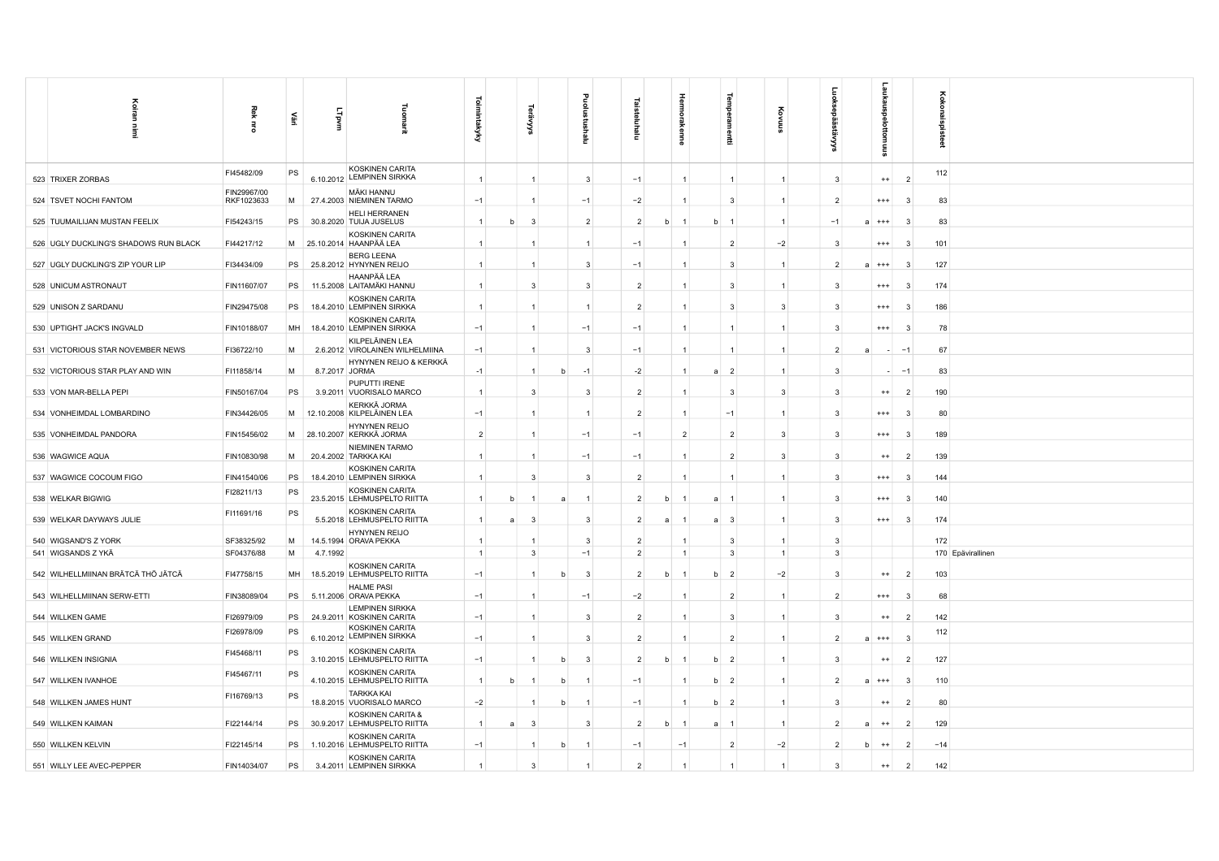| Koiran<br>Ì                                | Rek<br>$\overline{5}$     | ěΞ        | LTpvm          | 로                                                                    | $\overline{\circ}$<br>imintakyky | ⋦           |                                |                        | Ξ                                |                                |              |                         |                     |                              |                           |                | ěκ<br><b>i</b> bisteet   |
|--------------------------------------------|---------------------------|-----------|----------------|----------------------------------------------------------------------|----------------------------------|-------------|--------------------------------|------------------------|----------------------------------|--------------------------------|--------------|-------------------------|---------------------|------------------------------|---------------------------|----------------|--------------------------|
| 523 TRIXER ZORBAS                          | FI45482/09                | PS        |                | KOSKINEN CARITA<br>6.10.2012 LEMPINEN SIRKKA                         | $\mathbf{1}$                     |             | $\overline{1}$                 | Ξ<br>3                 | $-1$                             | $\overline{a}$<br>$\mathbf{1}$ |              | 릂<br>$\mathbf{1}$       | $\mathbf{1}$        | $\mathbf{3}$                 | 틊<br>$^{++}$              | $\overline{2}$ | 112                      |
| 524 TSVET NOCHI FANTOM                     | FIN29967/00<br>RKF1023633 | M         |                | MÄKI HANNU                                                           | $-1$                             |             |                                |                        | $-2$                             |                                |              | 3                       | $\mathbf{1}$        | $\overline{2}$               |                           | -3             |                          |
| 525 TUUMAILIJAN MUSTAN FEELIX              | FI54243/15                | <b>PS</b> |                | 27.4.2003 NIEMINEN TARMO<br>HELI HERRANEN<br>30.8.2020 TUIJA JUSELUS | $\mathbf{1}$                     | h           | 3                              | $-1$<br>$\overline{2}$ | $\overline{2}$                   | h                              | <sub>b</sub> | $\overline{1}$          | $\mathbf{1}$        | $-1$                         | $^{+++}$<br>$^{+++}$<br>a | -3             | 83<br>83                 |
| 526 UGLY DUCKLING'S SHADOWS RUN BLACK      | FI44217/12                |           |                | KOSKINEN CARITA<br>M 25.10.2014 HAANPÄÄ LEA                          |                                  |             |                                | $\mathbf{1}$           | $-1$                             |                                |              | $\overline{2}$          | $-2$                |                              | $***$                     | -3             | 101                      |
| 527 UGLY DUCKLING'S ZIP YOUR LIP           | FI34434/09                | PS        |                | <b>BERG LEENA</b><br>25.8.2012 HYNYNEN REIJO                         |                                  |             | $\overline{1}$                 | 3                      | $-1$                             |                                |              | 3                       | $\mathbf{1}$        |                              | $^{+++}$<br>a             | -3             | 127                      |
| 528 UNICUM ASTRONAUT                       | FIN11607/07               | PS        |                | HAANPÄÄ LEA<br>11.5.2008 LAITAMÄKI HANNU                             | $\overline{1}$                   |             | 3                              | 3                      | $\overline{2}$                   | $\overline{1}$                 |              | $\mathbf{3}$            | $\mathbf{1}$        | -3                           | $^{+++}$                  | -3             | 174                      |
| 529 UNISON Z SARDANU                       | FIN29475/08               | PS        |                | <b>KOSKINEN CARITA</b><br>18.4.2010 LEMPINEN SIRKKA                  | $\mathbf{1}$                     |             | $\overline{1}$                 | $\mathbf{1}$           | $\overline{2}$                   | $\overline{1}$                 |              | $\overline{\mathbf{3}}$ | $\mathbf{3}$        | 3                            | $^{+++}$                  | -3             | 186                      |
| 530 UPTIGHT JACK'S INGVALD                 | FIN10188/07               | MH        |                | KOSKINEN CARITA<br>18.4.2010 LEMPINEN SIRKKA                         | $-1$                             |             |                                | $-1$                   | $-1$                             | $\mathbf{1}$                   |              | $\mathbf{1}$            | 1                   | $\mathbf{3}$                 | $***$                     |                | 78                       |
| 531 VICTORIOUS STAR NOVEMBER NEWS          | FI36722/10                | M         |                | KILPELÄINEN LEA<br>2.6.2012 VIROLAINEN WILHELMIINA                   | $-1$                             |             | $\overline{1}$                 | 3                      | $-1$                             | $\overline{1}$                 |              | $\mathbf{1}$            | $\mathbf{1}$        | $\overline{2}$               | я                         | $-1$           | 67                       |
| 532 VICTORIOUS STAR PLAY AND WIN           | FI11858/14                | M         | 8.7.2017 JORMA | HYNYNEN REIJO & KERKKÄ                                               | $-1$                             |             | $\overline{1}$<br><sub>b</sub> | $-1$                   | $-2$                             | $\overline{1}$                 | a            | $\overline{2}$          | $\mathbf{1}$        | $\mathbf{3}$                 |                           | $-1$           | 83                       |
| 533 VON MAR-BELLA PEPI                     | FIN50167/04               | PS        |                | PUPUTTI IRENE<br>3.9.2011 VUORISALO MARCO                            | $\overline{1}$                   |             | 3                              | 3                      | $\overline{2}$                   | $\mathbf{1}$                   |              | $\mathbf{3}$            | $\overline{3}$      | $\mathbf{3}$                 | $^{++}$                   | $\overline{2}$ | 190                      |
| 534 VONHEIMDAL LOMBARDINO                  | FIN34426/05               | M         |                | KERKKÄ JORMA<br>12.10.2008 KILPELÄINEN LEA<br><b>HYNYNEN REIJO</b>   | $-1$                             |             | $\overline{1}$                 |                        | $\overline{2}$                   | $\mathbf{1}$                   |              | $-1$                    | 1                   | $\mathbf{B}$                 | $^{+++}$                  |                | 80                       |
| 535 VONHEIMDAL PANDORA                     | FIN15456/02               |           |                | M 28.10.2007 KERKKÄ JORMA<br>NIEMINEN TARMO                          | $\overline{2}$                   |             | -1                             | $-1$                   | $-1$                             | $\overline{2}$                 |              | $\overline{2}$          | $\mathbf{3}$        | 3                            | $^{+++}$                  | -3             | 189                      |
| 536 WAGWICE AQUA                           | FIN10830/98               | M         |                | 20.4.2002 TARKKA KAI<br>KOSKINEN CARITA                              | $\mathbf{1}$                     |             | $\overline{1}$                 | $-1$                   | $-1$                             | $\mathbf{1}$                   |              | $\overline{2}$          | $\mathbf{3}$        | 3                            | $^{++}$                   | $\overline{2}$ | 139                      |
| 537 WAGWICE COCOUM FIGO                    | FIN41540/06               | PS        |                | 18.4.2010 LEMPINEN SIRKKA<br>KOSKINEN CARITA                         | $\overline{1}$                   |             | 3                              | 3                      | $\overline{2}$                   | $\overline{1}$                 |              | $\overline{1}$          | $\mathbf{1}$        | 3                            | $^{+++}$                  | -3             | 144                      |
| 538 WELKAR BIGWIG                          | FI28211/13<br>FI11691/16  | PS<br>PS  |                | 23.5.2015 LEHMUSPELTO RIITTA<br>KOSKINEN CARITA                      | $\mathbf{1}$                     | $\mathbf b$ |                                |                        | $\overline{2}$                   | b                              | a            | $\overline{1}$          | $\mathbf{1}$        | $\mathbf{3}$                 | $***$                     |                | 140                      |
| 539 WELKAR DAYWAYS JULIE                   |                           |           |                | 5.5.2018 LEHMUSPELTO RIITTA<br>HYNYNEN REIJO                         | $\overline{1}$                   | a           | 3                              | 3                      | $\overline{2}$                   | a                              | a            | $\overline{\mathbf{3}}$ | $\mathbf{1}$        | $\overline{\mathbf{3}}$      | $^{+++}$                  | -3             | 174                      |
| 540 WIGSAND'S Z YORK<br>541 WIGSANDS Z YKÄ | SF38325/92<br>SF04376/88  | M<br>M    | 4.7.1992       | 14.5.1994 ORAVA PEKKA                                                | $\mathbf{1}$<br>$\vert$ 1        |             | $\mathbf{3}$                   | 3<br>$-1$              | $\overline{2}$<br>$\overline{2}$ | $\overline{1}$                 |              | 3<br>$\mathbf{3}$       | 1<br>$\overline{1}$ | $\mathbf{3}$<br>$\mathbf{3}$ |                           |                | 172<br>170 Epävirallinen |
| 542 WILHELLMIINAN BRÄTCÄ THÖ JÄTCÄ         | FI47758/15                | MH        |                | KOSKINEN CARITA<br>18.5.2019 LEHMUSPELTO RIITTA                      | $-1$                             |             | $\overline{1}$<br>b            | -3                     | $\overline{2}$                   | b<br>$\overline{1}$            | b            | $\overline{2}$          | $-2$                | 3                            | $^{++}$                   | $\overline{2}$ | 103                      |
| 543 WILHELLMIINAN SERW-ETTI                | FIN38089/04               | PS        |                | <b>HALME PASI</b><br>5.11.2006 ORAVA PEKKA                           | $-1$                             |             | $\overline{1}$                 | $-1$                   | $-2$                             |                                |              | $\overline{2}$          | $\mathbf{1}$        | $\overline{2}$               | $^{+++}$                  | -3             | 68                       |
| 544 WILLKEN GAME                           | FI26979/09                | PS        |                | <b>LEMPINEN SIRKKA</b><br>24.9.2011 KOSKINEN CARITA                  | $-1$                             |             | $\overline{1}$                 | 3                      | $\overline{2}$                   |                                |              | $\overline{3}$          | 1                   |                              | $^{++}$                   | $\overline{2}$ | 142                      |
| 545 WILLKEN GRAND                          | FI26978/09                | PS        |                | KOSKINEN CARITA<br>6.10.2012 LEMPINEN SIRKKA                         | $-1$                             |             |                                | 3                      | $\overline{2}$                   |                                |              | $\overline{2}$          | $\mathbf{1}$        |                              | $^{+++}$<br>a             | -3             | 112                      |
| 546 WILLKEN INSIGNIA                       | FI45468/11                | PS        |                | KOSKINEN CARITA<br>3.10.2015 LEHMUSPELTO RIITTA                      | $-1$                             |             | h                              | 3                      | $\overline{2}$                   | h                              | <sub>b</sub> | $\overline{2}$          | $\mathbf{1}$        | $\mathbf{3}$                 | $^{++}$                   | $\overline{2}$ | 127                      |
| 547 WILLKEN IVANHOE                        | FI45467/11                | PS        |                | KOSKINEN CARITA<br>4.10.2015 LEHMUSPELTO RIITTA                      | $\overline{1}$                   | h           | h                              |                        | $-1$                             |                                | h            | $\overline{2}$          | $\mathbf{1}$        | $\mathcal{P}$                | $^{+++}$<br>a             | -3             | 110                      |
| 548 WILLKEN JAMES HUNT                     | FI16769/13                | PS        |                | <b>TARKKA KAI</b><br>18.8.2015 VUORISALO MARCO                       | $-2$                             |             | $\overline{1}$<br>b            | $\overline{1}$         | $-1$                             |                                | b            | $\overline{2}$          | $\overline{1}$      | -3                           | $^{++}$                   | -2             | 80                       |
| 549 WILLKEN KAIMAN                         | FI22144/14                | PS        |                | KOSKINEN CARITA &<br>30.9.2017 LEHMUSPELTO RIITTA                    | $\overline{1}$                   | a           | -3                             | 3                      | $\overline{2}$                   | b                              | a            | $\overline{1}$          | $\overline{1}$      | $\mathcal{P}$                | $^{++}$<br>a              | $\overline{2}$ | 129                      |
| 550 WILLKEN KELVIN                         | FI22145/14                | PS        |                | <b>KOSKINEN CARITA</b><br>1.10.2016 LEHMUSPELTO RIITTA               | $-1$                             |             | -1<br>b                        | -1                     | $-1$                             | $-1$                           |              | $\overline{2}$          | $-2$                | $\mathcal{P}$                | $^{++}$<br>b              | $\overline{2}$ | $-14$                    |
| 551 WILLY LEE AVEC-PEPPER                  | FIN14034/07               | PS        |                | KOSKINEN CARITA<br>3.4.2011 LEMPINEN SIRKKA                          | $\overline{1}$                   |             | 3                              | $\overline{1}$         | $\overline{2}$                   |                                |              |                         |                     | $\mathbf{3}$                 | $^{++}$                   | $\overline{2}$ | 142                      |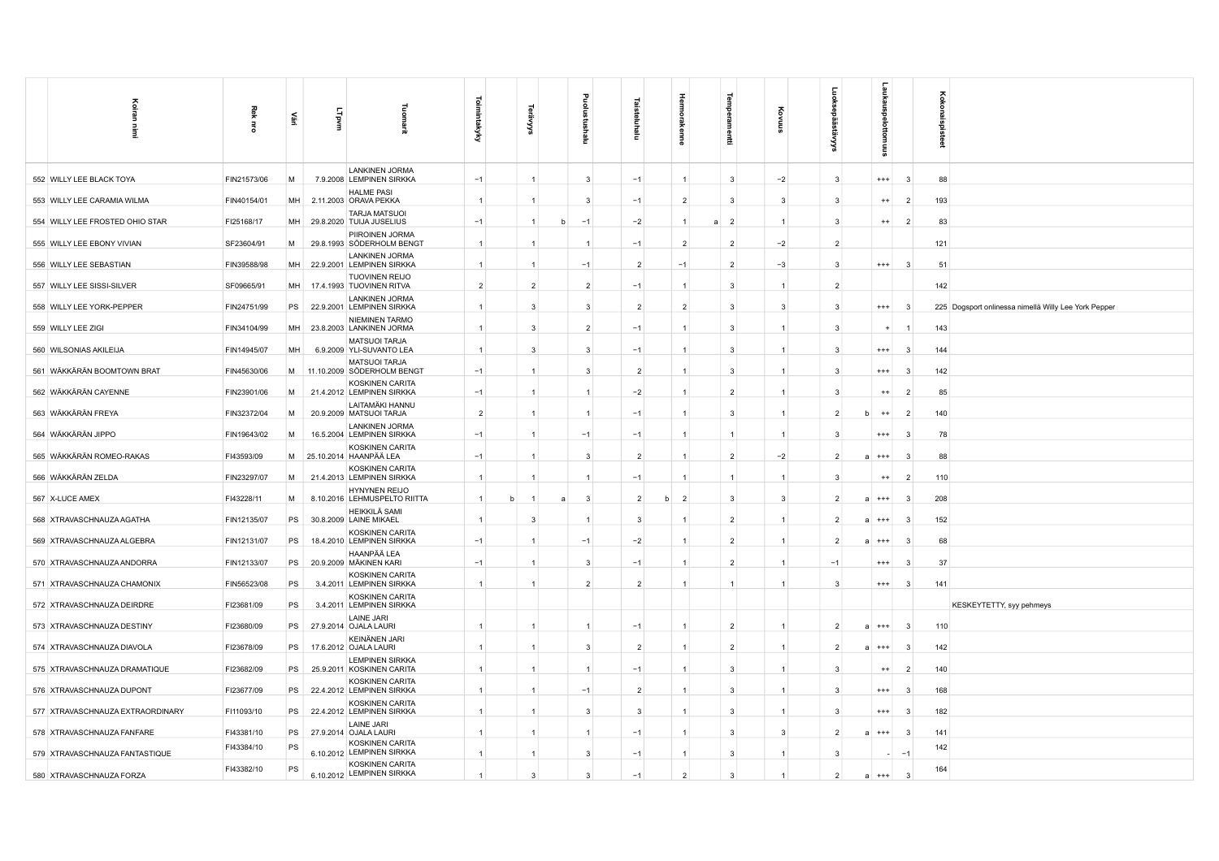| Koiran<br>Ē                      | Rek<br>룽    | 亶         | LTpvm | Tuomarit                                            | <b>Toimintakyky</b> | ౕశ             |   | Ξ              |                | Hermol<br>akenne    | 륲                   | Ş              |                | aukaus<br>훂<br>tomuus      |                | 3<br>ô<br>묾<br>å |                                                      |
|----------------------------------|-------------|-----------|-------|-----------------------------------------------------|---------------------|----------------|---|----------------|----------------|---------------------|---------------------|----------------|----------------|----------------------------|----------------|------------------|------------------------------------------------------|
| 552 WILLY LEE BLACK TOYA         | FIN21573/06 | M         |       | <b>LANKINEN JORMA</b><br>7.9.2008 LEMPINEN SIRKKA   | $-1$                | $\overline{1}$ |   | 3              | $-1$           | 1                   | 3                   | $-2$           | 3              | $^{+++}$                   | -3             | 88               |                                                      |
| 553 WILLY LEE CARAMIA WILMA      | FIN40154/01 | MH        |       | <b>HALME PASI</b><br>2.11.2003 ORAVA PEKKA          | $\overline{1}$      | $\overline{1}$ |   | 3              | $-1$           | $\overline{2}$      | 3                   | 3              | 3              | $^{++}$                    | $\overline{2}$ | 193              |                                                      |
| 554 WILLY LEE FROSTED OHIO STAR  | FI25168/17  | MH        |       | <b>TARJA MATSUOI</b><br>29.8.2020 TUIJA JUSELIUS    | $-1$                | $\overline{1}$ | b | $-1$           | $-2$           | $\mathbf{1}$        | $\overline{2}$<br>a | $\overline{1}$ | 3              | $^{++}$                    | $\overline{2}$ | 83               |                                                      |
| 555 WILLY LEE EBONY VIVIAN       | SF23604/91  | M         |       | PIIROINEN JORMA<br>29.8.1993 SÖDERHOLM BENGT        | $\overline{1}$      | $\overline{1}$ |   | $\overline{1}$ | $-1$           | $\overline{2}$      | $\overline{2}$      | $-2$           | $\overline{2}$ |                            |                | 121              |                                                      |
| 556 WILLY LEE SEBASTIAN          | FIN39588/98 | MH        |       | <b>LANKINEN JORMA</b><br>22.9.2001 LEMPINEN SIRKKA  | $\overline{1}$      | $\overline{1}$ |   | $-1$           | $\overline{2}$ | $-1$                | $\overline{2}$      | $-3$           | 3              | $^{+++}$                   | -3             | 51               |                                                      |
| 557 WILLY LEE SISSI-SILVER       | SF09665/91  | MH        |       | <b>TUOVINEN REIJO</b><br>17.4.1993 TUOVINEN RITVA   | $\overline{2}$      | $\overline{2}$ |   | $\overline{2}$ | $-1$           | 1                   | 3                   | $\overline{1}$ | $\overline{2}$ |                            |                | 142              |                                                      |
| 558 WILLY LEE YORK-PEPPER        | FIN24751/99 | PS        |       | <b>LANKINEN JORMA</b><br>22.9.2001 LEMPINEN SIRKKA  | $\overline{1}$      | $\overline{3}$ |   | 3              | $\overline{2}$ | $\overline{2}$      | 3                   | 3              | 3              | $^{+++}$                   | - 3            |                  | 225 Dogsport onlinessa nimellä Willy Lee York Pepper |
| 559 WILLY LEE ZIGI               | FIN34104/99 | <b>MH</b> |       | <b>NIEMINEN TARMO</b><br>23.8.2003 LANKINEN JORMA   | $\mathbf{1}$        | $\mathbf{3}$   |   | $\overline{2}$ | $-1$           | $\mathbf{1}$        | 3                   | $\overline{1}$ | 3              | $\ddot{}$                  | -1             | 143              |                                                      |
| 560 WILSONIAS AKILEIJA           | FIN14945/07 | MH        |       | <b>MATSUOI TARJA</b><br>6.9.2009 YLI-SUVANTO LEA    | $\overline{1}$      | $\mathbf{3}$   |   | 3              | $-1$           | 1                   | 3                   | $\overline{1}$ | 3              | $^{+++}$                   | -3             | 144              |                                                      |
| 561 WÄKKÄRÄN BOOMTOWN BRAT       | FIN45630/06 | M         |       | <b>MATSUOI TARJA</b><br>11.10.2009 SÖDERHOLM BENGT  | $-1$                | $\overline{1}$ |   | 3              | $\overline{2}$ | 1                   | 3                   | $\overline{1}$ | 3              | $^{+++}$                   | 3              | 142              |                                                      |
| 562 WÄKKÄRÄN CAYENNE             | FIN23901/06 | M         |       | KOSKINEN CARITA<br>21.4.2012 LEMPINEN SIRKKA        | $-1$                | $\overline{1}$ |   | $\mathbf{1}$   | $-2$           | $\mathbf{1}$        | $\overline{2}$      | $\overline{1}$ | 3              | $^{++}$                    | $\overline{2}$ | 85               |                                                      |
| 563 WÄKKÄRÄN FREYA               | FIN32372/04 | M         |       | LAITAMÄKI HANNU<br>20.9.2009 MATSUOI TARJA          | $\overline{2}$      | $\overline{1}$ |   | $\overline{1}$ | $-1$           | $\mathbf{1}$        | 3                   | $\overline{1}$ | $\overline{2}$ | $++$                       | $\overline{2}$ | 140              |                                                      |
| 564 WÄKKÄRÄN JIPPO               | FIN19643/02 | M         |       | <b>LANKINEN JORMA</b><br>16.5.2004 LEMPINEN SIRKKA  | $-1$                | $\overline{1}$ |   | $-1$           | $-1$           | 1                   | $\mathbf{1}$        | $\overline{1}$ | 3              | $^{+++}$                   | 3              | 78               |                                                      |
| 565 WÄKKÄRÄN ROMEO-RAKAS         | FI43593/09  | M         |       | KOSKINEN CARITA<br>25.10.2014 HAANPÄÄ LEA           | $-1$                | -1             |   | 3              | $\overline{2}$ | 1                   | $\overline{2}$      | $-2$           | $\mathcal{P}$  | $^{+++}$<br>$\overline{a}$ | 3              | 88               |                                                      |
| 566 WÄKKÄRÄN ZELDA               | FIN23297/07 | M         |       | KOSKINEN CARITA<br>21.4.2013 LEMPINEN SIRKKA        | $\overline{1}$      |                |   | -1             | $-1$           | $\overline{1}$      | $\mathbf{1}$        | $\overline{1}$ | 3              | $^{++}$                    | $\overline{2}$ | 110              |                                                      |
| 567 X-LUCE AMEX                  | FI43228/11  | M         |       | HYNYNEN REIJO<br>8.10.2016 LEHMUSPELTO RIITTA       | $\overline{1}$<br>b | $\overline{1}$ | a | $\mathbf{3}$   | $\overline{2}$ | $\overline{2}$<br>h | $\overline{3}$      | 3              | $\overline{2}$ | $a + + +$                  | -3             | 208              |                                                      |
| 568 XTRAVASCHNAUZA AGATHA        | FIN12135/07 | PS        |       | <b>HEIKKILÄ SAMI</b><br>30.8.2009 LAINE MIKAEL      | $\overline{1}$      | -3             |   |                | 3              | 1                   | $\overline{2}$      | $\overline{1}$ | $\overline{2}$ | $***$                      | -3             | 152              |                                                      |
| 569 XTRAVASCHNAUZA ALGEBRA       | FIN12131/07 | PS        |       | KOSKINEN CARITA<br>18.4.2010 LEMPINEN SIRKKA        | $-1$                | $\overline{1}$ |   | $-1$           | $-2$           | 1                   | $\overline{2}$      | $\overline{1}$ | $\mathcal{P}$  | $^{+++}$<br>$\overline{a}$ | 3              | 68               |                                                      |
| 570 XTRAVASCHNAUZA ANDORRA       | FIN12133/07 | PS        |       | HAANPÄÄ LEA<br>20.9.2009 MÄKINEN KARI               | $-1$                | -1             |   | 3              | $-1$           | $\mathbf{1}$        | $\overline{2}$      | -1             | $-1$           | $^{+++}$                   | -3             | 37               |                                                      |
| 571 XTRAVASCHNAUZA CHAMONIX      | FIN56523/08 | PS        |       | KOSKINEN CARITA<br>3.4.2011 LEMPINEN SIRKKA         | $\overline{1}$      | $\overline{1}$ |   | $\overline{2}$ | $\overline{2}$ | $\overline{1}$      | $\mathbf{1}$        | $\overline{1}$ | 3              | $^{+++}$                   | $\mathbf{3}$   | 141              |                                                      |
| 572 XTRAVASCHNAUZA DEIRDRE       | FI23681/09  | PS        |       | KOSKINEN CARITA<br>3.4.2011 LEMPINEN SIRKKA         |                     |                |   |                |                |                     |                     |                |                |                            |                |                  | KESKEYTETTY, syy pehmeys                             |
| 573 XTRAVASCHNAUZA DESTINY       | FI23680/09  | PS        |       | <b>LAINE JARI</b><br>27.9.2014 OJALA LAURI          |                     | -1             |   |                | $-1$           | 1                   | $\overline{2}$      | $\mathbf{1}$   | 2              | $^{+++}$<br>a              | -3             | 110              |                                                      |
| 574 XTRAVASCHNAUZA DIAVOLA       | FI23678/09  | PS        |       | KEINÄNEN JARI<br>17.6.2012 OJALA LAURI              | $\overline{1}$      | $\overline{1}$ |   | 3              | $\overline{2}$ | $\mathbf{1}$        | $\overline{2}$      | $\mathbf{1}$   | $\overline{2}$ | $^{+++}$<br>$\mathbf{a}$   | - 3            | 142              |                                                      |
| 575 XTRAVASCHNAUZA DRAMATIQUE    | FI23682/09  | PS        |       | <b>LEMPINEN SIRKKA</b><br>25.9.2011 KOSKINEN CARITA | $\mathbf{1}$        | $\overline{1}$ |   | $\mathbf{1}$   | $-1$           | $\mathbf{1}$        | 3                   | $\mathbf{1}$   | 3              | $^{++}$                    | $\overline{2}$ | 140              |                                                      |
| 576 XTRAVASCHNAUZA DUPONT        | FI23677/09  | PS        |       | KOSKINEN CARITA<br>22.4.2012 LEMPINEN SIRKKA        | $\mathbf{1}$        |                |   | $-1$           | $\overline{2}$ | 1                   | 3                   | $\mathbf{1}$   | 3              | $***$                      | 3              | 168              |                                                      |
| 577 XTRAVASCHNAUZA EXTRAORDINARY | FI11093/10  | PS        |       | KOSKINEN CARITA<br>22.4.2012 LEMPINEN SIRKKA        |                     | $\overline{1}$ |   | 3              | 3              | 1                   | 3                   | $\mathbf{1}$   | 3              | $***$                      | 3              | 182              |                                                      |
| 578 XTRAVASCHNAUZA FANFARE       | FI43381/10  | PS        |       | LAINE JARI<br>27.9.2014 OJALA LAURI                 | -1                  | -1             |   | -1             | $-1$           | 1                   | 3                   | -3             | $\overline{2}$ | $^{+++}$                   | - 3            | 141              |                                                      |
| 579 XTRAVASCHNAUZA FANTASTIQUE   | FI43384/10  | PS        |       | <b>KOSKINEN CARITA</b><br>6.10.2012 LEMPINEN SIRKKA | $\mathbf{1}$        | $\overline{1}$ |   | $\mathbf{3}$   | $-1$           | $\mathbf{1}$        | 3                   | $\mathbf{1}$   | 3              |                            | $-1$           | 142              |                                                      |
| 580 XTRAVASCHNAUZA FORZA         | FI43382/10  | PS        |       | KOSKINEN CARITA<br>6.10.2012 LEMPINEN SIRKKA        | $\mathbf{1}$        | 3              |   | 3              | $-1$           | $\overline{2}$      | 3                   |                | $\overline{2}$ | $^{+++}$<br>a              | -3             | 164              |                                                      |
|                                  |             |           |       |                                                     |                     |                |   |                |                |                     |                     |                |                |                            |                |                  |                                                      |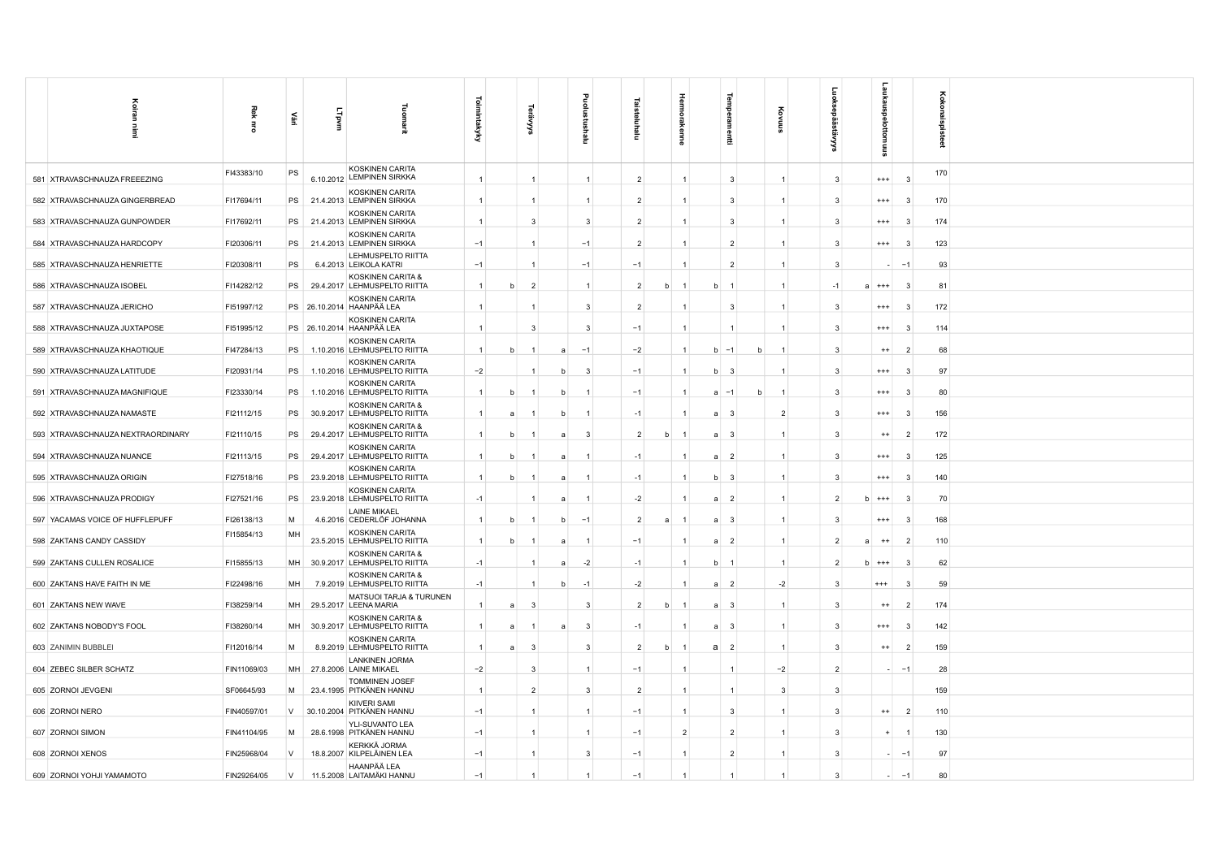| 즐                                 |                |           |              |                                                    |                |   |                          |                |              |                |   |    |                                  |   |                         |                |                            |                          |                 |
|-----------------------------------|----------------|-----------|--------------|----------------------------------------------------|----------------|---|--------------------------|----------------|--------------|----------------|---|----|----------------------------------|---|-------------------------|----------------|----------------------------|--------------------------|-----------------|
| 릴<br>$\frac{3}{2}$                | 죟<br>$\vec{5}$ | 뿦         | <b>Lipvm</b> |                                                    | mintakyky      |   | ⋦                        |                |              |                |   |    |                                  |   |                         |                |                            |                          | Kokonaispisteet |
|                                   |                |           |              |                                                    |                |   |                          |                | Ξ            | Ξ              |   |    | 룦                                |   |                         |                |                            |                          |                 |
| 581 XTRAVASCHNAUZA FREEEZING      | FI43383/10     | PS        |              | KOSKINEN CARITA<br>6.10.2012 LEMPINEN SIRKKA       | $\overline{1}$ |   | $\mathbf{1}$             |                |              | $\overline{2}$ |   |    | $\mathbf{3}$                     |   | $\overline{1}$          | $\mathbf{3}$   | $+++$                      | -3                       | 170             |
| 582 XTRAVASCHNAUZA GINGERBREAD    | FI17694/11     |           |              | KOSKINEN CARITA<br>PS 21.4.2013 LEMPINEN SIRKKA    | $\overline{1}$ |   | $\mathbf{1}$             |                |              | $\overline{2}$ |   |    | - 3                              |   |                         | -3             | $^{+++}$                   | $\mathbf{3}$             | 170             |
| 583 XTRAVASCHNAUZA GUNPOWDER      | FI17692/11     | PS        |              | KOSKINEN CARITA<br>21.4.2013 LEMPINEN SIRKKA       |                |   | $\mathbf{3}$             |                | 3            | $\overline{2}$ |   |    | $\mathbf{3}$                     |   |                         | 3              | $^{+++}$                   | -3                       | 174             |
| 584 XTRAVASCHNAUZA HARDCOPY       | FI20306/11     | PS        |              | KOSKINEN CARITA<br>21.4.2013 LEMPINEN SIRKKA       | $-1$           |   | $\overline{1}$           |                | $-1$         | $\overline{2}$ |   |    | $\overline{2}$                   |   |                         | -3             | $^{+++}$                   | -3                       | 123             |
| 585 XTRAVASCHNAUZA HENRIETTE      | FI20308/11     | PS        |              | LEHMUSPELTO RIITTA<br>6.4.2013 LEIKOLA KATRI       | $-1$           |   |                          |                | $-1$         | $-1$           |   |    | $\overline{2}$                   |   |                         | ె              |                            | $\overline{\phantom{a}}$ | 93              |
| 586 XTRAVASCHNAUZA ISOBEL         | FI14282/12     | PS        |              | KOSKINEN CARITA &<br>29.4.2017 LEHMUSPELTO RIITTA  | $\mathbf{1}$   |   | $\overline{\phantom{a}}$ |                |              | $\mathcal{P}$  | h |    |                                  |   |                         | $-1$           | $^{+++}$<br>$\overline{a}$ | -9                       | 81              |
| 587 XTRAVASCHNAUZA JERICHO        | FI51997/12     |           |              | KOSKINEN CARITA<br>PS 26.10.2014 HAANPÄÄ LEA       | -1             |   |                          |                | 3            | $\overline{2}$ |   |    | - 3                              |   |                         | -3             | $^{+++}$                   | -3                       | 172             |
| 588 XTRAVASCHNAUZA JUXTAPOSE      | FI51995/12     |           |              | KOSKINEN CARITA<br>PS 26.10.2014 HAANPÄÄ LEA       | $\overline{1}$ |   | -3                       |                | 3            | $-1$           |   |    |                                  |   |                         | -3             | $^{+++}$                   | -3                       | 114             |
| 589 XTRAVASCHNAUZA KHAOTIQUE      | FI47284/13     | PS        |              | KOSKINEN CARITA<br>1.10.2016 LEHMUSPELTO RIITTA    | $\overline{1}$ |   |                          | $\overline{a}$ | $-1$         | $-2$           |   |    | $-1$<br><sub>b</sub>             | h |                         | $\mathbf{3}$   | $^{++}$                    | $\mathcal{P}$            | 68              |
| 590 XTRAVASCHNAUZA LATITUDE       | FI20931/14     | PS        |              | KOSKINEN CARITA<br>1.10.2016 LEHMUSPELTO RIITTA    | $-2$           |   |                          | h              | $\mathbf{B}$ | $-1$           |   |    | <sub>b</sub><br>-3               |   |                         | $\mathbf{3}$   | $^{+++}$                   | -3                       | 97              |
| 591 XTRAVASCHNAUZA MAGNIFIQUE     | FI23330/14     | PS        |              | KOSKINEN CARITA<br>1.10.2016 LEHMUSPELTO RIITTA    | $\overline{1}$ | h | -1                       | - b            | -1           | $-1$           |   |    | $\overline{a}$<br>$-1$           | h | $\overline{1}$          | -3             | $^{++}$                    | -3                       | 80              |
| 592 XTRAVASCHNAUZA NAMASTE        | FI21112/15     | PS        |              | KOSKINEN CARITA &<br>30.9.2017 LEHMUSPELTO RIITTA  | $\overline{1}$ | a | $\overline{1}$           | b              |              | $-1$           |   |    | $\mathsf{a}$<br>$\mathbf{3}$     |   | $\overline{2}$          | -3             | $^{+++}$                   | -3                       | 156             |
| 593 XTRAVASCHNAUZA NEXTRAORDINARY | FI21110/15     | PS        |              | KOSKINEN CARITA &<br>29.4.2017 LEHMUSPELTO RIITTA  | $\overline{1}$ |   |                          |                | -3           | $\overline{2}$ | h |    | -3<br>$\overline{a}$             |   |                         | $\mathbf{3}$   | $^{++}$                    | -2                       | 172             |
| 594 XTRAVASCHNAUZA NUANCE         | FI21113/15     | PS        |              | KOSKINEN CARITA<br>29.4.2017 LEHMUSPELTO RIITTA    |                |   |                          | $\overline{a}$ |              | $-1$           |   |    | $\overline{2}$<br>$\overline{a}$ |   |                         |                | $^{++}$                    |                          | 125             |
| 595 XTRAVASCHNAUZA ORIGIN         | FI27518/16     | PS        |              | KOSKINEN CARITA<br>23.9.2018 LEHMUSPELTO RIITTA    | $\overline{1}$ | h | -1                       | a              | -1           | $-1$           |   |    | $\mathbf{3}$<br>b                |   | $\overline{1}$          | $\mathbf{3}$   | $^{+++}$                   | 3                        | 140             |
| 596 XTRAVASCHNAUZA PRODIGY        | FI27521/16     | PS        |              | KOSKINEN CARITA<br>23.9.2018 LEHMUSPELTO RIITTA    | $-1$           |   | -1                       | a              | -1           | $-2$           |   |    | $\overline{2}$<br>a              |   | $\overline{1}$          | $\mathcal{P}$  | h<br>$***$                 | $\mathbf{3}$             | 70              |
| 597 YACAMAS VOICE OF HUFFLEPUFF   | FI26138/13     | M         |              | <b>LAINE MIKAEL</b><br>4.6.2016 CEDERLÖF JOHANNA   | $\overline{1}$ |   |                          | h              | $-1$         | $\overline{2}$ |   |    | - 3<br>$\overline{a}$            |   |                         |                | $^{+++}$                   | -3                       | 168             |
| 598 ZAKTANS CANDY CASSIDY         | FI15854/13     | MH        |              | KOSKINEN CARITA<br>23.5.2015 LEHMUSPELTO RIITTA    | $\overline{1}$ |   |                          | a              |              | $-1$           |   |    | $\overline{2}$<br>a              |   | $\overline{1}$          |                | $^{++}$<br>a               | $\overline{2}$           | 110             |
| 599 ZAKTANS CULLEN ROSALICE       | FI15855/13     | <b>MH</b> |              | KOSKINEN CARITA &<br>30.9.2017 LEHMUSPELTO RIITTA  | $-1$           |   |                          |                | $-2$         | $-1$           |   |    | b<br>-1                          |   | $\overline{1}$          |                | $+++$<br>b                 | -3                       | 62              |
| 600 ZAKTANS HAVE FAITH IN ME      | FI22498/16     | MH        |              | KOSKINEN CARITA &<br>7.9.2019 LEHMUSPELTO RIITTA   | $-1$           |   | $\mathbf{1}$             | h              | $-1$         | $-2$           |   |    | $\overline{2}$<br>a              |   | $-2$                    | -3             | $^{+++}$                   | -3                       | 59              |
| 601 ZAKTANS NEW WAVE              | FI38259/14     | MH        |              | MATSUOI TARJA & TURUNEN<br>29.5.2017 LEENA MARIA   | $\overline{1}$ |   | 3                        |                | 3            | $\overline{2}$ | h |    | $\mathbf{3}$                     |   |                         | $\mathbf{B}$   | $^{++}$                    | -2                       | 174             |
| 602 ZAKTANS NOBODY'S FOOL         | FI38260/14     | MH        |              | KOSKINEN CARITA &<br>30.9.2017 LEHMUSPELTO RIITTA  |                |   |                          |                | 3            | $-1$           |   |    | -3<br>$\overline{a}$             |   | $\overline{1}$          | $\mathbf{B}$   | $^{+++}$                   |                          | 142             |
| 603 ZANIMIN BUBBLEI               | FI12016/14     | M         |              | KOSKINEN CARITA<br>8.9.2019 LEHMUSPELTO RIITTA     | $\overline{1}$ | a | 3                        |                | 3            | $\overline{2}$ | b |    | a<br>$\overline{2}$              |   | $\overline{\mathbf{1}}$ | 3              | $^{++}$                    | -2                       | 159             |
| 604 ZEBEC SILBER SCHATZ           | FIN11069/03    |           |              | <b>LANKINEN JORMA</b><br>MH 27.8.2006 LAINE MIKAEL | $-2$           |   | 3                        |                | -1           | $-1$           |   |    | $\overline{1}$                   |   | $-2$                    | $\overline{2}$ |                            | $-1$                     | 28              |
| 605 ZORNOI JEVGENI                | SF06645/93     | M         |              | <b>TOMMINEN JOSEF</b><br>23.4.1995 PITKÄNEN HANNU  | $\overline{1}$ |   | $\overline{2}$           |                | 3            | $\overline{2}$ |   |    |                                  |   | 3                       | $\mathbf{3}$   |                            |                          | 159             |
| 606 ZORNOI NERO                   | FIN40597/01    | V         |              | KIIVERI SAMI<br>30.10.2004 PITKÄNEN HANNU          | $-1$           |   | $\mathbf{1}$             |                |              | $-1$           |   |    | 3                                |   |                         | $\mathbf{3}$   | $^{++}$                    | $\overline{2}$           | 110             |
| 607 ZORNOI SIMON                  | FIN41104/95    | M         |              | YLI-SUVANTO LEA<br>28.6.1998 PITKÄNEN HANNU        | $-1$           |   | -1                       |                |              | $-1$           |   | -2 | -2                               |   |                         | -3             |                            |                          | 130             |
| 608 ZORNOI XENOS                  | FIN25968/04    | $\vee$    |              | KERKKÄ JORMA<br>18.8.2007 KILPELÄINEN LEA          | $-1$           |   | $\mathbf{1}$             |                | 3            | $-1$           |   |    | $\overline{2}$                   |   | $\overline{1}$          | 3              |                            | . — 1                    | 97              |
| 609 ZORNOI YOHJI YAMAMOTO         | FIN29264/05    | V         |              | HAANPÄÄ LEA<br>11.5.2008 LAITAMÄKI HANNU           | $-1$           |   |                          |                |              | $-1$           |   |    |                                  |   |                         | $\mathbf{3}$   |                            | $-1$                     | 80              |